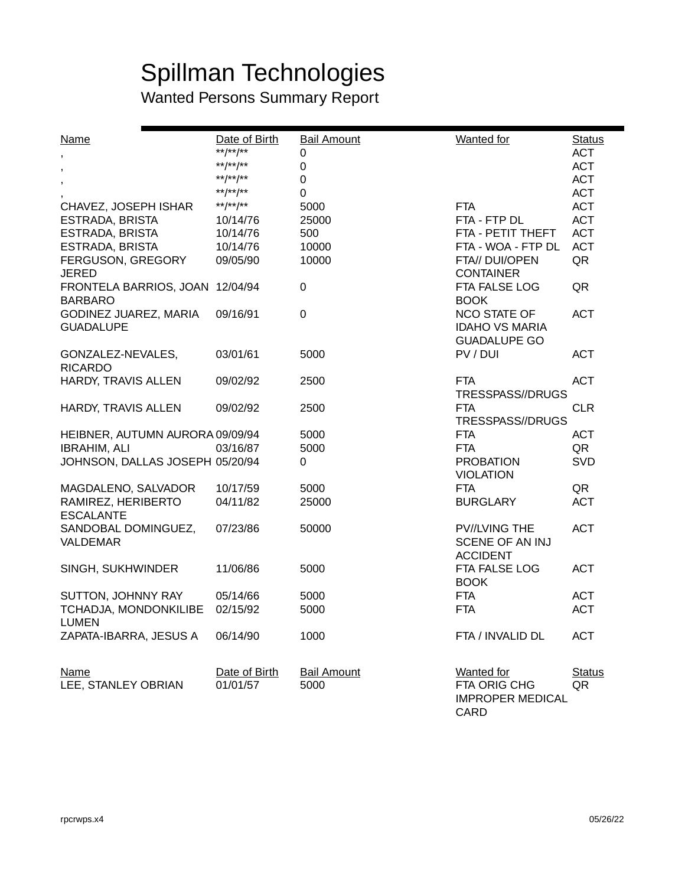# Spillman Technologies

| <b>Name</b>                     | Date of Birth<br>**/**/** | <b>Bail Amount</b>            | <b>Wanted</b> for                       | <b>Status</b>            |
|---------------------------------|---------------------------|-------------------------------|-----------------------------------------|--------------------------|
| $\overline{\phantom{a}}$        | **/**/**                  | $\pmb{0}$<br>$\boldsymbol{0}$ |                                         | <b>ACT</b><br><b>ACT</b> |
|                                 | **/**/**                  | 0                             |                                         | <b>ACT</b>               |
| $\,$                            | **/**/**                  | 0                             |                                         | <b>ACT</b>               |
| CHAVEZ, JOSEPH ISHAR            | **/**/**                  | 5000                          | <b>FTA</b>                              | <b>ACT</b>               |
| <b>ESTRADA, BRISTA</b>          | 10/14/76                  | 25000                         | FTA - FTP DL                            | <b>ACT</b>               |
| <b>ESTRADA, BRISTA</b>          | 10/14/76                  | 500                           | FTA - PETIT THEFT                       | <b>ACT</b>               |
| <b>ESTRADA, BRISTA</b>          | 10/14/76                  | 10000                         | FTA - WOA - FTP DL                      | <b>ACT</b>               |
| FERGUSON, GREGORY               | 09/05/90                  | 10000                         | FTA// DUI/OPEN                          | QR                       |
| <b>JERED</b>                    |                           |                               | <b>CONTAINER</b>                        |                          |
| FRONTELA BARRIOS, JOAN          | 12/04/94                  | $\pmb{0}$                     | FTA FALSE LOG                           | QR                       |
| <b>BARBARO</b>                  |                           |                               | <b>BOOK</b>                             |                          |
| GODINEZ JUAREZ, MARIA           | 09/16/91                  | $\boldsymbol{0}$              | <b>NCO STATE OF</b>                     | <b>ACT</b>               |
| <b>GUADALUPE</b>                |                           |                               | <b>IDAHO VS MARIA</b>                   |                          |
|                                 |                           |                               | <b>GUADALUPE GO</b>                     |                          |
| GONZALEZ-NEVALES,               | 03/01/61                  | 5000                          | PV / DUI                                | <b>ACT</b>               |
| <b>RICARDO</b>                  |                           |                               |                                         |                          |
| HARDY, TRAVIS ALLEN             | 09/02/92                  | 2500                          | <b>FTA</b>                              | <b>ACT</b>               |
|                                 |                           |                               | TRESSPASS//DRUGS                        |                          |
| HARDY, TRAVIS ALLEN             | 09/02/92                  | 2500                          | <b>FTA</b>                              | <b>CLR</b>               |
|                                 |                           |                               | TRESSPASS//DRUGS                        |                          |
| HEIBNER, AUTUMN AURORA 09/09/94 |                           | 5000                          | <b>FTA</b>                              | <b>ACT</b>               |
| <b>IBRAHIM, ALI</b>             | 03/16/87                  | 5000                          | <b>FTA</b>                              | QR                       |
| JOHNSON, DALLAS JOSEPH 05/20/94 |                           | 0                             | <b>PROBATION</b>                        | <b>SVD</b>               |
|                                 |                           |                               | <b>VIOLATION</b>                        |                          |
| MAGDALENO, SALVADOR             | 10/17/59                  | 5000                          | <b>FTA</b>                              | QR                       |
| RAMIREZ, HERIBERTO              | 04/11/82                  | 25000                         | <b>BURGLARY</b>                         | <b>ACT</b>               |
| <b>ESCALANTE</b>                |                           |                               |                                         |                          |
| SANDOBAL DOMINGUEZ,<br>VALDEMAR | 07/23/86                  | 50000                         | <b>PV//LVING THE</b><br>SCENE OF AN INJ | <b>ACT</b>               |
|                                 |                           |                               | <b>ACCIDENT</b>                         |                          |
| SINGH, SUKHWINDER               | 11/06/86                  | 5000                          | FTA FALSE LOG                           | <b>ACT</b>               |
|                                 |                           |                               | <b>BOOK</b>                             |                          |
| SUTTON, JOHNNY RAY              | 05/14/66                  | 5000                          | <b>FTA</b>                              | <b>ACT</b>               |
| TCHADJA, MONDONKILIBE           | 02/15/92                  | 5000                          | <b>FTA</b>                              | <b>ACT</b>               |
| <b>LUMEN</b>                    |                           |                               |                                         |                          |
| ZAPATA-IBARRA, JESUS A          | 06/14/90                  | 1000                          | FTA / INVALID DL                        | <b>ACT</b>               |
|                                 |                           |                               |                                         |                          |
|                                 |                           |                               |                                         |                          |
| <b>Name</b>                     | Date of Birth             | <b>Bail Amount</b>            | Wanted for                              | <b>Status</b>            |
| LEE, STANLEY OBRIAN             | 01/01/57                  | 5000                          | FTA ORIG CHG                            | QR                       |
|                                 |                           |                               | <b>IMPROPER MEDICAL</b>                 |                          |
|                                 |                           |                               | <b>CARD</b>                             |                          |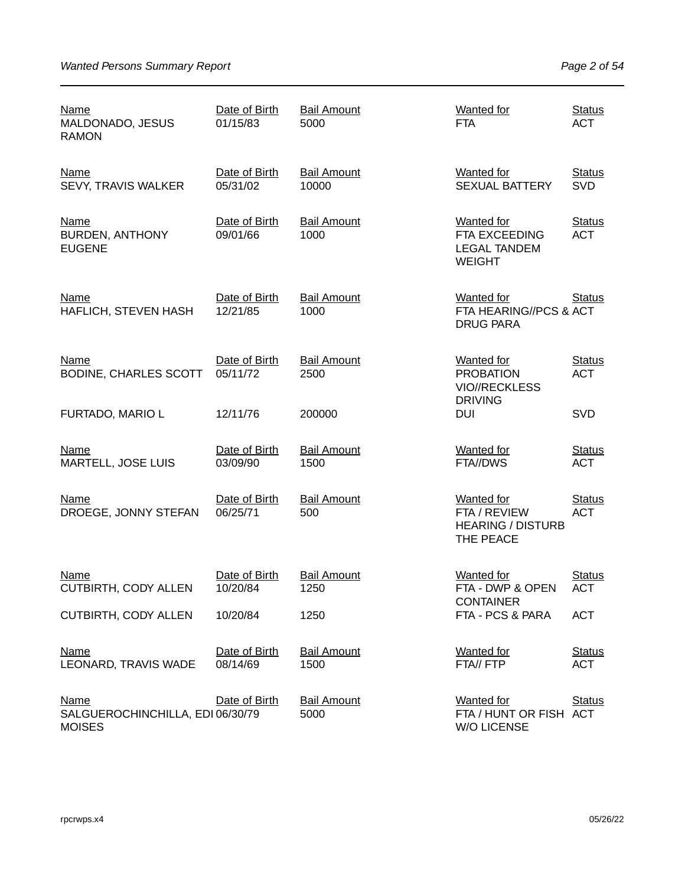| <b>Name</b><br>MALDONADO, JESUS<br><b>RAMON</b>                  | Date of Birth<br>01/15/83 | <b>Bail Amount</b><br>5000  | <b>Wanted for</b><br><b>FTA</b>                                            | <b>Status</b><br><b>ACT</b> |
|------------------------------------------------------------------|---------------------------|-----------------------------|----------------------------------------------------------------------------|-----------------------------|
| <b>Name</b><br>SEVY, TRAVIS WALKER                               | Date of Birth<br>05/31/02 | <b>Bail Amount</b><br>10000 | <b>Wanted</b> for<br><b>SEXUAL BATTERY</b>                                 | <b>Status</b><br><b>SVD</b> |
| Name<br><b>BURDEN, ANTHONY</b><br><b>EUGENE</b>                  | Date of Birth<br>09/01/66 | <b>Bail Amount</b><br>1000  | <b>Wanted for</b><br>FTA EXCEEDING<br><b>LEGAL TANDEM</b><br><b>WEIGHT</b> | <b>Status</b><br><b>ACT</b> |
| <b>Name</b><br>HAFLICH, STEVEN HASH                              | Date of Birth<br>12/21/85 | <b>Bail Amount</b><br>1000  | <b>Wanted for</b><br>FTA HEARING//PCS & ACT<br><b>DRUG PARA</b>            | <b>Status</b>               |
| <b>Name</b><br><b>BODINE, CHARLES SCOTT</b>                      | Date of Birth<br>05/11/72 | <b>Bail Amount</b><br>2500  | <b>Wanted</b> for<br><b>PROBATION</b><br><b>VIO//RECKLESS</b>              | <b>Status</b><br><b>ACT</b> |
| FURTADO, MARIO L                                                 | 12/11/76                  | 200000                      | <b>DRIVING</b><br><b>DUI</b>                                               | SVD                         |
| <b>Name</b><br>MARTELL, JOSE LUIS                                | Date of Birth<br>03/09/90 | <b>Bail Amount</b><br>1500  | <b>Wanted</b> for<br>FTA//DWS                                              | <b>Status</b><br><b>ACT</b> |
| Name<br>DROEGE, JONNY STEFAN                                     | Date of Birth<br>06/25/71 | <b>Bail Amount</b><br>500   | <b>Wanted for</b><br>FTA / REVIEW<br><b>HEARING / DISTURB</b><br>THE PEACE | <b>Status</b><br><b>ACT</b> |
| <b>Name</b><br>CUTBIRTH, CODY ALLEN                              | Date of Birth<br>10/20/84 | <b>Bail Amount</b><br>1250  | <b>Wanted</b> for<br>FTA - DWP & OPEN<br><b>CONTAINER</b>                  | <b>Status</b><br><b>ACT</b> |
| <b>CUTBIRTH, CODY ALLEN</b>                                      | 10/20/84                  | 1250                        | FTA - PCS & PARA                                                           | <b>ACT</b>                  |
| <b>Name</b><br>LEONARD, TRAVIS WADE                              | Date of Birth<br>08/14/69 | <b>Bail Amount</b><br>1500  | <b>Wanted</b> for<br>FTA// FTP                                             | <b>Status</b><br><b>ACT</b> |
| <b>Name</b><br>SALGUEROCHINCHILLA, EDI 06/30/79<br><b>MOISES</b> | Date of Birth             | <b>Bail Amount</b><br>5000  | Wanted for<br>FTA / HUNT OR FISH ACT<br><b>W/O LICENSE</b>                 | <b>Status</b>               |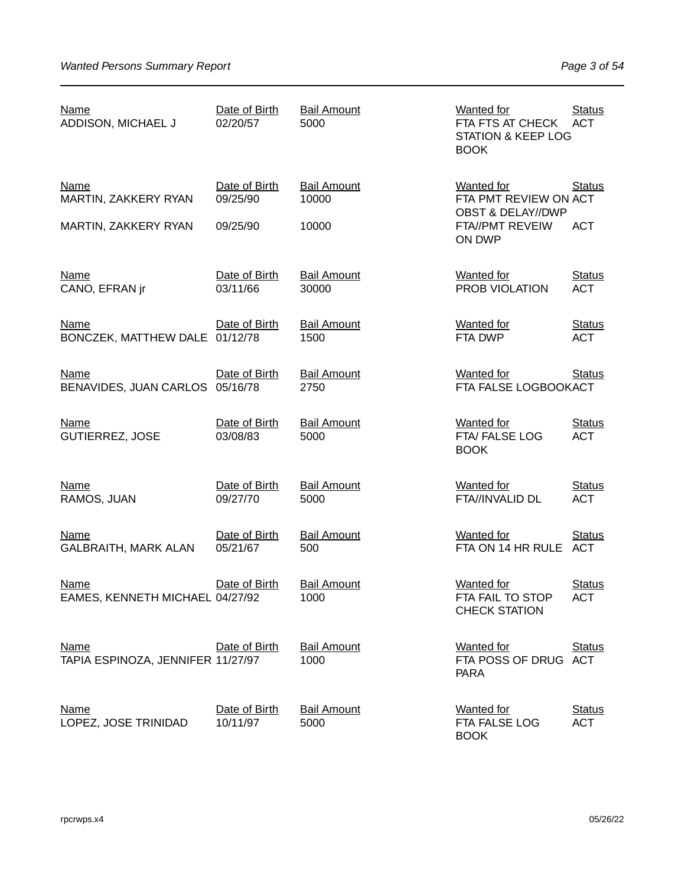| <b>Name</b><br>ADDISON, MICHAEL J                | Date of Birth<br>02/20/57 | <b>Bail Amount</b><br>5000  | <b>Wanted for</b><br>FTA FTS AT CHECK<br><b>STATION &amp; KEEP LOG</b><br><b>BOOK</b> | <b>Status</b><br><b>ACT</b> |
|--------------------------------------------------|---------------------------|-----------------------------|---------------------------------------------------------------------------------------|-----------------------------|
| <b>Name</b><br>MARTIN, ZAKKERY RYAN              | Date of Birth<br>09/25/90 | <b>Bail Amount</b><br>10000 | <b>Wanted for</b><br>FTA PMT REVIEW ON ACT<br><b>OBST &amp; DELAY//DWP</b>            | <b>Status</b>               |
| MARTIN, ZAKKERY RYAN                             | 09/25/90                  | 10000                       | FTA//PMT REVEIW<br>ON DWP                                                             | <b>ACT</b>                  |
| <b>Name</b><br>CANO, EFRAN jr                    | Date of Birth<br>03/11/66 | <b>Bail Amount</b><br>30000 | <b>Wanted for</b><br>PROB VIOLATION                                                   | <b>Status</b><br><b>ACT</b> |
| <b>Name</b><br>BONCZEK, MATTHEW DALE 01/12/78    | Date of Birth             | <b>Bail Amount</b><br>1500  | <b>Wanted for</b><br>FTA DWP                                                          | <b>Status</b><br><b>ACT</b> |
| <b>Name</b><br>BENAVIDES, JUAN CARLOS 05/16/78   | Date of Birth             | <b>Bail Amount</b><br>2750  | <b>Wanted for</b><br>FTA FALSE LOGBOOKACT                                             | <b>Status</b>               |
| <b>Name</b><br><b>GUTIERREZ, JOSE</b>            | Date of Birth<br>03/08/83 | <b>Bail Amount</b><br>5000  | <b>Wanted for</b><br>FTA/FALSE LOG<br><b>BOOK</b>                                     | <b>Status</b><br><b>ACT</b> |
| <b>Name</b><br>RAMOS, JUAN                       | Date of Birth<br>09/27/70 | <b>Bail Amount</b><br>5000  | <b>Wanted for</b><br>FTA//INVALID DL                                                  | <b>Status</b><br><b>ACT</b> |
| <b>Name</b><br><b>GALBRAITH, MARK ALAN</b>       | Date of Birth<br>05/21/67 | <b>Bail Amount</b><br>500   | <b>Wanted for</b><br>FTA ON 14 HR RULE ACT                                            | <b>Status</b>               |
| <b>Name</b><br>EAMES, KENNETH MICHAEL 04/27/92   | Date of Birth             | <b>Bail Amount</b><br>1000  | <b>Wanted</b> for<br>FTA FAIL TO STOP<br><b>CHECK STATION</b>                         | <b>Status</b><br>ACT        |
| <b>Name</b><br>TAPIA ESPINOZA, JENNIFER 11/27/97 | Date of Birth             | <b>Bail Amount</b><br>1000  | <b>Wanted for</b><br>FTA POSS OF DRUG ACT<br><b>PARA</b>                              | <b>Status</b>               |
| <b>Name</b><br>LOPEZ, JOSE TRINIDAD              | Date of Birth<br>10/11/97 | <b>Bail Amount</b><br>5000  | <b>Wanted for</b><br>FTA FALSE LOG<br><b>BOOK</b>                                     | <b>Status</b><br><b>ACT</b> |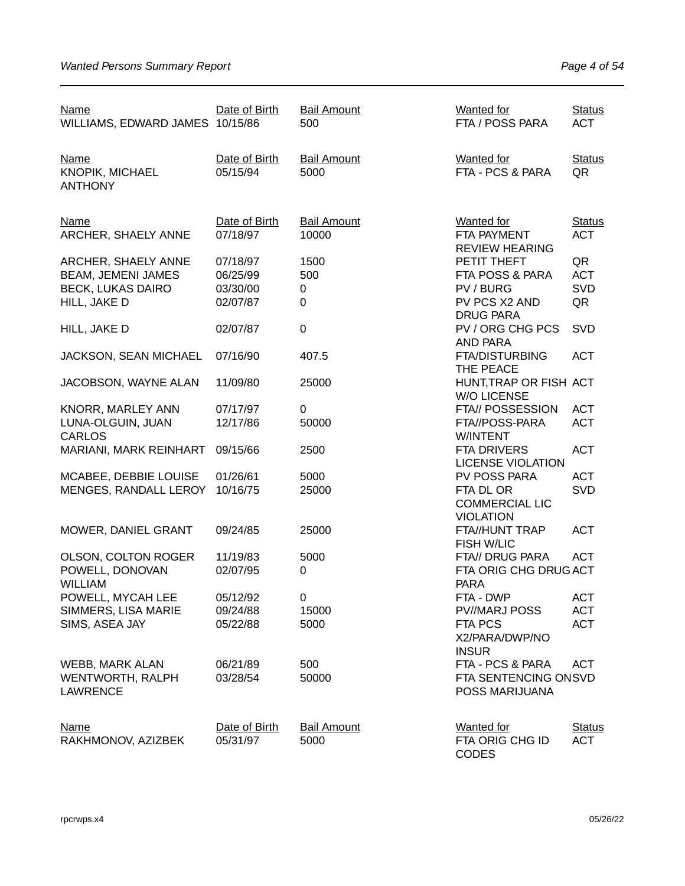| <b>Name</b><br>WILLIAMS, EDWARD JAMES 10/15/86          | Date of Birth             | <b>Bail Amount</b><br>500   | <b>Wanted for</b><br>FTA / POSS PARA                      | <b>Status</b><br><b>ACT</b> |
|---------------------------------------------------------|---------------------------|-----------------------------|-----------------------------------------------------------|-----------------------------|
| <b>Name</b><br><b>KNOPIK, MICHAEL</b><br><b>ANTHONY</b> | Date of Birth<br>05/15/94 | <b>Bail Amount</b><br>5000  | <b>Wanted for</b><br>FTA - PCS & PARA                     | <b>Status</b><br>QR         |
| <b>Name</b><br>ARCHER, SHAELY ANNE                      | Date of Birth<br>07/18/97 | <b>Bail Amount</b><br>10000 | <b>Wanted for</b><br>FTA PAYMENT<br><b>REVIEW HEARING</b> | <b>Status</b><br><b>ACT</b> |
| ARCHER, SHAELY ANNE                                     | 07/18/97                  | 1500                        | PETIT THEFT                                               | QR                          |
| <b>BEAM, JEMENI JAMES</b>                               | 06/25/99                  | 500                         | FTA POSS & PARA                                           | <b>ACT</b>                  |
| <b>BECK, LUKAS DAIRO</b>                                | 03/30/00                  | 0                           | PV / BURG                                                 | SVD                         |
| HILL, JAKE D                                            | 02/07/87                  | 0                           | PV PCS X2 AND<br><b>DRUG PARA</b>                         | QR                          |
| HILL, JAKE D                                            | 02/07/87                  | $\boldsymbol{0}$            | PV / ORG CHG PCS<br>AND PARA                              | SVD                         |
| JACKSON, SEAN MICHAEL                                   | 07/16/90                  | 407.5                       | <b>FTA/DISTURBING</b><br>THE PEACE                        | <b>ACT</b>                  |
| JACOBSON, WAYNE ALAN                                    | 11/09/80                  | 25000                       | HUNT, TRAP OR FISH ACT<br><b>W/O LICENSE</b>              |                             |
| KNORR, MARLEY ANN                                       | 07/17/97                  | 0                           | FTA// POSSESSION                                          | <b>ACT</b>                  |
| LUNA-OLGUIN, JUAN<br><b>CARLOS</b>                      | 12/17/86                  | 50000                       | FTA//POSS-PARA<br>W/INTENT                                | <b>ACT</b>                  |
| MARIANI, MARK REINHART                                  | 09/15/66                  | 2500                        | FTA DRIVERS<br><b>LICENSE VIOLATION</b>                   | <b>ACT</b>                  |
| MCABEE, DEBBIE LOUISE                                   | 01/26/61                  | 5000                        | PV POSS PARA                                              | <b>ACT</b>                  |
| MENGES, RANDALL LEROY                                   | 10/16/75                  | 25000                       | FTA DL OR<br><b>COMMERCIAL LIC</b><br><b>VIOLATION</b>    | <b>SVD</b>                  |
| MOWER, DANIEL GRANT                                     | 09/24/85                  | 25000                       | FTA//HUNT TRAP<br>FISH W/LIC                              | <b>ACT</b>                  |
| OLSON, COLTON ROGER                                     | 11/19/83                  | 5000                        | FTA// DRUG PARA                                           | <b>ACT</b>                  |
| POWELL, DONOVAN<br><b>WILLIAM</b>                       | 02/07/95                  | 0                           | FTA ORIG CHG DRUG ACT<br><b>PARA</b>                      |                             |
| POWELL, MYCAH LEE                                       | 05/12/92                  | 0                           | FTA - DWP                                                 | <b>ACT</b>                  |
| SIMMERS, LISA MARIE                                     | 09/24/88                  | 15000                       | PV//MARJ POSS                                             | <b>ACT</b>                  |
| SIMS, ASEA JAY                                          | 05/22/88                  | 5000                        | FTA PCS<br>X2/PARA/DWP/NO<br><b>INSUR</b>                 | <b>ACT</b>                  |
| WEBB, MARK ALAN                                         | 06/21/89                  | 500                         | FTA - PCS & PARA                                          | <b>ACT</b>                  |
| <b>WENTWORTH, RALPH</b><br><b>LAWRENCE</b>              | 03/28/54                  | 50000                       | FTA SENTENCING ONSVD<br>POSS MARIJUANA                    |                             |
| <b>Name</b>                                             | Date of Birth             | <b>Bail Amount</b>          | <b>Wanted</b> for                                         | <b>Status</b>               |
| RAKHMONOV, AZIZBEK                                      | 05/31/97                  | 5000                        | FTA ORIG CHG ID<br><b>CODES</b>                           | <b>ACT</b>                  |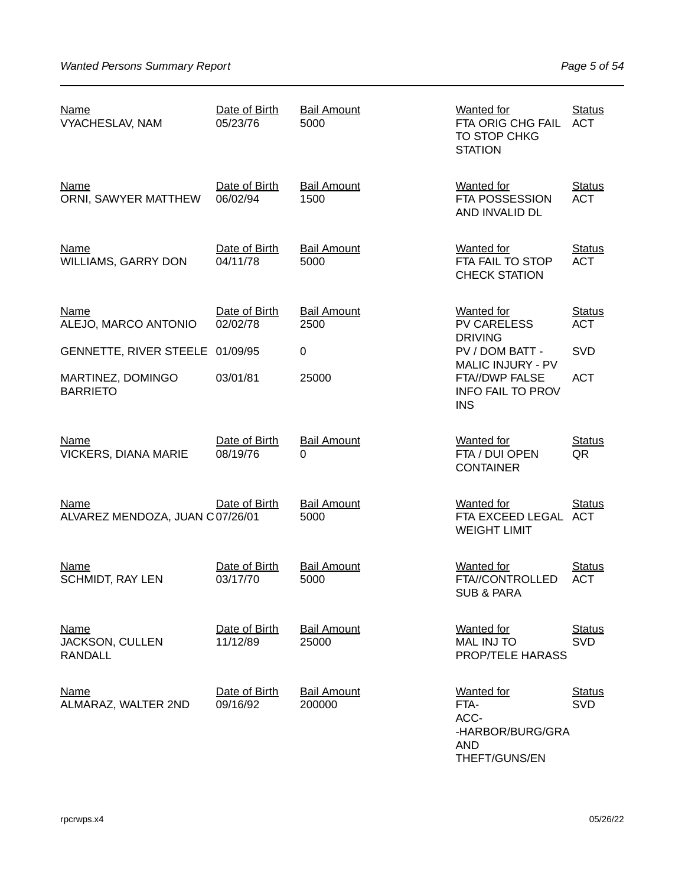| <u>Name</u><br><b>VYACHESLAV, NAM</b>            | Date of Birth<br>05/23/76 | <b>Bail Amount</b><br>5000   | <b>Wanted for</b><br>FTA ORIG CHG FAIL<br>TO STOP CHKG<br><b>STATION</b>             | <b>Status</b><br><b>ACT</b> |
|--------------------------------------------------|---------------------------|------------------------------|--------------------------------------------------------------------------------------|-----------------------------|
| <b>Name</b><br>ORNI, SAWYER MATTHEW              | Date of Birth<br>06/02/94 | <b>Bail Amount</b><br>1500   | Wanted for<br>FTA POSSESSION<br>AND INVALID DL                                       | <b>Status</b><br><b>ACT</b> |
| Name<br>WILLIAMS, GARRY DON                      | Date of Birth<br>04/11/78 | <b>Bail Amount</b><br>5000   | <b>Wanted for</b><br>FTA FAIL TO STOP<br><b>CHECK STATION</b>                        | <b>Status</b><br><b>ACT</b> |
| <b>Name</b>                                      | Date of Birth<br>02/02/78 | <b>Bail Amount</b>           | <b>Wanted for</b><br><b>PV CARELESS</b>                                              | <b>Status</b><br><b>ACT</b> |
| ALEJO, MARCO ANTONIO                             |                           | 2500                         | <b>DRIVING</b>                                                                       |                             |
| GENNETTE, RIVER STEELE 01/09/95                  |                           | 0                            | PV / DOM BATT -<br><b>MALIC INJURY - PV</b>                                          | <b>SVD</b>                  |
| MARTINEZ, DOMINGO<br><b>BARRIETO</b>             | 03/01/81                  | 25000                        | FTA//DWP FALSE<br><b>INFO FAIL TO PROV</b><br><b>INS</b>                             | <b>ACT</b>                  |
| <b>Name</b><br><b>VICKERS, DIANA MARIE</b>       | Date of Birth<br>08/19/76 | <b>Bail Amount</b><br>0      | Wanted for<br>FTA / DUI OPEN<br><b>CONTAINER</b>                                     | <b>Status</b><br>QR         |
| <b>Name</b><br>ALVAREZ MENDOZA, JUAN C07/26/01   | Date of Birth             | <b>Bail Amount</b><br>5000   | <b>Wanted for</b><br>FTA EXCEED LEGAL ACT<br><b>WEIGHT LIMIT</b>                     | <b>Status</b>               |
| <b>Name</b><br><b>SCHMIDT, RAY LEN</b>           | Date of Birth<br>03/17/70 | <b>Bail Amount</b><br>5000   | <b>Wanted for</b><br>FTA//CONTROLLED<br><b>SUB &amp; PARA</b>                        | <b>Status</b><br><b>ACT</b> |
| Name<br><b>JACKSON, CULLEN</b><br><b>RANDALL</b> | Date of Birth<br>11/12/89 | <b>Bail Amount</b><br>25000  | Wanted for<br><b>MAL INJ TO</b><br>PROP/TELE HARASS                                  | <b>Status</b><br><b>SVD</b> |
| <b>Name</b><br>ALMARAZ, WALTER 2ND               | Date of Birth<br>09/16/92 | <b>Bail Amount</b><br>200000 | <b>Wanted for</b><br>FTA-<br>ACC-<br>-HARBOR/BURG/GRA<br><b>AND</b><br>THEFT/GUNS/EN | <b>Status</b><br><b>SVD</b> |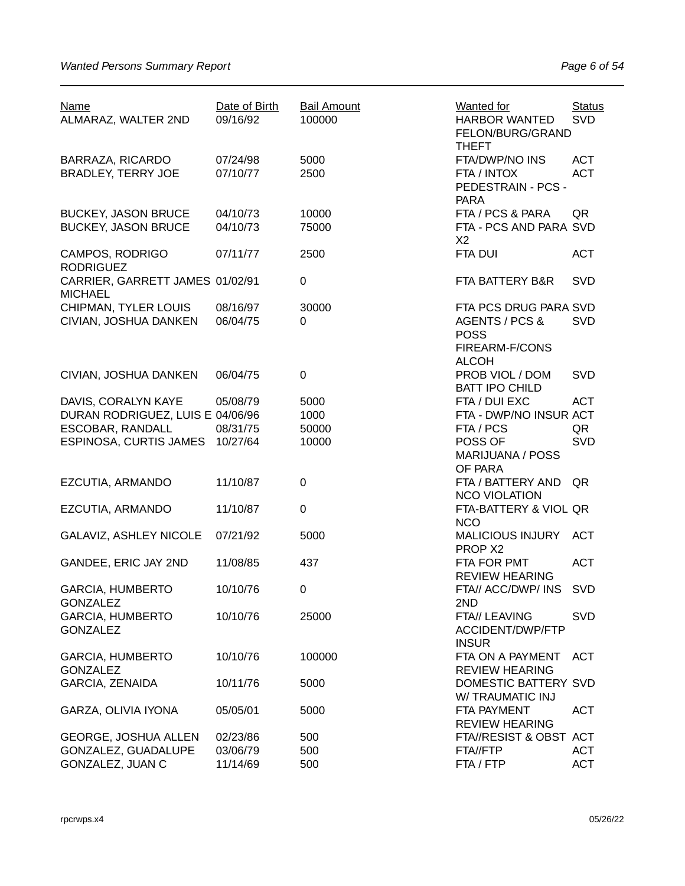| <b>Name</b><br>ALMARAZ, WALTER 2ND                                          | Date of Birth<br>09/16/92 | <b>Bail Amount</b><br>100000 | <b>Wanted for</b><br>HARBOR WANTED<br>FELON/BURG/GRAND                                   | <b>Status</b><br><b>SVD</b> |
|-----------------------------------------------------------------------------|---------------------------|------------------------------|------------------------------------------------------------------------------------------|-----------------------------|
| <b>BARRAZA, RICARDO</b><br><b>BRADLEY, TERRY JOE</b>                        | 07/24/98<br>07/10/77      | 5000<br>2500                 | <b>THEFT</b><br>FTA/DWP/NO INS<br>FTA / INTOX<br>PEDESTRAIN - PCS -<br><b>PARA</b>       | <b>ACT</b><br><b>ACT</b>    |
| <b>BUCKEY, JASON BRUCE</b><br><b>BUCKEY, JASON BRUCE</b>                    | 04/10/73<br>04/10/73      | 10000<br>75000               | FTA / PCS & PARA<br>FTA - PCS AND PARA SVD<br>X <sub>2</sub>                             | QR                          |
| CAMPOS, RODRIGO<br><b>RODRIGUEZ</b>                                         | 07/11/77                  | 2500                         | <b>FTA DUI</b>                                                                           | <b>ACT</b>                  |
| CARRIER, GARRETT JAMES 01/02/91<br><b>MICHAEL</b>                           |                           | 0                            | FTA BATTERY B&R                                                                          | <b>SVD</b>                  |
| CHIPMAN, TYLER LOUIS<br>CIVIAN, JOSHUA DANKEN                               | 08/16/97<br>06/04/75      | 30000<br>0                   | FTA PCS DRUG PARA SVD<br>AGENTS / PCS &<br><b>POSS</b><br>FIREARM-F/CONS<br><b>ALCOH</b> | <b>SVD</b>                  |
| CIVIAN, JOSHUA DANKEN                                                       | 06/04/75                  | 0                            | PROB VIOL / DOM<br><b>BATT IPO CHILD</b>                                                 | <b>SVD</b>                  |
| DAVIS, CORALYN KAYE<br>DURAN RODRIGUEZ, LUIS E 04/06/96<br>ESCOBAR, RANDALL | 05/08/79<br>08/31/75      | 5000<br>1000<br>50000        | FTA / DUI EXC<br>FTA - DWP/NO INSUR ACT<br>FTA / PCS                                     | <b>ACT</b><br>QR            |
| ESPINOSA, CURTIS JAMES 10/27/64                                             |                           | 10000                        | POSS OF<br><b>MARIJUANA / POSS</b><br>OF PARA                                            | <b>SVD</b>                  |
| EZCUTIA, ARMANDO                                                            | 11/10/87                  | 0                            | FTA / BATTERY AND<br><b>NCO VIOLATION</b>                                                | QR                          |
| EZCUTIA, ARMANDO                                                            | 11/10/87                  | 0                            | FTA-BATTERY & VIOL QR<br><b>NCO</b>                                                      |                             |
| GALAVIZ, ASHLEY NICOLE                                                      | 07/21/92                  | 5000                         | <b>MALICIOUS INJURY</b><br>PROP X2                                                       | <b>ACT</b>                  |
| GANDEE, ERIC JAY 2ND                                                        | 11/08/85                  | 437                          | FTA FOR PMT<br><b>REVIEW HEARING</b>                                                     | <b>ACT</b>                  |
| <b>GARCIA, HUMBERTO</b><br><b>GONZALEZ</b>                                  | 10/10/76                  | 0                            | FTA// ACC/DWP/ INS<br>2ND                                                                | <b>SVD</b>                  |
| <b>GARCIA, HUMBERTO</b><br><b>GONZALEZ</b>                                  | 10/10/76                  | 25000                        | FTA// LEAVING<br>ACCIDENT/DWP/FTP<br><b>INSUR</b>                                        | <b>SVD</b>                  |
| <b>GARCIA, HUMBERTO</b><br><b>GONZALEZ</b>                                  | 10/10/76                  | 100000                       | FTA ON A PAYMENT<br><b>REVIEW HEARING</b>                                                | ACT                         |
| <b>GARCIA, ZENAIDA</b>                                                      | 10/11/76                  | 5000                         | DOMESTIC BATTERY SVD<br>W/TRAUMATIC INJ                                                  |                             |
| GARZA, OLIVIA IYONA                                                         | 05/05/01                  | 5000                         | <b>FTA PAYMENT</b><br><b>REVIEW HEARING</b>                                              | <b>ACT</b>                  |
| <b>GEORGE, JOSHUA ALLEN</b>                                                 | 02/23/86                  | 500                          | FTA//RESIST & OBST ACT                                                                   |                             |
| GONZALEZ, GUADALUPE                                                         | 03/06/79                  | 500                          | FTA//FTP                                                                                 | <b>ACT</b>                  |
| GONZALEZ, JUAN C                                                            | 11/14/69                  | 500                          | FTA / FTP                                                                                | <b>ACT</b>                  |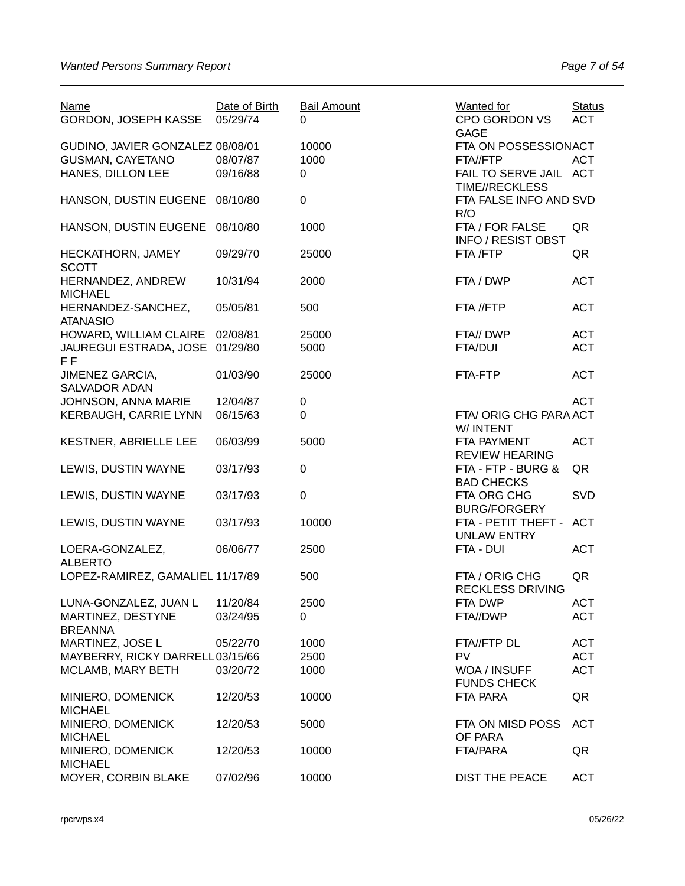| <b>Name</b><br>GORDON, JOSEPH KASSE | Date of Birth<br>05/29/74 | <b>Bail Amount</b><br>0 | <b>Wanted for</b><br><b>CPO GORDON VS</b><br><b>GAGE</b> | <b>Status</b><br><b>ACT</b> |
|-------------------------------------|---------------------------|-------------------------|----------------------------------------------------------|-----------------------------|
| GUDINO, JAVIER GONZALEZ 08/08/01    |                           | 10000                   | FTA ON POSSESSIONACT                                     |                             |
| <b>GUSMAN, CAYETANO</b>             | 08/07/87                  | 1000                    | FTA//FTP                                                 | <b>ACT</b>                  |
|                                     |                           |                         |                                                          |                             |
| HANES, DILLON LEE                   | 09/16/88                  | 0                       | FAIL TO SERVE JAIL ACT                                   |                             |
|                                     |                           |                         | <b>TIME//RECKLESS</b>                                    |                             |
| HANSON, DUSTIN EUGENE               | 08/10/80                  | 0                       | FTA FALSE INFO AND SVD                                   |                             |
|                                     |                           |                         | R/O                                                      |                             |
| HANSON, DUSTIN EUGENE               | 08/10/80                  | 1000                    | FTA / FOR FALSE                                          | QR                          |
|                                     |                           |                         | <b>INFO / RESIST OBST</b>                                |                             |
|                                     |                           |                         |                                                          |                             |
| HECKATHORN, JAMEY                   | 09/29/70                  | 25000                   | FTA /FTP                                                 | QR                          |
| <b>SCOTT</b>                        |                           |                         |                                                          |                             |
| HERNANDEZ, ANDREW                   | 10/31/94                  | 2000                    | FTA / DWP                                                | <b>ACT</b>                  |
| <b>MICHAEL</b>                      |                           |                         |                                                          |                             |
| HERNANDEZ-SANCHEZ,                  | 05/05/81                  | 500                     | FTA //FTP                                                | <b>ACT</b>                  |
|                                     |                           |                         |                                                          |                             |
| <b>ATANASIO</b>                     |                           |                         |                                                          |                             |
| HOWARD, WILLIAM CLAIRE              | 02/08/81                  | 25000                   | FTA// DWP                                                | <b>ACT</b>                  |
| JAUREGUI ESTRADA, JOSE              | 01/29/80                  | 5000                    | <b>FTA/DUI</b>                                           | <b>ACT</b>                  |
| F <sub>F</sub>                      |                           |                         |                                                          |                             |
| JIMENEZ GARCIA,                     | 01/03/90                  | 25000                   | FTA-FTP                                                  | <b>ACT</b>                  |
| <b>SALVADOR ADAN</b>                |                           |                         |                                                          |                             |
|                                     |                           |                         |                                                          |                             |
| JOHNSON, ANNA MARIE                 | 12/04/87                  | $\pmb{0}$               |                                                          | <b>ACT</b>                  |
| KERBAUGH, CARRIE LYNN               | 06/15/63                  | 0                       | FTA/ORIG CHG PARA ACT                                    |                             |
|                                     |                           |                         | W/ INTENT                                                |                             |
| KESTNER, ABRIELLE LEE               | 06/03/99                  | 5000                    | FTA PAYMENT                                              | <b>ACT</b>                  |
|                                     |                           |                         | <b>REVIEW HEARING</b>                                    |                             |
|                                     |                           |                         |                                                          |                             |
| LEWIS, DUSTIN WAYNE                 | 03/17/93                  | $\boldsymbol{0}$        | FTA - FTP - BURG &                                       | QR                          |
|                                     |                           |                         | <b>BAD CHECKS</b>                                        |                             |
| LEWIS, DUSTIN WAYNE                 | 03/17/93                  | $\mathbf 0$             | FTA ORG CHG                                              | <b>SVD</b>                  |
|                                     |                           |                         | <b>BURG/FORGERY</b>                                      |                             |
| LEWIS, DUSTIN WAYNE                 | 03/17/93                  | 10000                   | FTA - PETIT THEFT -                                      | <b>ACT</b>                  |
|                                     |                           |                         | <b>UNLAW ENTRY</b>                                       |                             |
|                                     |                           |                         |                                                          |                             |
| LOERA-GONZALEZ,                     | 06/06/77                  | 2500                    | FTA - DUI                                                | <b>ACT</b>                  |
| <b>ALBERTO</b>                      |                           |                         |                                                          |                             |
| LOPEZ-RAMIREZ, GAMALIEL 11/17/89    |                           | 500                     | FTA / ORIG CHG                                           | QR                          |
|                                     |                           |                         | <b>RECKLESS DRIVING</b>                                  |                             |
| LUNA-GONZALEZ, JUAN L               | 11/20/84                  | 2500                    | FTA DWP                                                  | <b>ACT</b>                  |
| MARTINEZ, DESTYNE                   | 03/24/95                  | 0                       | FTA//DWP                                                 | <b>ACT</b>                  |
| <b>BREANNA</b>                      |                           |                         |                                                          |                             |
|                                     |                           |                         |                                                          |                             |
| MARTINEZ, JOSE L                    | 05/22/70                  | 1000                    | FTA//FTP DL                                              | <b>ACT</b>                  |
| MAYBERRY, RICKY DARRELL03/15/66     |                           | 2500                    | <b>PV</b>                                                | <b>ACT</b>                  |
| MCLAMB, MARY BETH                   | 03/20/72                  | 1000                    | WOA / INSUFF                                             | <b>ACT</b>                  |
|                                     |                           |                         | <b>FUNDS CHECK</b>                                       |                             |
| MINIERO, DOMENICK                   | 12/20/53                  | 10000                   | <b>FTA PARA</b>                                          | QR                          |
| <b>MICHAEL</b>                      |                           |                         |                                                          |                             |
|                                     |                           |                         |                                                          |                             |
| MINIERO, DOMENICK                   | 12/20/53                  | 5000                    | FTA ON MISD POSS                                         | <b>ACT</b>                  |
| <b>MICHAEL</b>                      |                           |                         | OF PARA                                                  |                             |
| MINIERO, DOMENICK                   | 12/20/53                  | 10000                   | FTA/PARA                                                 | QR                          |
| <b>MICHAEL</b>                      |                           |                         |                                                          |                             |
| MOYER, CORBIN BLAKE                 | 07/02/96                  | 10000                   | <b>DIST THE PEACE</b>                                    | <b>ACT</b>                  |
|                                     |                           |                         |                                                          |                             |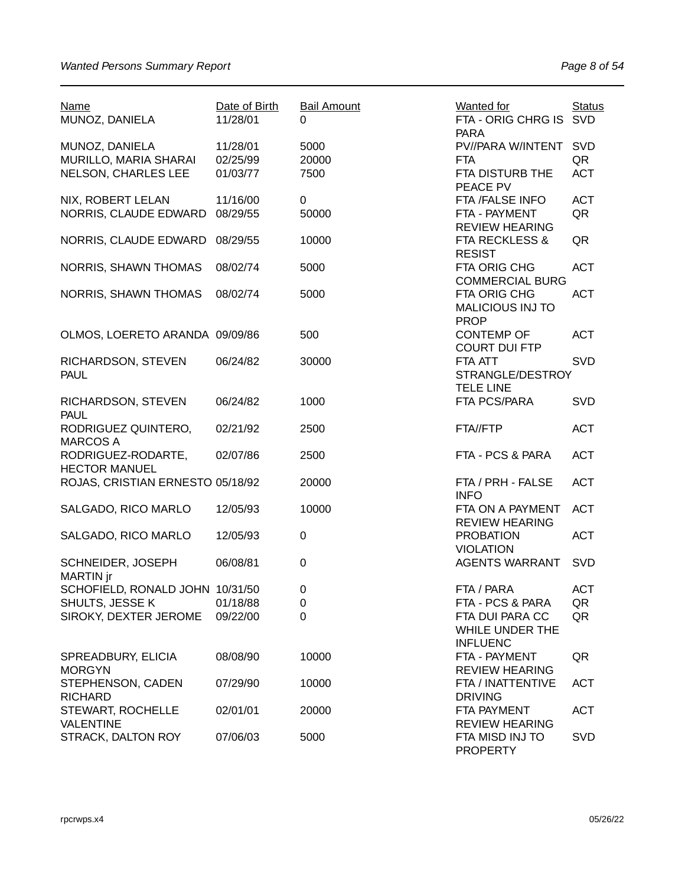| <b>Name</b><br>MUNOZ, DANIELA    | Date of Birth<br>11/28/01 | <b>Bail Amount</b><br>0 | <b>Wanted for</b><br>FTA - ORIG CHRG IS SVD<br><b>PARA</b> | <b>Status</b> |
|----------------------------------|---------------------------|-------------------------|------------------------------------------------------------|---------------|
| MUNOZ, DANIELA                   | 11/28/01                  | 5000                    | PV//PARA W/INTENT                                          | <b>SVD</b>    |
| MURILLO, MARIA SHARAI            | 02/25/99                  | 20000                   | <b>FTA</b>                                                 | QR            |
| NELSON, CHARLES LEE              | 01/03/77                  | 7500                    | FTA DISTURB THE                                            | <b>ACT</b>    |
|                                  |                           |                         | PEACE PV                                                   |               |
| NIX, ROBERT LELAN                | 11/16/00                  | 0                       | FTA /FALSE INFO                                            | <b>ACT</b>    |
| NORRIS, CLAUDE EDWARD            | 08/29/55                  | 50000                   | FTA - PAYMENT                                              | QR            |
|                                  |                           |                         | <b>REVIEW HEARING</b>                                      |               |
| NORRIS, CLAUDE EDWARD            | 08/29/55                  | 10000                   | <b>FTA RECKLESS &amp;</b>                                  | QR            |
|                                  |                           |                         | <b>RESIST</b>                                              |               |
| <b>NORRIS, SHAWN THOMAS</b>      | 08/02/74                  | 5000                    | FTA ORIG CHG                                               | <b>ACT</b>    |
|                                  |                           |                         | <b>COMMERCIAL BURG</b>                                     |               |
| <b>NORRIS, SHAWN THOMAS</b>      | 08/02/74                  | 5000                    | FTA ORIG CHG                                               | <b>ACT</b>    |
|                                  |                           |                         | <b>MALICIOUS INJ TO</b>                                    |               |
|                                  |                           |                         | <b>PROP</b>                                                |               |
| OLMOS, LOERETO ARANDA 09/09/86   |                           | 500                     | <b>CONTEMP OF</b>                                          | <b>ACT</b>    |
|                                  |                           |                         | <b>COURT DUI FTP</b>                                       |               |
| RICHARDSON, STEVEN               | 06/24/82                  | 30000                   | FTA ATT                                                    | <b>SVD</b>    |
| <b>PAUL</b>                      |                           |                         | STRANGLE/DESTROY                                           |               |
|                                  |                           |                         | <b>TELE LINE</b>                                           |               |
| RICHARDSON, STEVEN               | 06/24/82                  | 1000                    | FTA PCS/PARA                                               | <b>SVD</b>    |
| <b>PAUL</b>                      |                           |                         |                                                            |               |
| RODRIGUEZ QUINTERO,              | 02/21/92                  | 2500                    | FTA//FTP                                                   | <b>ACT</b>    |
| <b>MARCOS A</b>                  |                           |                         |                                                            |               |
| RODRIGUEZ-RODARTE,               | 02/07/86                  | 2500                    | FTA - PCS & PARA                                           | <b>ACT</b>    |
| <b>HECTOR MANUEL</b>             |                           |                         |                                                            |               |
| ROJAS, CRISTIAN ERNESTO 05/18/92 |                           | 20000                   | FTA / PRH - FALSE                                          | <b>ACT</b>    |
|                                  |                           |                         | <b>INFO</b>                                                |               |
| SALGADO, RICO MARLO              | 12/05/93                  | 10000                   | FTA ON A PAYMENT                                           | <b>ACT</b>    |
|                                  |                           |                         | <b>REVIEW HEARING</b>                                      |               |
| SALGADO, RICO MARLO              | 12/05/93                  | 0                       | <b>PROBATION</b>                                           | <b>ACT</b>    |
|                                  |                           |                         | <b>VIOLATION</b>                                           |               |
| SCHNEIDER, JOSEPH                | 06/08/81                  | $\boldsymbol{0}$        | <b>AGENTS WARRANT</b>                                      | <b>SVD</b>    |
| MARTIN jr                        |                           |                         |                                                            |               |
| SCHOFIELD, RONALD JOHN 10/31/50  |                           | 0                       | FTA / PARA                                                 | <b>ACT</b>    |
| SHULTS, JESSE K                  | 01/18/88                  | 0                       | FTA - PCS & PARA                                           | QR            |
| SIROKY, DEXTER JEROME            | 09/22/00                  | 0                       | FTA DUI PARA CC                                            | QR            |
|                                  |                           |                         | WHILE UNDER THE                                            |               |
|                                  |                           |                         | <b>INFLUENC</b>                                            |               |
| SPREADBURY, ELICIA               | 08/08/90                  | 10000                   | FTA - PAYMENT                                              | QR            |
| <b>MORGYN</b>                    |                           |                         | <b>REVIEW HEARING</b>                                      |               |
| STEPHENSON, CADEN                | 07/29/90                  | 10000                   | FTA / INATTENTIVE                                          | <b>ACT</b>    |
| <b>RICHARD</b>                   |                           |                         | <b>DRIVING</b>                                             |               |
| <b>STEWART, ROCHELLE</b>         | 02/01/01                  | 20000                   | FTA PAYMENT                                                | <b>ACT</b>    |
| <b>VALENTINE</b>                 |                           |                         | <b>REVIEW HEARING</b>                                      |               |
| STRACK, DALTON ROY               | 07/06/03                  | 5000                    | FTA MISD INJ TO                                            | <b>SVD</b>    |
|                                  |                           |                         | <b>PROPERTY</b>                                            |               |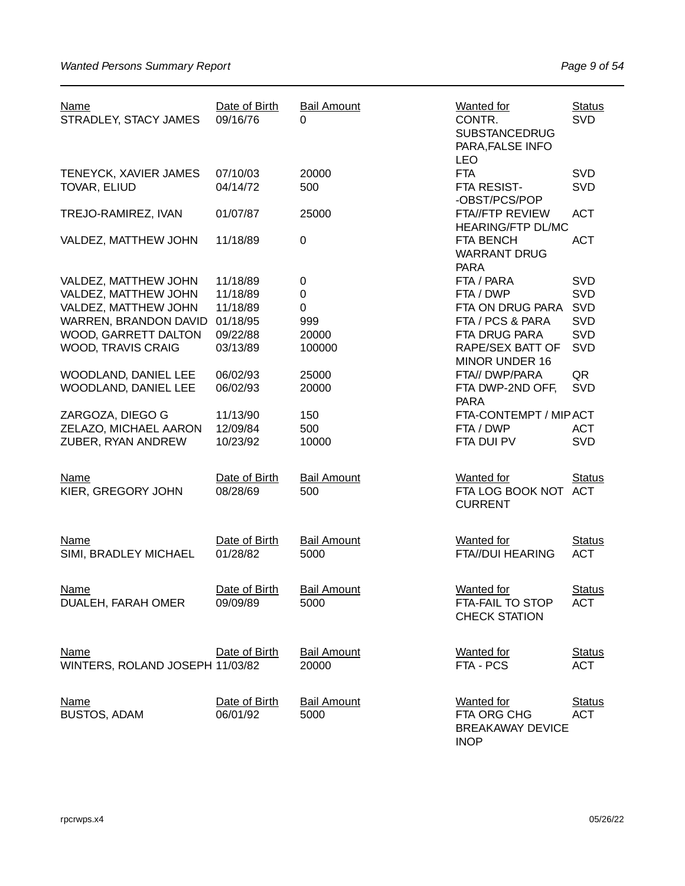| <b>Name</b><br>STRADLEY, STACY JAMES           | Date of Birth<br>09/16/76 | <b>Bail Amount</b><br>$\Omega$ | <b>Wanted</b> for<br>CONTR.<br><b>SUBSTANCEDRUG</b><br>PARA, FALSE INFO<br><b>LEO</b> | <b>Status</b><br><b>SVD</b> |
|------------------------------------------------|---------------------------|--------------------------------|---------------------------------------------------------------------------------------|-----------------------------|
| TENEYCK, XAVIER JAMES<br>TOVAR, ELIUD          | 07/10/03<br>04/14/72      | 20000<br>500                   | <b>FTA</b><br>FTA RESIST-<br>-OBST/PCS/POP                                            | <b>SVD</b><br><b>SVD</b>    |
| TREJO-RAMIREZ, IVAN                            | 01/07/87                  | 25000                          | <b>FTA//FTP REVIEW</b><br><b>HEARING/FTP DL/MC</b>                                    | <b>ACT</b>                  |
| VALDEZ, MATTHEW JOHN                           | 11/18/89                  | $\boldsymbol{0}$               | <b>FTA BENCH</b><br><b>WARRANT DRUG</b><br><b>PARA</b>                                | <b>ACT</b>                  |
| VALDEZ, MATTHEW JOHN                           | 11/18/89                  | $\pmb{0}$                      | FTA / PARA                                                                            | <b>SVD</b>                  |
| VALDEZ, MATTHEW JOHN                           | 11/18/89                  | $\boldsymbol{0}$               | FTA / DWP                                                                             | <b>SVD</b>                  |
| VALDEZ, MATTHEW JOHN                           | 11/18/89                  | $\pmb{0}$                      | FTA ON DRUG PARA                                                                      | <b>SVD</b>                  |
| WARREN, BRANDON DAVID                          | 01/18/95                  | 999                            | FTA / PCS & PARA                                                                      | <b>SVD</b>                  |
| WOOD, GARRETT DALTON                           | 09/22/88                  | 20000                          | FTA DRUG PARA                                                                         | <b>SVD</b>                  |
| WOOD, TRAVIS CRAIG                             | 03/13/89                  | 100000                         | <b>RAPE/SEX BATT OF</b><br>MINOR UNDER 16                                             | <b>SVD</b>                  |
| WOODLAND, DANIEL LEE                           | 06/02/93                  | 25000                          | FTA// DWP/PARA                                                                        | QR                          |
| WOODLAND, DANIEL LEE                           | 06/02/93                  | 20000                          | FTA DWP-2ND OFF,<br><b>PARA</b>                                                       | <b>SVD</b>                  |
| ZARGOZA, DIEGO G                               | 11/13/90                  | 150                            | FTA-CONTEMPT / MIPACT                                                                 |                             |
| ZELAZO, MICHAEL AARON                          | 12/09/84                  | 500                            | FTA / DWP                                                                             | <b>ACT</b>                  |
| ZUBER, RYAN ANDREW                             | 10/23/92                  | 10000                          | FTA DUI PV                                                                            | <b>SVD</b>                  |
| <b>Name</b><br>KIER, GREGORY JOHN              | Date of Birth<br>08/28/69 | <b>Bail Amount</b><br>500      | <b>Wanted for</b><br>FTA LOG BOOK NOT ACT<br><b>CURRENT</b>                           | <b>Status</b>               |
| <b>Name</b><br>SIMI, BRADLEY MICHAEL           | Date of Birth<br>01/28/82 | <b>Bail Amount</b><br>5000     | <b>Wanted</b> for<br><b>FTA//DUI HEARING</b>                                          | <b>Status</b><br><b>ACT</b> |
| <b>Name</b><br>DUALEH, FARAH OMER              | Date of Birth<br>09/09/89 | <b>Bail Amount</b><br>5000     | <b>Wanted for</b><br>FTA-FAIL TO STOP<br><b>CHECK STATION</b>                         | <b>Status</b><br><b>ACT</b> |
| <b>Name</b><br>WINTERS, ROLAND JOSEPH 11/03/82 | Date of Birth             | <b>Bail Amount</b><br>20000    | <b>Wanted</b> for<br>FTA - PCS                                                        | <b>Status</b><br><b>ACT</b> |
| <b>Name</b><br><b>BUSTOS, ADAM</b>             | Date of Birth<br>06/01/92 | <b>Bail Amount</b><br>5000     | <b>Wanted</b> for<br>FTA ORG CHG<br><b>BREAKAWAY DEVICE</b><br><b>INOP</b>            | <b>Status</b><br><b>ACT</b> |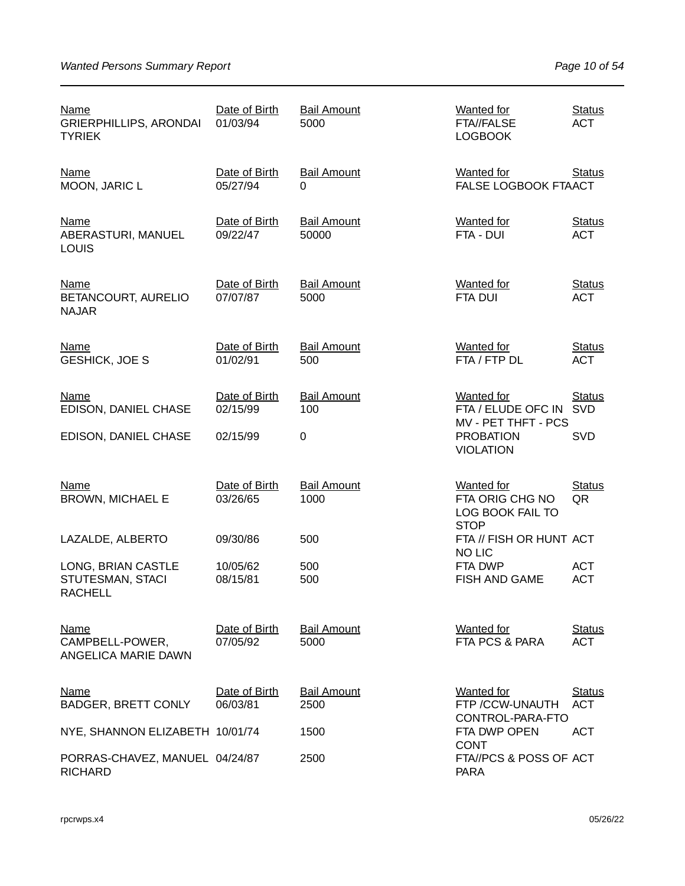| Name<br><b>GRIERPHILLIPS, ARONDAI</b><br><b>TYRIEK</b>   | Date of Birth<br>01/03/94 | <b>Bail Amount</b><br>5000  | <b>Wanted for</b><br>FTA//FALSE<br><b>LOGBOOK</b>                       | <b>Status</b><br><b>ACT</b> |
|----------------------------------------------------------|---------------------------|-----------------------------|-------------------------------------------------------------------------|-----------------------------|
| <b>Name</b><br>MOON, JARIC L                             | Date of Birth<br>05/27/94 | <b>Bail Amount</b><br>0     | <b>Wanted for</b><br>FALSE LOGBOOK FTAACT                               | <b>Status</b>               |
| <b>Name</b><br>ABERASTURI, MANUEL<br><b>LOUIS</b>        | Date of Birth<br>09/22/47 | <b>Bail Amount</b><br>50000 | <b>Wanted</b> for<br>FTA - DUI                                          | <b>Status</b><br><b>ACT</b> |
| <b>Name</b><br>BETANCOURT, AURELIO<br><b>NAJAR</b>       | Date of Birth<br>07/07/87 | <b>Bail Amount</b><br>5000  | <b>Wanted for</b><br><b>FTA DUI</b>                                     | <b>Status</b><br><b>ACT</b> |
| Name<br><b>GESHICK, JOE S</b>                            | Date of Birth<br>01/02/91 | <b>Bail Amount</b><br>500   | <b>Wanted for</b><br>FTA / FTP DL                                       | <b>Status</b><br><b>ACT</b> |
| <b>Name</b><br>EDISON, DANIEL CHASE                      | Date of Birth<br>02/15/99 | <b>Bail Amount</b><br>100   | <b>Wanted for</b><br>FTA / ELUDE OFC IN<br>MV - PET THFT - PCS          | <b>Status</b><br><b>SVD</b> |
| EDISON, DANIEL CHASE                                     | 02/15/99                  | $\mathbf 0$                 | <b>PROBATION</b><br><b>VIOLATION</b>                                    | <b>SVD</b>                  |
| Name<br><b>BROWN, MICHAEL E</b>                          | Date of Birth<br>03/26/65 | <b>Bail Amount</b><br>1000  | <b>Wanted for</b><br>FTA ORIG CHG NO<br>LOG BOOK FAIL TO<br><b>STOP</b> | <b>Status</b><br>QR         |
| LAZALDE, ALBERTO                                         | 09/30/86                  | 500                         | FTA // FISH OR HUNT ACT<br><b>NO LIC</b>                                |                             |
| LONG, BRIAN CASTLE<br>STUTESMAN, STACI<br><b>RACHELL</b> | 10/05/62<br>08/15/81      | 500<br>500                  | FTA DWP<br><b>FISH AND GAME</b>                                         | <b>ACT</b><br><b>ACT</b>    |
| Name<br>CAMPBELL-POWER,<br>ANGELICA MARIE DAWN           | Date of Birth<br>07/05/92 | <b>Bail Amount</b><br>5000  | <b>Wanted for</b><br>FTA PCS & PARA                                     | <b>Status</b><br><b>ACT</b> |
| Name<br><b>BADGER, BRETT CONLY</b>                       | Date of Birth<br>06/03/81 | <b>Bail Amount</b><br>2500  | <b>Wanted for</b><br>FTP /CCW-UNAUTH                                    | <b>Status</b><br><b>ACT</b> |
| NYE, SHANNON ELIZABETH 10/01/74                          |                           | 1500                        | CONTROL-PARA-FTO<br>FTA DWP OPEN                                        | <b>ACT</b>                  |
| PORRAS-CHAVEZ, MANUEL 04/24/87<br><b>RICHARD</b>         |                           | 2500                        | <b>CONT</b><br>FTA//PCS & POSS OF ACT<br><b>PARA</b>                    |                             |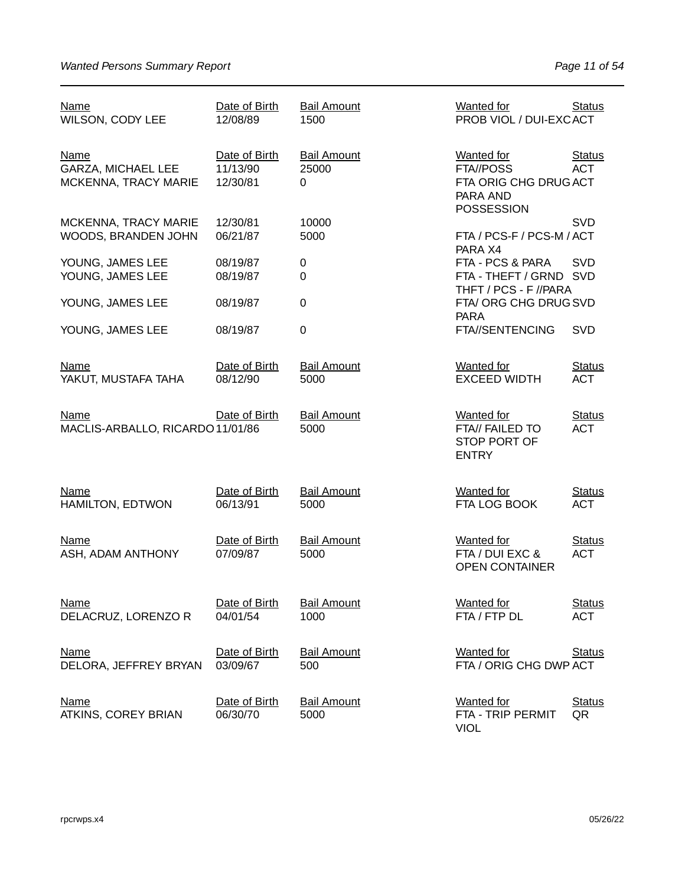| <b>Name</b><br>WILSON, CODY LEE                           | Date of Birth<br>12/08/89             | <b>Bail Amount</b><br>1500       | Wanted for<br>PROB VIOL / DUI-EXCACT                                                     | <b>Status</b>               |
|-----------------------------------------------------------|---------------------------------------|----------------------------------|------------------------------------------------------------------------------------------|-----------------------------|
| Name<br><b>GARZA, MICHAEL LEE</b><br>MCKENNA, TRACY MARIE | Date of Birth<br>11/13/90<br>12/30/81 | <b>Bail Amount</b><br>25000<br>0 | <b>Wanted for</b><br>FTA//POSS<br>FTA ORIG CHG DRUG ACT<br>PARA AND<br><b>POSSESSION</b> | <b>Status</b><br><b>ACT</b> |
| MCKENNA, TRACY MARIE<br>WOODS, BRANDEN JOHN               | 12/30/81<br>06/21/87                  | 10000<br>5000                    | FTA / PCS-F / PCS-M / ACT                                                                | <b>SVD</b>                  |
| YOUNG, JAMES LEE<br>YOUNG, JAMES LEE                      | 08/19/87<br>08/19/87                  | $\pmb{0}$<br>0                   | PARA X4<br>FTA - PCS & PARA<br>FTA - THEFT / GRND SVD<br>THFT / PCS - F //PARA           | <b>SVD</b>                  |
| YOUNG, JAMES LEE                                          | 08/19/87                              | 0                                | FTA/ORG CHG DRUGSVD                                                                      |                             |
| YOUNG, JAMES LEE                                          | 08/19/87                              | $\mathbf 0$                      | <b>PARA</b><br>FTA//SENTENCING                                                           | <b>SVD</b>                  |
| <b>Name</b><br>YAKUT, MUSTAFA TAHA                        | Date of Birth<br>08/12/90             | <b>Bail Amount</b><br>5000       | <b>Wanted for</b><br><b>EXCEED WIDTH</b>                                                 | <b>Status</b><br><b>ACT</b> |
| <b>Name</b><br>MACLIS-ARBALLO, RICARDO 11/01/86           | Date of Birth                         | <b>Bail Amount</b><br>5000       | <b>Wanted for</b><br>FTA// FAILED TO<br>STOP PORT OF<br><b>ENTRY</b>                     | <b>Status</b><br><b>ACT</b> |
| <b>Name</b><br>HAMILTON, EDTWON                           | Date of Birth<br>06/13/91             | <b>Bail Amount</b><br>5000       | <b>Wanted for</b><br>FTA LOG BOOK                                                        | <b>Status</b><br><b>ACT</b> |
| <b>Name</b><br>ASH, ADAM ANTHONY                          | Date of Birth<br>07/09/87             | <b>Bail Amount</b><br>5000       | <b>Wanted for</b><br>FTA / DUI EXC &<br><b>OPEN CONTAINER</b>                            | <b>Status</b><br><b>ACT</b> |
| <b>Name</b><br>DELACRUZ, LORENZO R                        | Date of Birth<br>04/01/54             | <b>Bail Amount</b><br>1000       | <b>Wanted for</b><br>FTA / FTP DL                                                        | <b>Status</b><br><b>ACT</b> |
| <b>Name</b><br>DELORA, JEFFREY BRYAN                      | Date of Birth<br>03/09/67             | <b>Bail Amount</b><br>500        | <b>Wanted for</b><br>FTA / ORIG CHG DWP ACT                                              | <b>Status</b>               |
| <b>Name</b><br>ATKINS, COREY BRIAN                        | Date of Birth<br>06/30/70             | <b>Bail Amount</b><br>5000       | <b>Wanted</b> for<br>FTA - TRIP PERMIT<br><b>VIOL</b>                                    | <b>Status</b><br>QR         |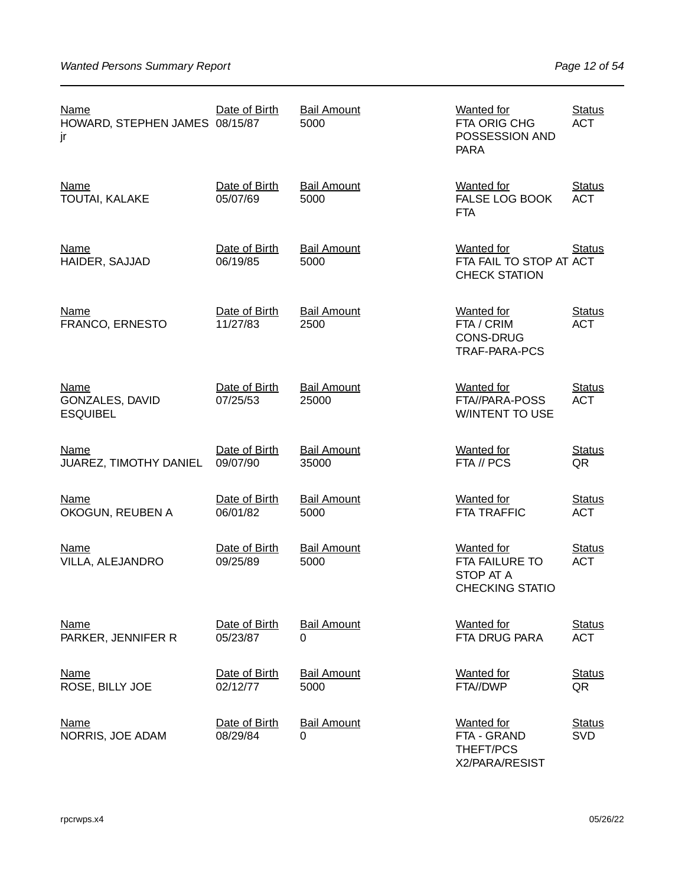| <b>Name</b><br>HOWARD, STEPHEN JAMES 08/15/87<br>jr      | Date of Birth             | <b>Bail Amount</b><br>5000     | <b>Wanted for</b><br>FTA ORIG CHG<br>POSSESSION AND<br><b>PARA</b>          | <b>Status</b><br><b>ACT</b> |
|----------------------------------------------------------|---------------------------|--------------------------------|-----------------------------------------------------------------------------|-----------------------------|
| <b>Name</b><br>TOUTAI, KALAKE                            | Date of Birth<br>05/07/69 | <b>Bail Amount</b><br>5000     | <b>Wanted for</b><br>FALSE LOG BOOK<br><b>FTA</b>                           | <b>Status</b><br><b>ACT</b> |
| <b>Name</b><br>HAIDER, SAJJAD                            | Date of Birth<br>06/19/85 | <b>Bail Amount</b><br>5000     | <b>Wanted for</b><br>FTA FAIL TO STOP AT ACT<br><b>CHECK STATION</b>        | <b>Status</b>               |
| <b>Name</b><br>FRANCO, ERNESTO                           | Date of Birth<br>11/27/83 | <b>Bail Amount</b><br>2500     | <b>Wanted for</b><br>FTA / CRIM<br><b>CONS-DRUG</b><br><b>TRAF-PARA-PCS</b> | <b>Status</b><br><b>ACT</b> |
| <b>Name</b><br><b>GONZALES, DAVID</b><br><b>ESQUIBEL</b> | Date of Birth<br>07/25/53 | <b>Bail Amount</b><br>25000    | <b>Wanted for</b><br>FTA//PARA-POSS<br><b>WINTENT TO USE</b>                | <b>Status</b><br><b>ACT</b> |
| Name<br>JUAREZ, TIMOTHY DANIEL                           | Date of Birth<br>09/07/90 | <b>Bail Amount</b><br>35000    | <b>Wanted</b> for<br>FTA // PCS                                             | <b>Status</b><br>QR         |
| <b>Name</b><br>OKOGUN, REUBEN A                          | Date of Birth<br>06/01/82 | <b>Bail Amount</b><br>5000     | <b>Wanted for</b><br><b>FTA TRAFFIC</b>                                     | <b>Status</b><br><b>ACT</b> |
| <b>Name</b><br>VILLA, ALEJANDRO                          | Date of Birth<br>09/25/89 | <b>Bail Amount</b><br>5000     | <b>Wanted for</b><br>FTA FAILURE TO<br>STOP AT A<br><b>CHECKING STATIO</b>  | <b>Status</b><br><b>ACT</b> |
| <b>Name</b><br>PARKER, JENNIFER R                        | Date of Birth<br>05/23/87 | <b>Bail Amount</b><br>0        | <b>Wanted for</b><br>FTA DRUG PARA                                          | <b>Status</b><br><b>ACT</b> |
| <b>Name</b><br>ROSE, BILLY JOE                           | Date of Birth<br>02/12/77 | <b>Bail Amount</b><br>5000     | <b>Wanted for</b><br>FTA//DWP                                               | <b>Status</b><br>QR         |
| <u>Name</u><br>NORRIS, JOE ADAM                          | Date of Birth<br>08/29/84 | <b>Bail Amount</b><br>$\Omega$ | <b>Wanted</b> for<br>FTA - GRAND<br>THEFT/PCS<br>X2/PARA/RESIST             | <b>Status</b><br><b>SVD</b> |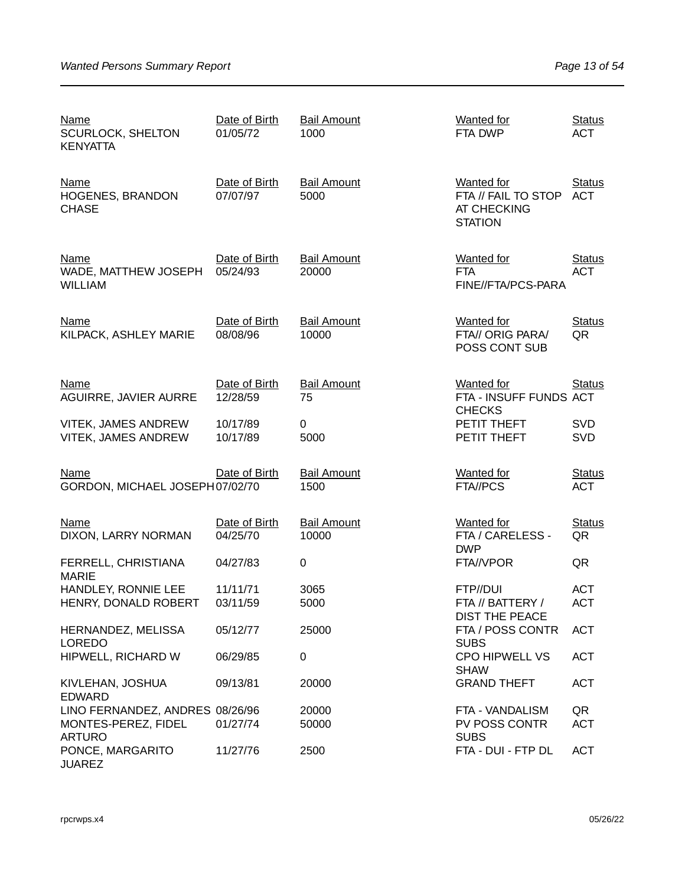| <u>Name</u><br><b>SCURLOCK, SHELTON</b><br><b>KENYATTA</b>  | Date of Birth<br>01/05/72 | <b>Bail Amount</b><br>1000  | Wanted for<br>FTA DWP                                                     | <b>Status</b><br><b>ACT</b> |
|-------------------------------------------------------------|---------------------------|-----------------------------|---------------------------------------------------------------------------|-----------------------------|
| <b>Name</b><br>HOGENES, BRANDON<br><b>CHASE</b>             | Date of Birth<br>07/07/97 | <b>Bail Amount</b><br>5000  | <b>Wanted for</b><br>FTA // FAIL TO STOP<br>AT CHECKING<br><b>STATION</b> | <b>Status</b><br><b>ACT</b> |
| Name<br>WADE, MATTHEW JOSEPH<br><b>WILLIAM</b>              | Date of Birth<br>05/24/93 | <b>Bail Amount</b><br>20000 | <b>Wanted</b> for<br><b>FTA</b><br>FINE//FTA/PCS-PARA                     | <b>Status</b><br><b>ACT</b> |
| <b>Name</b><br>KILPACK, ASHLEY MARIE                        | Date of Birth<br>08/08/96 | <b>Bail Amount</b><br>10000 | <b>Wanted for</b><br>FTA// ORIG PARA/<br>POSS CONT SUB                    | <b>Status</b><br>QR         |
| <b>Name</b><br>AGUIRRE, JAVIER AURRE                        | Date of Birth<br>12/28/59 | <b>Bail Amount</b><br>75    | Wanted for<br>FTA - INSUFF FUNDS ACT                                      | <b>Status</b>               |
| <b>VITEK, JAMES ANDREW</b><br><b>VITEK, JAMES ANDREW</b>    | 10/17/89<br>10/17/89      | 0<br>5000                   | <b>CHECKS</b><br>PETIT THEFT<br>PETIT THEFT                               | <b>SVD</b><br><b>SVD</b>    |
| Name<br>GORDON, MICHAEL JOSEPH07/02/70                      | Date of Birth             | <b>Bail Amount</b><br>1500  | <b>Wanted for</b><br>FTA//PCS                                             | <b>Status</b><br><b>ACT</b> |
| <b>Name</b><br>DIXON, LARRY NORMAN                          | Date of Birth<br>04/25/70 | <b>Bail Amount</b><br>10000 | <b>Wanted for</b><br>FTA / CARELESS -<br><b>DWP</b>                       | <b>Status</b><br>QR         |
| FERRELL, CHRISTIANA                                         | 04/27/83                  | $\pmb{0}$                   | FTA//VPOR                                                                 | QR                          |
| <b>MARIE</b><br>HANDLEY, RONNIE LEE<br>HENRY, DONALD ROBERT | 11/11/71<br>03/11/59      | 3065<br>5000                | FTP//DUI<br>FTA // BATTERY /<br>DIST THE PEACE                            | <b>ACT</b><br><b>ACT</b>    |
| HERNANDEZ, MELISSA<br><b>LOREDO</b>                         | 05/12/77                  | 25000                       | FTA / POSS CONTR<br><b>SUBS</b>                                           | <b>ACT</b>                  |
| HIPWELL, RICHARD W                                          | 06/29/85                  | $\mathbf 0$                 | <b>CPO HIPWELL VS</b><br><b>SHAW</b>                                      | <b>ACT</b>                  |
| KIVLEHAN, JOSHUA<br><b>EDWARD</b>                           | 09/13/81                  | 20000                       | <b>GRAND THEFT</b>                                                        | <b>ACT</b>                  |
| LINO FERNANDEZ, ANDRES 08/26/96<br>MONTES-PEREZ, FIDEL      | 01/27/74                  | 20000<br>50000              | FTA - VANDALISM<br>PV POSS CONTR                                          | QR<br><b>ACT</b>            |
| <b>ARTURO</b><br>PONCE, MARGARITO<br><b>JUAREZ</b>          | 11/27/76                  | 2500                        | <b>SUBS</b><br>FTA - DUI - FTP DL                                         | <b>ACT</b>                  |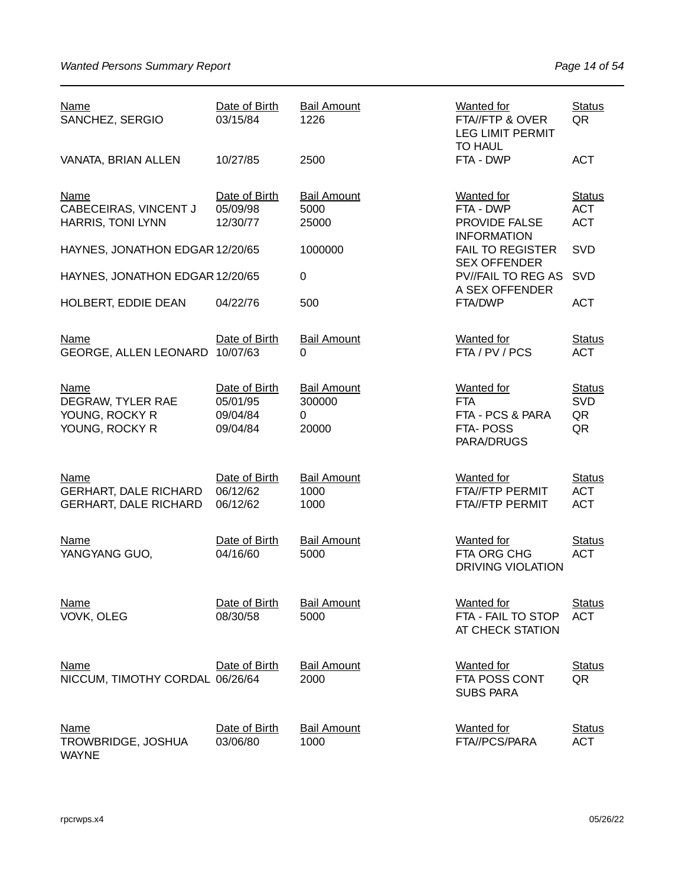| Name<br>SANCHEZ, SERGIO                                              | Date of Birth<br>03/15/84                         | <b>Bail Amount</b><br>1226                 | <b>Wanted for</b><br>FTA//FTP & OVER<br><b>LEG LIMIT PERMIT</b><br><b>TO HAUL</b> | <b>Status</b><br>QR                       |
|----------------------------------------------------------------------|---------------------------------------------------|--------------------------------------------|-----------------------------------------------------------------------------------|-------------------------------------------|
| VANATA, BRIAN ALLEN                                                  | 10/27/85                                          | 2500                                       | FTA - DWP                                                                         | <b>ACT</b>                                |
| <b>Name</b><br>CABECEIRAS, VINCENT J<br>HARRIS, TONI LYNN            | Date of Birth<br>05/09/98<br>12/30/77             | <b>Bail Amount</b><br>5000<br>25000        | <b>Wanted for</b><br>FTA - DWP<br>PROVIDE FALSE<br><b>INFORMATION</b>             | <b>Status</b><br><b>ACT</b><br><b>ACT</b> |
| HAYNES, JONATHON EDGAR 12/20/65                                      |                                                   | 1000000                                    | <b>FAIL TO REGISTER</b>                                                           | <b>SVD</b>                                |
| HAYNES, JONATHON EDGAR 12/20/65                                      |                                                   | 0                                          | <b>SEX OFFENDER</b><br><b>PV//FAIL TO REG AS</b><br>A SEX OFFENDER                | <b>SVD</b>                                |
| HOLBERT, EDDIE DEAN                                                  | 04/22/76                                          | 500                                        | FTA/DWP                                                                           | <b>ACT</b>                                |
| <b>Name</b><br>GEORGE, ALLEN LEONARD 10/07/63                        | Date of Birth                                     | <b>Bail Amount</b><br>0                    | <b>Wanted for</b><br>FTA / PV / PCS                                               | <b>Status</b><br><b>ACT</b>               |
| <b>Name</b><br>DEGRAW, TYLER RAE<br>YOUNG, ROCKY R<br>YOUNG, ROCKY R | Date of Birth<br>05/01/95<br>09/04/84<br>09/04/84 | <b>Bail Amount</b><br>300000<br>0<br>20000 | <b>Wanted for</b><br><b>FTA</b><br>FTA - PCS & PARA<br>FTA-POSS<br>PARA/DRUGS     | <b>Status</b><br><b>SVD</b><br>QR<br>QR   |
| Name<br><b>GERHART, DALE RICHARD</b><br><b>GERHART, DALE RICHARD</b> | Date of Birth<br>06/12/62<br>06/12/62             | <b>Bail Amount</b><br>1000<br>1000         | <b>Wanted for</b><br>FTA//FTP PERMIT<br>FTA//FTP PERMIT                           | <b>Status</b><br><b>ACT</b><br><b>ACT</b> |
| <b>Name</b><br>YANGYANG GUO,                                         | Date of Birth<br>04/16/60                         | <b>Bail Amount</b><br>5000                 | Wanted for<br>FTA ORG CHG<br><b>DRIVING VIOLATION</b>                             | <b>Status</b><br><b>ACT</b>               |
| <b>Name</b><br>VOVK, OLEG                                            | Date of Birth<br>08/30/58                         | <b>Bail Amount</b><br>5000                 | <b>Wanted</b> for<br>FTA - FAIL TO STOP<br>AT CHECK STATION                       | <b>Status</b><br><b>ACT</b>               |
| <b>Name</b><br>NICCUM, TIMOTHY CORDAL 06/26/64                       | Date of Birth                                     | <b>Bail Amount</b><br>2000                 | <b>Wanted for</b><br>FTA POSS CONT<br><b>SUBS PARA</b>                            | <b>Status</b><br>QR                       |
| <b>Name</b><br>TROWBRIDGE, JOSHUA<br><b>WAYNE</b>                    | Date of Birth<br>03/06/80                         | <b>Bail Amount</b><br>1000                 | <b>Wanted</b> for<br>FTA//PCS/PARA                                                | <b>Status</b><br><b>ACT</b>               |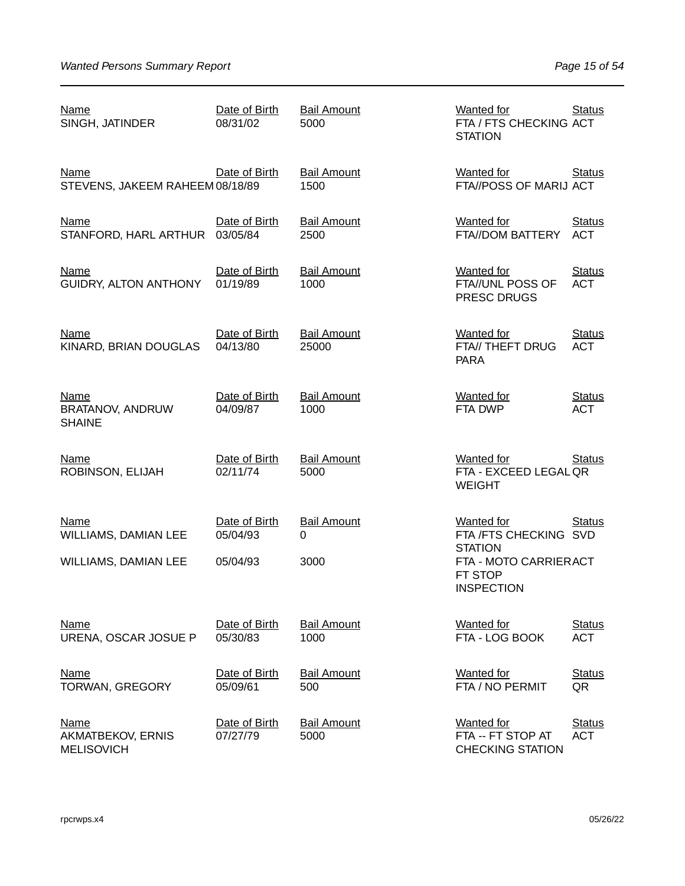| <b>Name</b><br>SINGH, JATINDER                        | Date of Birth<br>08/31/02 | <b>Bail Amount</b><br>5000  | <b>Wanted for</b><br>FTA / FTS CHECKING ACT<br><b>STATION</b>           | <b>Status</b>               |
|-------------------------------------------------------|---------------------------|-----------------------------|-------------------------------------------------------------------------|-----------------------------|
| Name<br>STEVENS, JAKEEM RAHEEM 08/18/89               | Date of Birth             | <b>Bail Amount</b><br>1500  | <b>Wanted for</b><br>FTA//POSS OF MARIJ ACT                             | <b>Status</b>               |
| <b>Name</b><br>STANFORD, HARL ARTHUR                  | Date of Birth<br>03/05/84 | <b>Bail Amount</b><br>2500  | <b>Wanted for</b><br>FTA//DOM BATTERY                                   | <b>Status</b><br><b>ACT</b> |
| <b>Name</b><br>GUIDRY, ALTON ANTHONY                  | Date of Birth<br>01/19/89 | <b>Bail Amount</b><br>1000  | <b>Wanted for</b><br>FTA//UNL POSS OF<br>PRESC DRUGS                    | <b>Status</b><br><b>ACT</b> |
| <b>Name</b><br>KINARD, BRIAN DOUGLAS                  | Date of Birth<br>04/13/80 | <b>Bail Amount</b><br>25000 | <b>Wanted for</b><br>FTA// THEFT DRUG<br><b>PARA</b>                    | <b>Status</b><br><b>ACT</b> |
| <b>Name</b><br>BRATANOV, ANDRUW<br><b>SHAINE</b>      | Date of Birth<br>04/09/87 | <b>Bail Amount</b><br>1000  | <b>Wanted for</b><br>FTA DWP                                            | <b>Status</b><br><b>ACT</b> |
| <b>Name</b><br>ROBINSON, ELIJAH                       | Date of Birth<br>02/11/74 | <b>Bail Amount</b><br>5000  | <b>Wanted for</b><br>FTA - EXCEED LEGAL QR<br><b>WEIGHT</b>             | <b>Status</b>               |
| Name<br>WILLIAMS, DAMIAN LEE                          | Date of Birth<br>05/04/93 | <b>Bail Amount</b><br>0     | <b>Wanted for</b><br>FTA / FTS CHECKING SVD                             | <b>Status</b>               |
| WILLIAMS, DAMIAN LEE                                  | 05/04/93                  | 3000                        | <b>STATION</b><br>FTA - MOTO CARRIERACT<br>FT STOP<br><b>INSPECTION</b> |                             |
| <b>Name</b><br>URENA, OSCAR JOSUE P                   | Date of Birth<br>05/30/83 | <b>Bail Amount</b><br>1000  | <b>Wanted for</b><br>FTA - LOG BOOK                                     | <b>Status</b><br><b>ACT</b> |
| <b>Name</b><br><b>TORWAN, GREGORY</b>                 | Date of Birth<br>05/09/61 | <b>Bail Amount</b><br>500   | <b>Wanted for</b><br>FTA / NO PERMIT                                    | <b>Status</b><br>QR         |
| <u>Name</u><br>AKMATBEKOV, ERNIS<br><b>MELISOVICH</b> | Date of Birth<br>07/27/79 | <b>Bail Amount</b><br>5000  | <b>Wanted for</b><br>FTA -- FT STOP AT<br><b>CHECKING STATION</b>       | <b>Status</b><br><b>ACT</b> |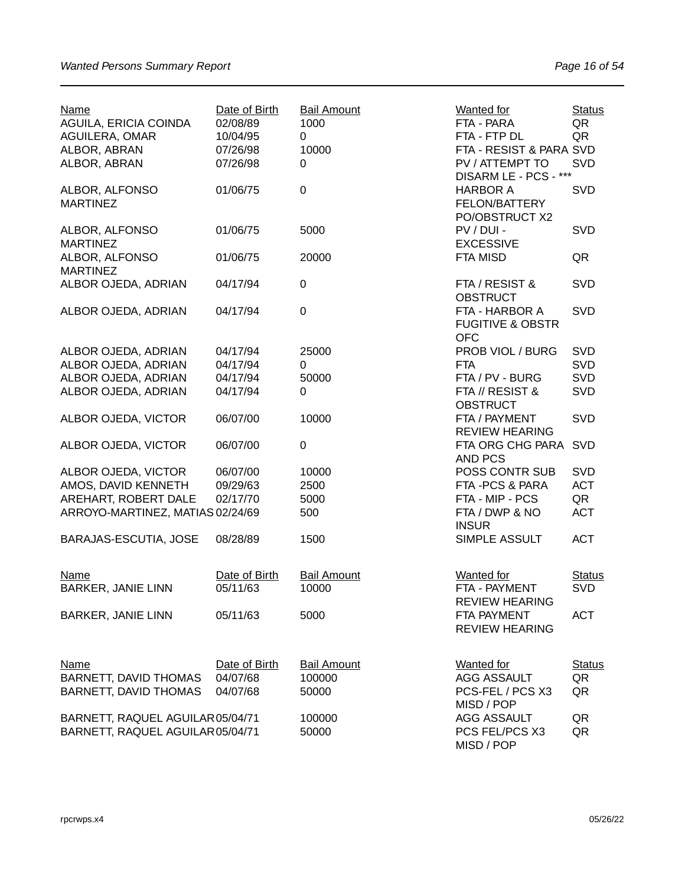| Name<br>AGUILA, ERICIA COINDA     | Date of Birth<br>02/08/89 | <b>Bail Amount</b><br>1000 | <b>Wanted for</b><br>FTA - PARA                             | <b>Status</b><br>QR |
|-----------------------------------|---------------------------|----------------------------|-------------------------------------------------------------|---------------------|
| <b>AGUILERA, OMAR</b>             | 10/04/95                  | 0                          | FTA - FTP DL                                                | QR                  |
| ALBOR, ABRAN                      | 07/26/98                  | 10000                      | FTA - RESIST & PARA SVD                                     |                     |
| ALBOR, ABRAN                      | 07/26/98                  | 0                          | PV / ATTEMPT TO<br>DISARM LE - PCS - ***                    | <b>SVD</b>          |
| ALBOR, ALFONSO<br><b>MARTINEZ</b> | 01/06/75                  | $\mathbf 0$                | <b>HARBOR A</b><br>FELON/BATTERY<br>PO/OBSTRUCT X2          | <b>SVD</b>          |
| ALBOR, ALFONSO<br><b>MARTINEZ</b> | 01/06/75                  | 5000                       | PV / DUI -<br><b>EXCESSIVE</b>                              | <b>SVD</b>          |
| ALBOR, ALFONSO<br><b>MARTINEZ</b> | 01/06/75                  | 20000                      | <b>FTA MISD</b>                                             | QR                  |
| ALBOR OJEDA, ADRIAN               | 04/17/94                  | 0                          | FTA / RESIST &<br><b>OBSTRUCT</b>                           | <b>SVD</b>          |
| ALBOR OJEDA, ADRIAN               | 04/17/94                  | $\mathbf 0$                | FTA - HARBOR A<br><b>FUGITIVE &amp; OBSTR</b><br><b>OFC</b> | <b>SVD</b>          |
| ALBOR OJEDA, ADRIAN               | 04/17/94                  | 25000                      | PROB VIOL / BURG                                            | <b>SVD</b>          |
| ALBOR OJEDA, ADRIAN               | 04/17/94                  | 0                          | <b>FTA</b>                                                  | <b>SVD</b>          |
| ALBOR OJEDA, ADRIAN               | 04/17/94                  | 50000                      | FTA / PV - BURG                                             | <b>SVD</b>          |
| ALBOR OJEDA, ADRIAN               | 04/17/94                  | 0                          | FTA // RESIST &<br><b>OBSTRUCT</b>                          | <b>SVD</b>          |
| ALBOR OJEDA, VICTOR               | 06/07/00                  | 10000                      | FTA / PAYMENT<br><b>REVIEW HEARING</b>                      | <b>SVD</b>          |
| ALBOR OJEDA, VICTOR               | 06/07/00                  | 0                          | FTA ORG CHG PARA<br>AND PCS                                 | <b>SVD</b>          |
| ALBOR OJEDA, VICTOR               | 06/07/00                  | 10000                      | POSS CONTR SUB                                              | <b>SVD</b>          |
| AMOS, DAVID KENNETH               | 09/29/63                  | 2500                       | FTA-PCS & PARA                                              | <b>ACT</b>          |
| AREHART, ROBERT DALE              | 02/17/70                  | 5000                       | FTA - MIP - PCS                                             | QR                  |
| ARROYO-MARTINEZ, MATIAS 02/24/69  |                           | 500                        | FTA / DWP & NO<br><b>INSUR</b>                              | <b>ACT</b>          |
| BARAJAS-ESCUTIA, JOSE             | 08/28/89                  | 1500                       | SIMPLE ASSULT                                               | <b>ACT</b>          |
| <b>Name</b>                       | Date of Birth             | <b>Bail Amount</b>         | <b>Wanted for</b>                                           | <b>Status</b>       |
| <b>BARKER, JANIE LINN</b>         | 05/11/63                  | 10000                      | FTA - PAYMENT<br><b>REVIEW HEARING</b>                      | <b>SVD</b>          |
| <b>BARKER, JANIE LINN</b>         | 05/11/63                  | 5000                       | FTA PAYMENT<br><b>REVIEW HEARING</b>                        | <b>ACT</b>          |
| <b>Name</b>                       | Date of Birth             | <b>Bail Amount</b>         | <b>Wanted for</b>                                           | <b>Status</b>       |
| <b>BARNETT, DAVID THOMAS</b>      | 04/07/68                  | 100000                     | <b>AGG ASSAULT</b>                                          | QR                  |
| <b>BARNETT, DAVID THOMAS</b>      | 04/07/68                  | 50000                      | PCS-FEL / PCS X3<br>MISD / POP                              | QR                  |
| BARNETT, RAQUEL AGUILAR 05/04/71  |                           | 100000                     | <b>AGG ASSAULT</b>                                          | QR                  |
| BARNETT, RAQUEL AGUILAR05/04/71   |                           | 50000                      | PCS FEL/PCS X3<br>MISD / POP                                | QR                  |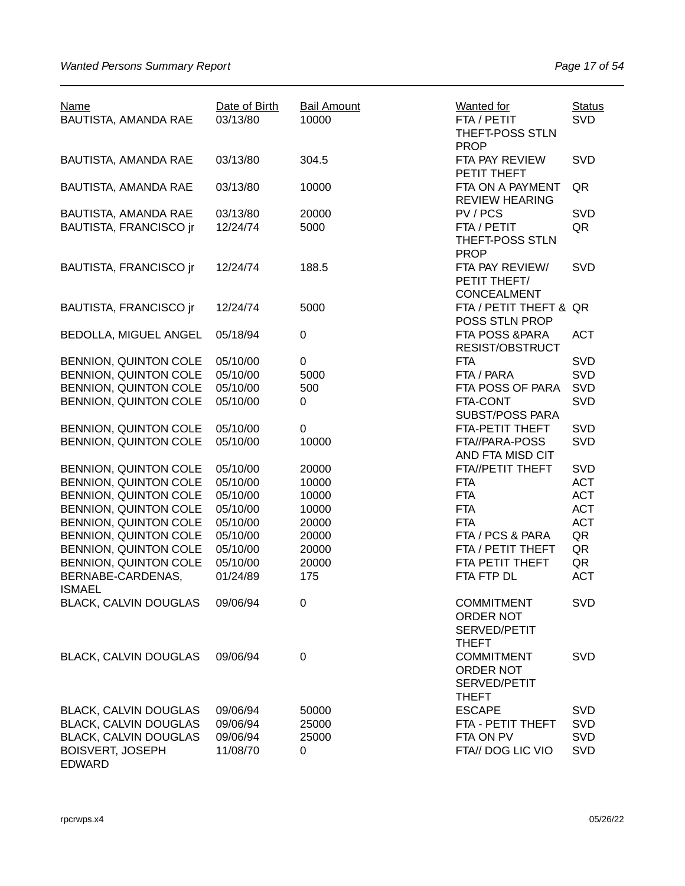| <b>Name</b><br>BAUTISTA, AMANDA RAE                   | Date of Birth<br>03/13/80 | <b>Bail Amount</b><br>10000 | <b>Wanted for</b><br>FTA / PETIT<br>THEFT-POSS STLN<br><b>PROP</b> | <b>Status</b><br><b>SVD</b> |
|-------------------------------------------------------|---------------------------|-----------------------------|--------------------------------------------------------------------|-----------------------------|
| BAUTISTA, AMANDA RAE                                  | 03/13/80                  | 304.5                       | FTA PAY REVIEW<br>PETIT THEFT                                      | SVD                         |
| BAUTISTA, AMANDA RAE                                  | 03/13/80                  | 10000                       | FTA ON A PAYMENT<br><b>REVIEW HEARING</b>                          | QR                          |
| BAUTISTA, AMANDA RAE<br><b>BAUTISTA, FRANCISCO ir</b> | 03/13/80<br>12/24/74      | 20000<br>5000               | PV/PCS<br>FTA / PETIT<br>THEFT-POSS STLN<br><b>PROP</b>            | <b>SVD</b><br>QR            |
| BAUTISTA, FRANCISCO jr                                | 12/24/74                  | 188.5                       | FTA PAY REVIEW/<br>PETIT THEFT/<br><b>CONCEALMENT</b>              | <b>SVD</b>                  |
| BAUTISTA, FRANCISCO jr                                | 12/24/74                  | 5000                        | FTA / PETIT THEFT & QR<br>POSS STLN PROP                           |                             |
| BEDOLLA, MIGUEL ANGEL                                 | 05/18/94                  | $\boldsymbol{0}$            | FTA POSS & PARA<br>RESIST/OBSTRUCT                                 | <b>ACT</b>                  |
| BENNION, QUINTON COLE                                 | 05/10/00                  | 0                           | <b>FTA</b>                                                         | <b>SVD</b>                  |
| <b>BENNION, QUINTON COLE</b>                          | 05/10/00                  | 5000                        | FTA / PARA                                                         | SVD                         |
|                                                       |                           |                             |                                                                    |                             |
| BENNION, QUINTON COLE                                 | 05/10/00                  | 500                         | FTA POSS OF PARA                                                   | SVD                         |
| BENNION, QUINTON COLE                                 | 05/10/00                  | 0                           | FTA-CONT                                                           | SVD                         |
|                                                       |                           |                             | <b>SUBST/POSS PARA</b>                                             |                             |
|                                                       |                           |                             |                                                                    |                             |
| BENNION, QUINTON COLE                                 | 05/10/00                  | 0                           | FTA-PETIT THEFT                                                    | SVD                         |
| BENNION, QUINTON COLE                                 | 05/10/00                  | 10000                       | FTA//PARA-POSS<br>AND FTA MISD CIT                                 | SVD                         |
| BENNION, QUINTON COLE                                 | 05/10/00                  | 20000                       | FTA//PETIT THEFT                                                   | <b>SVD</b>                  |
| BENNION, QUINTON COLE                                 | 05/10/00                  | 10000                       | <b>FTA</b>                                                         | <b>ACT</b>                  |
|                                                       |                           |                             |                                                                    |                             |
| BENNION, QUINTON COLE                                 | 05/10/00                  | 10000                       | <b>FTA</b>                                                         | <b>ACT</b>                  |
| BENNION, QUINTON COLE                                 | 05/10/00                  | 10000                       | <b>FTA</b>                                                         | <b>ACT</b>                  |
| BENNION, QUINTON COLE                                 | 05/10/00                  | 20000                       | <b>FTA</b>                                                         | <b>ACT</b>                  |
| BENNION, QUINTON COLE                                 | 05/10/00                  | 20000                       | FTA / PCS & PARA                                                   | QR                          |
| BENNION, QUINTON COLE                                 | 05/10/00                  | 20000                       | FTA / PETIT THEFT                                                  | QR                          |
|                                                       |                           |                             |                                                                    |                             |
| BENNION, QUINTON COLE                                 | 05/10/00                  | 20000                       | FTA PETIT THEFT                                                    | QR                          |
| BERNABE-CARDENAS,                                     | 01/24/89                  | 175                         | FTA FTP DL                                                         | <b>ACT</b>                  |
| <b>ISMAEL</b>                                         |                           |                             |                                                                    |                             |
| <b>BLACK, CALVIN DOUGLAS</b>                          | 09/06/94                  | 0                           | <b>COMMITMENT</b><br>ORDER NOT<br>SERVED/PETIT                     | <b>SVD</b>                  |
| <b>BLACK, CALVIN DOUGLAS</b>                          | 09/06/94                  | 0                           | <b>THEFT</b><br><b>COMMITMENT</b><br>ORDER NOT<br>SERVED/PETIT     | <b>SVD</b>                  |
|                                                       |                           |                             | <b>THEFT</b>                                                       |                             |
| <b>BLACK, CALVIN DOUGLAS</b>                          | 09/06/94                  | 50000                       | <b>ESCAPE</b>                                                      | <b>SVD</b>                  |
| <b>BLACK, CALVIN DOUGLAS</b>                          | 09/06/94                  | 25000                       | FTA - PETIT THEFT                                                  | <b>SVD</b>                  |
| <b>BLACK, CALVIN DOUGLAS</b>                          | 09/06/94                  | 25000                       | FTA ON PV                                                          | <b>SVD</b>                  |
| <b>BOISVERT, JOSEPH</b><br><b>EDWARD</b>              | 11/08/70                  | 0                           | FTA// DOG LIC VIO                                                  | SVD                         |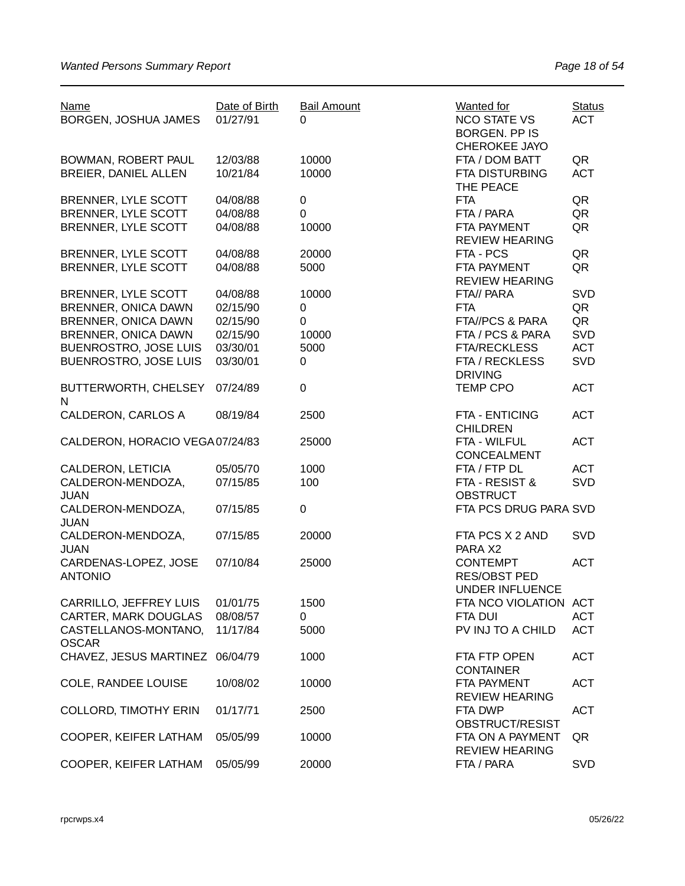| <b>Name</b><br>BORGEN, JOSHUA JAMES    | Date of Birth<br>01/27/91 | <b>Bail Amount</b><br>$\Omega$ | Wanted for<br><b>NCO STATE VS</b><br><b>BORGEN. PP IS</b>        | <b>Status</b><br><b>ACT</b> |
|----------------------------------------|---------------------------|--------------------------------|------------------------------------------------------------------|-----------------------------|
| BOWMAN, ROBERT PAUL                    | 12/03/88                  | 10000                          | CHEROKEE JAYO<br>FTA / DOM BATT                                  | QR                          |
| BREIER, DANIEL ALLEN                   | 10/21/84                  | 10000                          | <b>FTA DISTURBING</b><br>THE PEACE                               | <b>ACT</b>                  |
| BRENNER, LYLE SCOTT                    | 04/08/88                  | 0                              | <b>FTA</b>                                                       | QR                          |
| BRENNER, LYLE SCOTT                    | 04/08/88                  | 0                              | FTA / PARA                                                       | QR                          |
| BRENNER, LYLE SCOTT                    | 04/08/88                  | 10000                          | FTA PAYMENT<br><b>REVIEW HEARING</b>                             | QR                          |
| BRENNER, LYLE SCOTT                    | 04/08/88                  | 20000                          | FTA - PCS                                                        | QR                          |
| BRENNER, LYLE SCOTT                    | 04/08/88                  | 5000                           | FTA PAYMENT<br><b>REVIEW HEARING</b>                             | QR                          |
| BRENNER, LYLE SCOTT                    | 04/08/88                  | 10000                          | FTA// PARA                                                       | SVD                         |
| BRENNER, ONICA DAWN                    | 02/15/90                  | 0                              | <b>FTA</b>                                                       | QR                          |
| <b>BRENNER, ONICA DAWN</b>             | 02/15/90                  | 0                              | FTA//PCS & PARA                                                  | QR                          |
| <b>BRENNER, ONICA DAWN</b>             | 02/15/90                  | 10000                          | FTA / PCS & PARA                                                 | SVD                         |
| <b>BUENROSTRO, JOSE LUIS</b>           | 03/30/01                  | 5000                           | <b>FTA/RECKLESS</b>                                              | <b>ACT</b>                  |
| <b>BUENROSTRO, JOSE LUIS</b>           | 03/30/01                  | 0                              | FTA / RECKLESS<br><b>DRIVING</b>                                 | SVD                         |
| BUTTERWORTH, CHELSEY<br>N              | 07/24/89                  | 0                              | <b>TEMP CPO</b>                                                  | <b>ACT</b>                  |
| <b>CALDERON, CARLOS A</b>              | 08/19/84                  | 2500                           | FTA - ENTICING<br><b>CHILDREN</b>                                | <b>ACT</b>                  |
| CALDERON, HORACIO VEGA07/24/83         |                           | 25000                          | FTA - WILFUL<br>CONCEALMENT                                      | <b>ACT</b>                  |
| CALDERON, LETICIA                      | 05/05/70                  | 1000                           | FTA / FTP DL                                                     | <b>ACT</b>                  |
| CALDERON-MENDOZA,<br><b>JUAN</b>       | 07/15/85                  | 100                            | FTA - RESIST &<br><b>OBSTRUCT</b>                                | SVD                         |
| CALDERON-MENDOZA,<br><b>JUAN</b>       | 07/15/85                  | 0                              | FTA PCS DRUG PARA SVD                                            |                             |
| CALDERON-MENDOZA,<br><b>JUAN</b>       | 07/15/85                  | 20000                          | FTA PCS X 2 AND<br>PARA X2                                       | SVD                         |
| CARDENAS-LOPEZ, JOSE<br><b>ANTONIO</b> | 07/10/84                  | 25000                          | <b>CONTEMPT</b><br><b>RES/OBST PED</b><br><b>UNDER INFLUENCE</b> | <b>ACT</b>                  |
| CARRILLO, JEFFREY LUIS                 | 01/01/75                  | 1500                           | FTA NCO VIOLATION ACT                                            |                             |
| <b>CARTER, MARK DOUGLAS</b>            | 08/08/57                  | 0                              | FTA DUI                                                          | <b>ACT</b>                  |
| CASTELLANOS-MONTANO,<br><b>OSCAR</b>   | 11/17/84                  | 5000                           | PV INJ TO A CHILD                                                | <b>ACT</b>                  |
| CHAVEZ, JESUS MARTINEZ                 | 06/04/79                  | 1000                           | FTA FTP OPEN<br><b>CONTAINER</b>                                 | <b>ACT</b>                  |
| <b>COLE, RANDEE LOUISE</b>             | 10/08/02                  | 10000                          | FTA PAYMENT<br><b>REVIEW HEARING</b>                             | <b>ACT</b>                  |
| <b>COLLORD, TIMOTHY ERIN</b>           | 01/17/71                  | 2500                           | FTA DWP<br>OBSTRUCT/RESIST                                       | <b>ACT</b>                  |
| COOPER, KEIFER LATHAM                  | 05/05/99                  | 10000                          | FTA ON A PAYMENT<br><b>REVIEW HEARING</b>                        | QR                          |
| COOPER, KEIFER LATHAM                  | 05/05/99                  | 20000                          | FTA / PARA                                                       | <b>SVD</b>                  |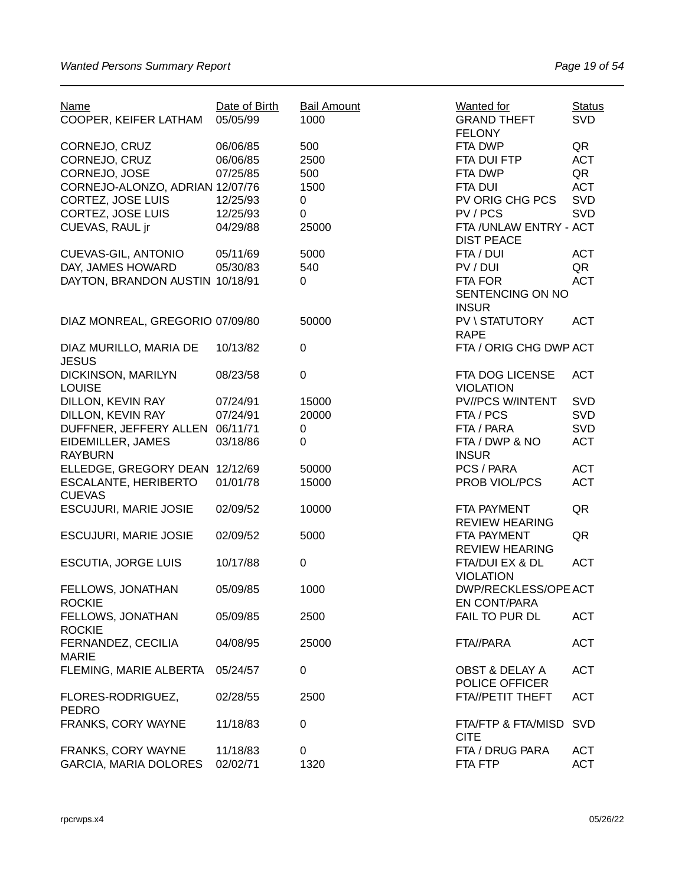| <b>Name</b><br>COOPER, KEIFER LATHAM   | Date of Birth<br>05/05/99 | <b>Bail Amount</b><br>1000 | <b>Wanted for</b><br><b>GRAND THEFT</b><br><b>FELONY</b> | <b>Status</b><br><b>SVD</b> |
|----------------------------------------|---------------------------|----------------------------|----------------------------------------------------------|-----------------------------|
| CORNEJO, CRUZ                          | 06/06/85                  | 500                        | FTA DWP                                                  | QR                          |
| CORNEJO, CRUZ                          | 06/06/85                  | 2500                       | FTA DUI FTP                                              | <b>ACT</b>                  |
| CORNEJO, JOSE                          | 07/25/85                  | 500                        | FTA DWP                                                  | QR                          |
| CORNEJO-ALONZO, ADRIAN 12/07/76        |                           | 1500                       | FTA DUI                                                  | <b>ACT</b>                  |
|                                        |                           |                            | PV ORIG CHG PCS                                          | <b>SVD</b>                  |
| CORTEZ, JOSE LUIS                      | 12/25/93                  | 0                          |                                                          |                             |
| <b>CORTEZ, JOSE LUIS</b>               | 12/25/93                  | $\mathbf 0$                | PV/PCS                                                   | SVD                         |
| CUEVAS, RAUL jr                        | 04/29/88                  | 25000                      | FTA / UNLAW ENTRY - ACT<br><b>DIST PEACE</b>             |                             |
| CUEVAS-GIL, ANTONIO                    | 05/11/69                  | 5000                       | FTA / DUI                                                | <b>ACT</b>                  |
| DAY, JAMES HOWARD                      | 05/30/83                  | 540                        | PV / DUI                                                 | QR                          |
| DAYTON, BRANDON AUSTIN 10/18/91        |                           | 0                          | FTA FOR                                                  | <b>ACT</b>                  |
|                                        |                           |                            | SENTENCING ON NO<br><b>INSUR</b>                         |                             |
| DIAZ MONREAL, GREGORIO 07/09/80        |                           | 50000                      | PV \ STATUTORY                                           | <b>ACT</b>                  |
|                                        |                           |                            | <b>RAPE</b>                                              |                             |
| DIAZ MURILLO, MARIA DE<br><b>JESUS</b> | 10/13/82                  | $\pmb{0}$                  | FTA / ORIG CHG DWP ACT                                   |                             |
| DICKINSON, MARILYN                     | 08/23/58                  | $\boldsymbol{0}$           | FTA DOG LICENSE                                          | <b>ACT</b>                  |
| <b>LOUISE</b>                          |                           |                            | <b>VIOLATION</b>                                         |                             |
| DILLON, KEVIN RAY                      |                           | 15000                      | PV//PCS W/INTENT                                         | <b>SVD</b>                  |
|                                        | 07/24/91                  |                            |                                                          |                             |
| DILLON, KEVIN RAY                      | 07/24/91                  | 20000                      | FTA / PCS                                                | SVD                         |
| DUFFNER, JEFFERY ALLEN                 | 06/11/71                  | $\pmb{0}$                  | FTA / PARA                                               | <b>SVD</b>                  |
| EIDEMILLER, JAMES<br><b>RAYBURN</b>    | 03/18/86                  | 0                          | FTA / DWP & NO<br><b>INSUR</b>                           | <b>ACT</b>                  |
| ELLEDGE, GREGORY DEAN 12/12/69         |                           | 50000                      | PCS / PARA                                               | <b>ACT</b>                  |
| <b>ESCALANTE, HERIBERTO</b>            | 01/01/78                  | 15000                      | PROB VIOL/PCS                                            | <b>ACT</b>                  |
| <b>CUEVAS</b>                          |                           |                            |                                                          |                             |
| ESCUJURI, MARIE JOSIE                  | 02/09/52                  | 10000                      | FTA PAYMENT                                              | QR                          |
|                                        |                           |                            | <b>REVIEW HEARING</b>                                    |                             |
| ESCUJURI, MARIE JOSIE                  | 02/09/52                  | 5000                       | FTA PAYMENT                                              | QR                          |
|                                        |                           |                            | <b>REVIEW HEARING</b>                                    |                             |
| <b>ESCUTIA, JORGE LUIS</b>             | 10/17/88                  | $\boldsymbol{0}$           | FTA/DUI EX & DL                                          | <b>ACT</b>                  |
|                                        |                           |                            | <b>VIOLATION</b>                                         |                             |
| FELLOWS, JONATHAN                      | 05/09/85                  | 1000                       | DWP/RECKLESS/OPE ACT                                     |                             |
| <b>ROCKIE</b>                          |                           |                            | EN CONT/PARA                                             |                             |
| FELLOWS, JONATHAN                      | 05/09/85                  | 2500                       | FAIL TO PUR DL                                           | <b>ACT</b>                  |
| <b>ROCKIE</b>                          |                           |                            |                                                          |                             |
|                                        |                           |                            |                                                          |                             |
| FERNANDEZ, CECILIA                     | 04/08/95                  | 25000                      | FTA//PARA                                                | <b>ACT</b>                  |
| <b>MARIE</b>                           |                           |                            |                                                          |                             |
| FLEMING, MARIE ALBERTA                 | 05/24/57                  | $\pmb{0}$                  | <b>OBST &amp; DELAY A</b>                                | <b>ACT</b>                  |
|                                        |                           |                            | POLICE OFFICER                                           |                             |
| FLORES-RODRIGUEZ,                      | 02/28/55                  | 2500                       | FTA//PETIT THEFT                                         | <b>ACT</b>                  |
| <b>PEDRO</b>                           |                           |                            |                                                          |                             |
| FRANKS, CORY WAYNE                     | 11/18/83                  | $\pmb{0}$                  | FTA/FTP & FTA/MISD<br><b>CITE</b>                        | <b>SVD</b>                  |
| FRANKS, CORY WAYNE                     | 11/18/83                  | 0                          | FTA / DRUG PARA                                          | <b>ACT</b>                  |
| <b>GARCIA, MARIA DOLORES</b>           | 02/02/71                  | 1320                       | FTA FTP                                                  | <b>ACT</b>                  |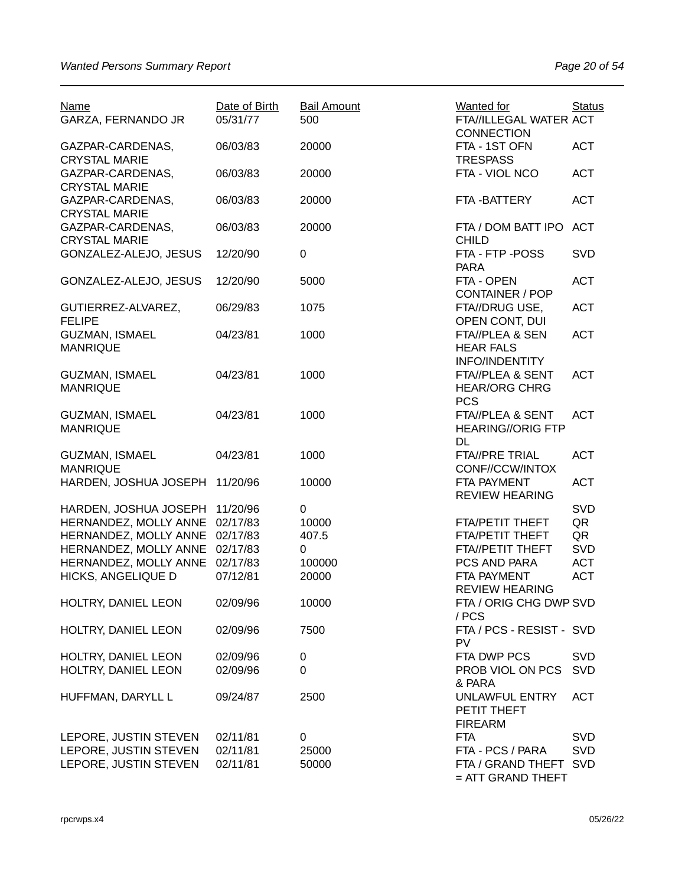| <b>Name</b><br>GARZA, FERNANDO JR        | Date of Birth<br>05/31/77 | <b>Bail Amount</b><br>500 | <b>Wanted</b> for<br>FTA//ILLEGAL WATER ACT<br><b>CONNECTION</b> | <b>Status</b> |
|------------------------------------------|---------------------------|---------------------------|------------------------------------------------------------------|---------------|
| GAZPAR-CARDENAS,<br><b>CRYSTAL MARIE</b> | 06/03/83                  | 20000                     | FTA - 1ST OFN<br><b>TRESPASS</b>                                 | <b>ACT</b>    |
| GAZPAR-CARDENAS,<br><b>CRYSTAL MARIE</b> | 06/03/83                  | 20000                     | FTA - VIOL NCO                                                   | <b>ACT</b>    |
| GAZPAR-CARDENAS,<br><b>CRYSTAL MARIE</b> | 06/03/83                  | 20000                     | FTA-BATTERY                                                      | <b>ACT</b>    |
| GAZPAR-CARDENAS,<br><b>CRYSTAL MARIE</b> | 06/03/83                  | 20000                     | FTA / DOM BATT IPO<br><b>CHILD</b>                               | <b>ACT</b>    |
| GONZALEZ-ALEJO, JESUS                    | 12/20/90                  | $\boldsymbol{0}$          | FTA - FTP - POSS<br><b>PARA</b>                                  | <b>SVD</b>    |
| GONZALEZ-ALEJO, JESUS                    | 12/20/90                  | 5000                      | FTA - OPEN<br><b>CONTAINER / POP</b>                             | <b>ACT</b>    |
| GUTIERREZ-ALVAREZ,<br><b>FELIPE</b>      | 06/29/83                  | 1075                      | FTA//DRUG USE,<br>OPEN CONT, DUI                                 | <b>ACT</b>    |
| <b>GUZMAN, ISMAEL</b><br><b>MANRIQUE</b> | 04/23/81                  | 1000                      | FTA//PLEA & SEN<br><b>HEAR FALS</b><br><b>INFO/INDENTITY</b>     | <b>ACT</b>    |
| <b>GUZMAN, ISMAEL</b><br><b>MANRIQUE</b> | 04/23/81                  | 1000                      | FTA//PLEA & SENT<br><b>HEAR/ORG CHRG</b><br><b>PCS</b>           | <b>ACT</b>    |
| <b>GUZMAN, ISMAEL</b><br><b>MANRIQUE</b> | 04/23/81                  | 1000                      | FTA//PLEA & SENT<br><b>HEARING//ORIG FTP</b><br>DL               | <b>ACT</b>    |
| <b>GUZMAN, ISMAEL</b><br><b>MANRIQUE</b> | 04/23/81                  | 1000                      | <b>FTA//PRE TRIAL</b><br>CONF//CCW/INTOX                         | <b>ACT</b>    |
| HARDEN, JOSHUA JOSEPH                    | 11/20/96                  | 10000                     | FTA PAYMENT<br><b>REVIEW HEARING</b>                             | <b>ACT</b>    |
| HARDEN, JOSHUA JOSEPH                    | 11/20/96                  | 0                         |                                                                  | <b>SVD</b>    |
| HERNANDEZ, MOLLY ANNE                    | 02/17/83                  | 10000                     | FTA/PETIT THEFT                                                  | QR            |
| HERNANDEZ, MOLLY ANNE                    | 02/17/83                  | 407.5                     | FTA/PETIT THEFT                                                  | QR            |
| HERNANDEZ, MOLLY ANNE                    | 02/17/83                  | 0                         | FTA//PETIT THEFT                                                 | SVD           |
| HERNANDEZ, MOLLY ANNE                    | 02/17/83                  | 100000                    | PCS AND PARA                                                     | <b>ACT</b>    |
| HICKS, ANGELIQUE D                       | 07/12/81                  | 20000                     | FTA PAYMENT<br><b>REVIEW HEARING</b>                             | <b>ACT</b>    |
| HOLTRY, DANIEL LEON                      | 02/09/96                  | 10000                     | FTA / ORIG CHG DWP SVD<br>/ PCS                                  |               |
| HOLTRY, DANIEL LEON                      | 02/09/96                  | 7500                      | FTA / PCS - RESIST - SVD<br>PV                                   |               |
| HOLTRY, DANIEL LEON                      | 02/09/96                  | 0                         | FTA DWP PCS                                                      | <b>SVD</b>    |
| HOLTRY, DANIEL LEON                      | 02/09/96                  | 0                         | PROB VIOL ON PCS<br>& PARA                                       | <b>SVD</b>    |
| HUFFMAN, DARYLL L                        | 09/24/87                  | 2500                      | <b>UNLAWFUL ENTRY</b><br>PETIT THEFT<br><b>FIREARM</b>           | <b>ACT</b>    |
| LEPORE, JUSTIN STEVEN                    | 02/11/81                  | 0                         | <b>FTA</b>                                                       | <b>SVD</b>    |
| LEPORE, JUSTIN STEVEN                    | 02/11/81                  | 25000                     | FTA - PCS / PARA                                                 | <b>SVD</b>    |
| LEPORE, JUSTIN STEVEN                    | 02/11/81                  | 50000                     | FTA / GRAND THEFT<br>$=$ ATT GRAND THEFT                         | <b>SVD</b>    |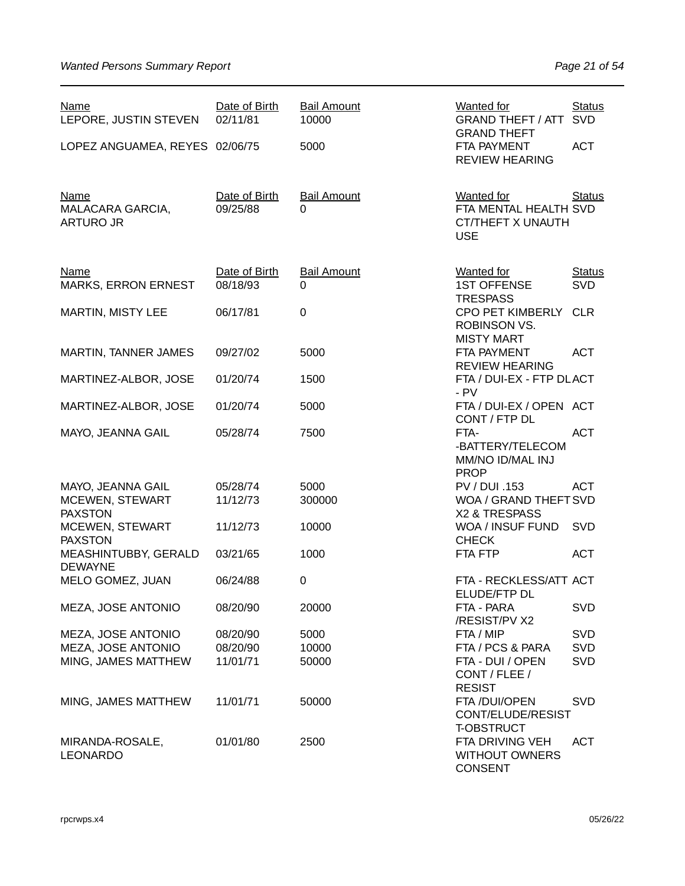| <b>Name</b><br>LEPORE, JUSTIN STEVEN                | Date of Birth<br>02/11/81 | <b>Bail Amount</b><br>10000 | Wanted for<br><b>GRAND THEFT / ATT</b><br><b>GRAND THEFT</b>                  | <b>Status</b><br><b>SVD</b> |
|-----------------------------------------------------|---------------------------|-----------------------------|-------------------------------------------------------------------------------|-----------------------------|
| LOPEZ ANGUAMEA, REYES 02/06/75                      |                           | 5000                        | FTA PAYMENT<br><b>REVIEW HEARING</b>                                          | <b>ACT</b>                  |
| <b>Name</b><br>MALACARA GARCIA,<br><b>ARTURO JR</b> | Date of Birth<br>09/25/88 | <b>Bail Amount</b><br>0     | Wanted for<br>FTA MENTAL HEALTH SVD<br><b>CT/THEFT X UNAUTH</b><br><b>USE</b> | <b>Status</b>               |
| <b>Name</b><br><b>MARKS, ERRON ERNEST</b>           | Date of Birth<br>08/18/93 | <b>Bail Amount</b><br>0     | <b>Wanted for</b><br><b>1ST OFFENSE</b><br><b>TRESPASS</b>                    | <b>Status</b><br>SVD        |
| <b>MARTIN, MISTY LEE</b>                            | 06/17/81                  | 0                           | <b>CPO PET KIMBERLY</b><br><b>ROBINSON VS.</b><br><b>MISTY MART</b>           | <b>CLR</b>                  |
| MARTIN, TANNER JAMES                                | 09/27/02                  | 5000                        | FTA PAYMENT<br><b>REVIEW HEARING</b>                                          | <b>ACT</b>                  |
| MARTINEZ-ALBOR, JOSE                                | 01/20/74                  | 1500                        | FTA / DUI-EX - FTP DLACT<br>$- PV$                                            |                             |
| MARTINEZ-ALBOR, JOSE                                | 01/20/74                  | 5000                        | FTA / DUI-EX / OPEN ACT<br>CONT / FTP DL                                      |                             |
| MAYO, JEANNA GAIL                                   | 05/28/74                  | 7500                        | FTA-<br>-BATTERY/TELECOM<br>MM/NO ID/MAL INJ<br><b>PROP</b>                   | <b>ACT</b>                  |
| MAYO, JEANNA GAIL                                   | 05/28/74                  | 5000                        | PV / DUI .153                                                                 | <b>ACT</b>                  |
| MCEWEN, STEWART<br><b>PAXSTON</b>                   | 11/12/73                  | 300000                      | WOA / GRAND THEFT SVD<br>X2 & TRESPASS                                        |                             |
| MCEWEN, STEWART<br><b>PAXSTON</b>                   | 11/12/73                  | 10000                       | WOA / INSUF FUND<br><b>CHECK</b>                                              | <b>SVD</b>                  |
| MEASHINTUBBY, GERALD<br><b>DEWAYNE</b>              | 03/21/65                  | 1000                        | FTA FTP                                                                       | <b>ACT</b>                  |
| MELO GOMEZ, JUAN                                    | 06/24/88                  | 0                           | FTA - RECKLESS/ATT ACT<br>ELUDE/FTP DL                                        |                             |
| MEZA, JOSE ANTONIO                                  | 08/20/90                  | 20000                       | FTA - PARA<br>/RESIST/PV X2                                                   | <b>SVD</b>                  |
| MEZA, JOSE ANTONIO                                  | 08/20/90                  | 5000                        | FTA / MIP                                                                     | <b>SVD</b>                  |
| MEZA, JOSE ANTONIO                                  | 08/20/90                  | 10000                       | FTA / PCS & PARA                                                              | <b>SVD</b>                  |
| MING, JAMES MATTHEW                                 | 11/01/71                  | 50000                       | FTA - DUI / OPEN<br>CONT / FLEE /                                             | <b>SVD</b>                  |
|                                                     |                           |                             | <b>RESIST</b>                                                                 |                             |
| MING, JAMES MATTHEW                                 | 11/01/71                  | 50000                       | FTA /DUI/OPEN<br>CONT/ELUDE/RESIST<br><b>T-OBSTRUCT</b>                       | <b>SVD</b>                  |
| MIRANDA-ROSALE,<br><b>LEONARDO</b>                  | 01/01/80                  | 2500                        | FTA DRIVING VEH<br><b>WITHOUT OWNERS</b><br><b>CONSENT</b>                    | <b>ACT</b>                  |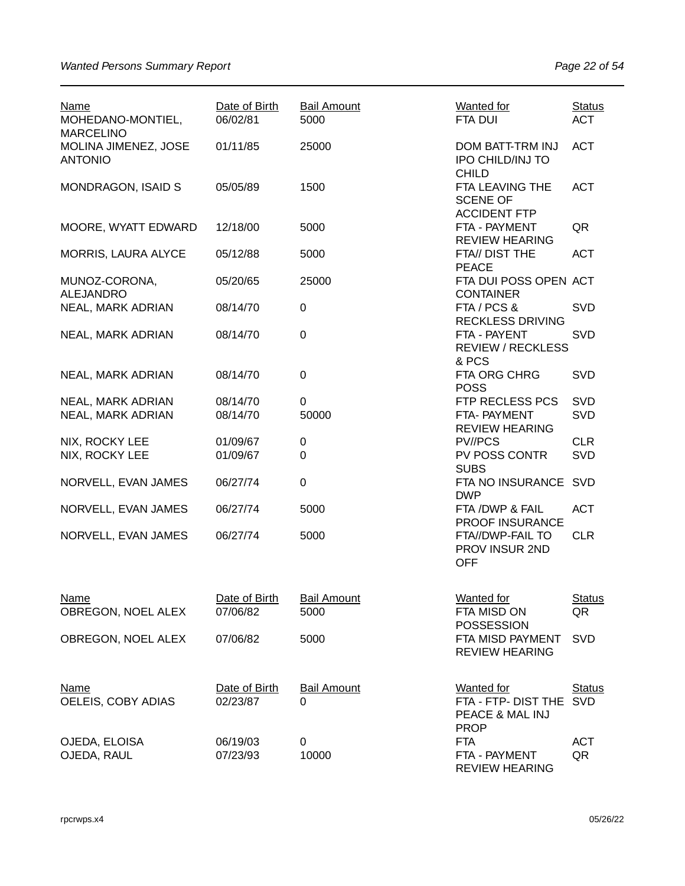| <b>Name</b><br>MOHEDANO-MONTIEL,<br><b>MARCELINO</b> | Date of Birth<br>06/02/81 | <b>Bail Amount</b><br>5000     | Wanted for<br>FTA DUI                                               | <b>Status</b><br><b>ACT</b> |
|------------------------------------------------------|---------------------------|--------------------------------|---------------------------------------------------------------------|-----------------------------|
| MOLINA JIMENEZ, JOSE<br><b>ANTONIO</b>               | 01/11/85                  | 25000                          | DOM BATT-TRM INJ<br><b>IPO CHILD/INJ TO</b><br><b>CHILD</b>         | <b>ACT</b>                  |
| <b>MONDRAGON, ISAID S</b>                            | 05/05/89                  | 1500                           | FTA LEAVING THE<br><b>SCENE OF</b><br><b>ACCIDENT FTP</b>           | <b>ACT</b>                  |
| MOORE, WYATT EDWARD                                  | 12/18/00                  | 5000                           | FTA - PAYMENT<br><b>REVIEW HEARING</b>                              | QR                          |
| MORRIS, LAURA ALYCE                                  | 05/12/88                  | 5000                           | FTA// DIST THE<br><b>PEACE</b>                                      | <b>ACT</b>                  |
| MUNOZ-CORONA,<br><b>ALEJANDRO</b>                    | 05/20/65                  | 25000                          | FTA DUI POSS OPEN ACT<br><b>CONTAINER</b>                           |                             |
| NEAL, MARK ADRIAN                                    | 08/14/70                  | 0                              | FTA / PCS &<br><b>RECKLESS DRIVING</b>                              | <b>SVD</b>                  |
| <b>NEAL, MARK ADRIAN</b>                             | 08/14/70                  | $\pmb{0}$                      | FTA - PAYENT<br><b>REVIEW / RECKLESS</b><br>& PCS                   | <b>SVD</b>                  |
| NEAL, MARK ADRIAN                                    | 08/14/70                  | $\pmb{0}$                      | FTA ORG CHRG<br><b>POSS</b>                                         | SVD                         |
| NEAL, MARK ADRIAN                                    | 08/14/70                  | 0                              | FTP RECLESS PCS                                                     | <b>SVD</b>                  |
| NEAL, MARK ADRIAN                                    | 08/14/70                  | 50000                          | FTA- PAYMENT<br><b>REVIEW HEARING</b>                               | SVD                         |
| NIX, ROCKY LEE                                       | 01/09/67                  | 0                              | PV//PCS                                                             | <b>CLR</b>                  |
| NIX, ROCKY LEE                                       | 01/09/67                  | $\mathbf 0$                    | PV POSS CONTR<br><b>SUBS</b>                                        | SVD                         |
| NORVELL, EVAN JAMES                                  | 06/27/74                  | $\pmb{0}$                      | FTA NO INSURANCE SVD<br><b>DWP</b>                                  |                             |
| NORVELL, EVAN JAMES                                  | 06/27/74                  | 5000                           | FTA / DWP & FAIL<br>PROOF INSURANCE                                 | <b>ACT</b>                  |
| NORVELL, EVAN JAMES                                  | 06/27/74                  | 5000                           | FTA//DWP-FAIL TO<br>PROV INSUR 2ND<br><b>OFF</b>                    | <b>CLR</b>                  |
| Name                                                 | Date of Birth             | <b>Bail Amount</b>             | <b>Wanted for</b>                                                   | <b>Status</b>               |
| OBREGON, NOEL ALEX                                   | 07/06/82                  | 5000                           | FTA MISD ON<br><b>POSSESSION</b>                                    | QR                          |
| OBREGON, NOEL ALEX                                   | 07/06/82                  | 5000                           | FTA MISD PAYMENT<br><b>REVIEW HEARING</b>                           | <b>SVD</b>                  |
| Name<br>OELEIS, COBY ADIAS                           | Date of Birth<br>02/23/87 | <b>Bail Amount</b><br>$\Omega$ | Wanted for<br>FTA - FTP- DIST THE<br>PEACE & MAL INJ<br><b>PROP</b> | <b>Status</b><br><b>SVD</b> |
| OJEDA, ELOISA<br>OJEDA, RAUL                         | 06/19/03<br>07/23/93      | 0<br>10000                     | <b>FTA</b><br>FTA - PAYMENT<br><b>REVIEW HEARING</b>                | ACT<br>QR                   |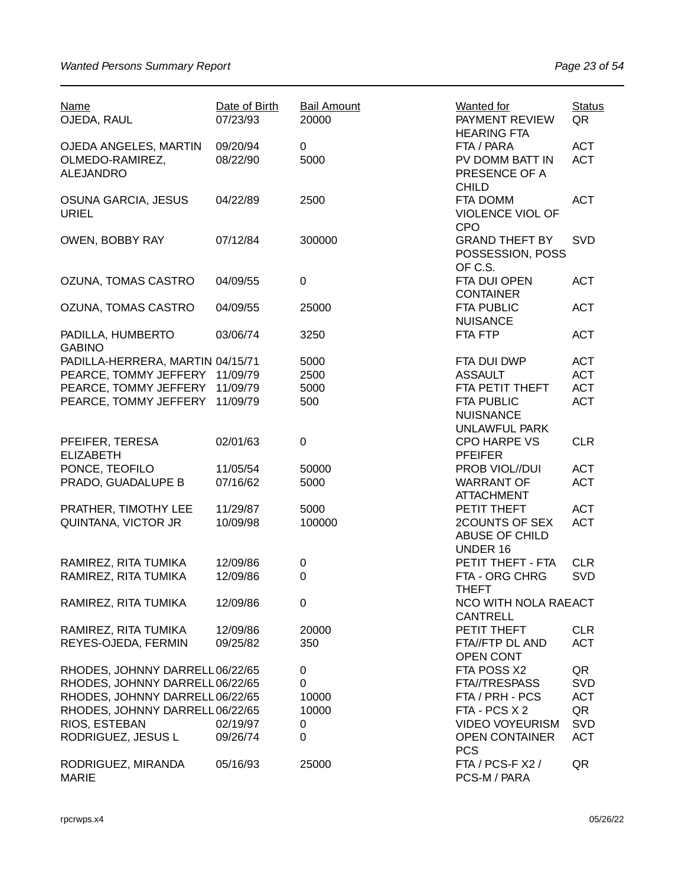| <b>Name</b><br>OJEDA, RAUL          | Date of Birth<br>07/23/93 | <b>Bail Amount</b><br>20000 | Wanted for<br>PAYMENT REVIEW<br><b>HEARING FTA</b>            | <b>Status</b><br>QR |
|-------------------------------------|---------------------------|-----------------------------|---------------------------------------------------------------|---------------------|
| OJEDA ANGELES, MARTIN               | 09/20/94                  | 0                           | FTA / PARA                                                    | <b>ACT</b>          |
| OLMEDO-RAMIREZ,<br><b>ALEJANDRO</b> | 08/22/90                  | 5000                        | PV DOMM BATT IN<br>PRESENCE OF A<br><b>CHILD</b>              | <b>ACT</b>          |
| OSUNA GARCIA, JESUS<br><b>URIEL</b> | 04/22/89                  | 2500                        | FTA DOMM<br>VIOLENCE VIOL OF<br><b>CPO</b>                    | <b>ACT</b>          |
| OWEN, BOBBY RAY                     | 07/12/84                  | 300000                      | <b>GRAND THEFT BY</b><br>POSSESSION, POSS<br>OF C.S.          | SVD                 |
| OZUNA, TOMAS CASTRO                 | 04/09/55                  | 0                           | FTA DUI OPEN<br><b>CONTAINER</b>                              | <b>ACT</b>          |
| OZUNA, TOMAS CASTRO                 | 04/09/55                  | 25000                       | <b>FTA PUBLIC</b><br><b>NUISANCE</b>                          | <b>ACT</b>          |
| PADILLA, HUMBERTO<br><b>GABINO</b>  | 03/06/74                  | 3250                        | FTA FTP                                                       | <b>ACT</b>          |
| PADILLA-HERRERA, MARTIN 04/15/71    |                           | 5000                        | FTA DUI DWP                                                   | <b>ACT</b>          |
| PEARCE, TOMMY JEFFERY 11/09/79      |                           | 2500                        | <b>ASSAULT</b>                                                | <b>ACT</b>          |
| PEARCE, TOMMY JEFFERY 11/09/79      |                           | 5000                        | FTA PETIT THEFT                                               | <b>ACT</b>          |
| PEARCE, TOMMY JEFFERY               | 11/09/79                  | 500                         | <b>FTA PUBLIC</b><br><b>NUISNANCE</b><br><b>UNLAWFUL PARK</b> | <b>ACT</b>          |
| PFEIFER, TERESA<br><b>ELIZABETH</b> | 02/01/63                  | 0                           | <b>CPO HARPE VS</b><br><b>PFEIFER</b>                         | <b>CLR</b>          |
| PONCE, TEOFILO                      | 11/05/54                  | 50000                       | PROB VIOL//DUI                                                | <b>ACT</b>          |
| PRADO, GUADALUPE B                  | 07/16/62                  | 5000                        | <b>WARRANT OF</b><br><b>ATTACHMENT</b>                        | <b>ACT</b>          |
| PRATHER, TIMOTHY LEE                | 11/29/87                  | 5000                        | PETIT THEFT                                                   | <b>ACT</b>          |
| QUINTANA, VICTOR JR                 | 10/09/98                  | 100000                      | 2COUNTS OF SEX<br>ABUSE OF CHILD<br><b>UNDER 16</b>           | <b>ACT</b>          |
| RAMIREZ, RITA TUMIKA                | 12/09/86                  | 0                           | PETIT THEFT - FTA                                             | <b>CLR</b>          |
| RAMIREZ, RITA TUMIKA                | 12/09/86                  | 0                           | FTA - ORG CHRG<br><b>THEFT</b>                                | <b>SVD</b>          |
| RAMIREZ, RITA TUMIKA                | 12/09/86                  | 0                           | <b>NCO WITH NOLA RAEACT</b><br><b>CANTRELL</b>                |                     |
| RAMIREZ, RITA TUMIKA                | 12/09/86                  | 20000                       | PETIT THEFT                                                   | <b>CLR</b>          |
| REYES-OJEDA, FERMIN                 | 09/25/82                  | 350                         | FTA//FTP DL AND<br>OPEN CONT                                  | <b>ACT</b>          |
| RHODES, JOHNNY DARRELL06/22/65      |                           | 0                           | FTA POSS X2                                                   | QR                  |
| RHODES, JOHNNY DARRELL06/22/65      |                           | 0                           | <b>FTA//TRESPASS</b>                                          | <b>SVD</b>          |
| RHODES, JOHNNY DARRELL06/22/65      |                           | 10000                       | FTA / PRH - PCS                                               | <b>ACT</b>          |
| RHODES, JOHNNY DARRELL06/22/65      |                           | 10000                       | FTA - PCS X 2                                                 | QR                  |
| RIOS, ESTEBAN                       | 02/19/97                  | 0                           | <b>VIDEO VOYEURISM</b>                                        | SVD                 |
| RODRIGUEZ, JESUS L                  | 09/26/74                  | 0                           | <b>OPEN CONTAINER</b><br><b>PCS</b>                           | <b>ACT</b>          |
| RODRIGUEZ, MIRANDA<br><b>MARIE</b>  | 05/16/93                  | 25000                       | FTA / PCS-F X2 /<br>PCS-M / PARA                              | QR                  |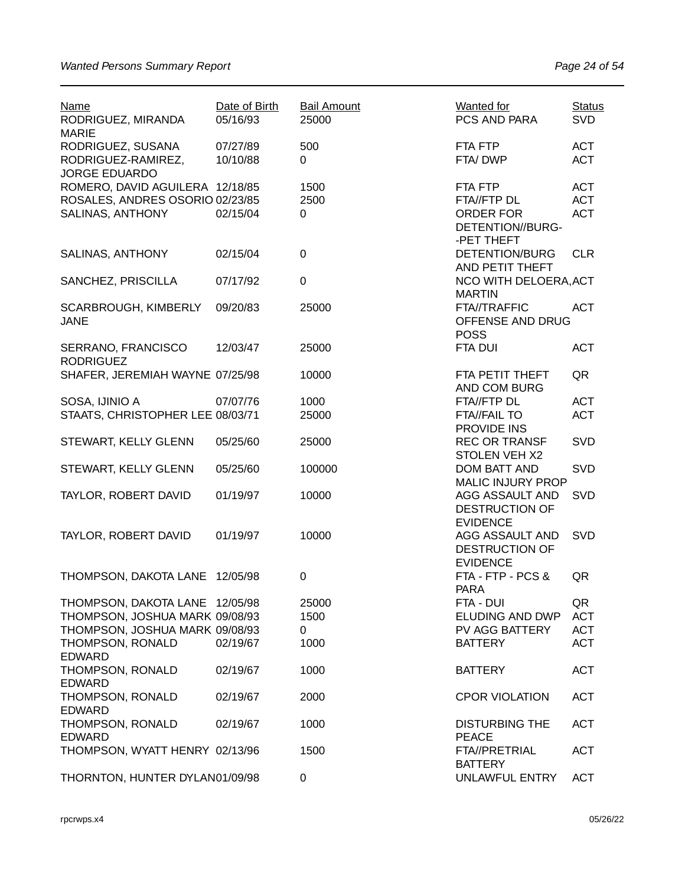| <b>Name</b><br>RODRIGUEZ, MIRANDA<br><b>MARIE</b>                                                                      | Date of Birth<br>05/16/93 | <b>Bail Amount</b><br>25000 | Wanted for<br>PCS AND PARA                                       | <b>Status</b><br><b>SVD</b>                  |
|------------------------------------------------------------------------------------------------------------------------|---------------------------|-----------------------------|------------------------------------------------------------------|----------------------------------------------|
| RODRIGUEZ, SUSANA<br>RODRIGUEZ-RAMIREZ,                                                                                | 07/27/89<br>10/10/88      | 500<br>0                    | FTA FTP<br>FTA/DWP                                               | <b>ACT</b><br><b>ACT</b>                     |
| <b>JORGE EDUARDO</b><br>ROMERO, DAVID AGUILERA 12/18/85<br>ROSALES, ANDRES OSORIO 02/23/85<br>SALINAS, ANTHONY         | 02/15/04                  | 1500<br>2500<br>0           | FTA FTP<br>FTA//FTP DL<br><b>ORDER FOR</b><br>DETENTION//BURG-   | <b>ACT</b><br><b>ACT</b><br><b>ACT</b>       |
| SALINAS, ANTHONY                                                                                                       | 02/15/04                  | $\pmb{0}$                   | -PET THEFT<br><b>DETENTION/BURG</b>                              | <b>CLR</b>                                   |
| SANCHEZ, PRISCILLA                                                                                                     | 07/17/92                  | $\pmb{0}$                   | AND PETIT THEFT<br>NCO WITH DELOERA, ACT                         |                                              |
| SCARBROUGH, KIMBERLY<br><b>JANE</b>                                                                                    | 09/20/83                  | 25000                       | <b>MARTIN</b><br>FTA//TRAFFIC<br>OFFENSE AND DRUG<br><b>POSS</b> | <b>ACT</b>                                   |
| SERRANO, FRANCISCO<br><b>RODRIGUEZ</b>                                                                                 | 12/03/47                  | 25000                       | FTA DUI                                                          | <b>ACT</b>                                   |
| SHAFER, JEREMIAH WAYNE 07/25/98                                                                                        |                           | 10000                       | FTA PETIT THEFT<br>AND COM BURG                                  | QR                                           |
| SOSA, IJINIO A<br>STAATS, CHRISTOPHER LEE 08/03/71                                                                     | 07/07/76                  | 1000<br>25000               | FTA//FTP DL<br><b>FTA//FAIL TO</b><br>PROVIDE INS                | <b>ACT</b><br><b>ACT</b>                     |
| STEWART, KELLY GLENN                                                                                                   | 05/25/60                  | 25000                       | <b>REC OR TRANSF</b><br><b>STOLEN VEH X2</b>                     | SVD                                          |
| STEWART, KELLY GLENN                                                                                                   | 05/25/60                  | 100000                      | <b>DOM BATT AND</b><br><b>MALIC INJURY PROP</b>                  | SVD                                          |
| TAYLOR, ROBERT DAVID                                                                                                   | 01/19/97                  | 10000                       | AGG ASSAULT AND<br><b>DESTRUCTION OF</b><br><b>EVIDENCE</b>      | <b>SVD</b>                                   |
| TAYLOR, ROBERT DAVID                                                                                                   | 01/19/97                  | 10000                       | AGG ASSAULT AND<br><b>DESTRUCTION OF</b><br><b>EVIDENCE</b>      | <b>SVD</b>                                   |
| THOMPSON, DAKOTA LANE 12/05/98                                                                                         |                           | 0                           | FTA - FTP - PCS &<br><b>PARA</b>                                 | QR                                           |
| THOMPSON, DAKOTA LANE 12/05/98<br>THOMPSON, JOSHUA MARK 09/08/93<br>THOMPSON, JOSHUA MARK 09/08/93<br>THOMPSON, RONALD | 02/19/67                  | 25000<br>1500<br>0<br>1000  | FTA - DUI<br>ELUDING AND DWP<br>PV AGG BATTERY<br><b>BATTERY</b> | QR<br><b>ACT</b><br><b>ACT</b><br><b>ACT</b> |
| <b>EDWARD</b><br>THOMPSON, RONALD                                                                                      | 02/19/67                  | 1000                        | <b>BATTERY</b>                                                   | <b>ACT</b>                                   |
| <b>EDWARD</b><br>THOMPSON, RONALD                                                                                      | 02/19/67                  | 2000                        | <b>CPOR VIOLATION</b>                                            | <b>ACT</b>                                   |
| <b>EDWARD</b><br>THOMPSON, RONALD<br><b>EDWARD</b>                                                                     | 02/19/67                  | 1000                        | <b>DISTURBING THE</b><br><b>PEACE</b>                            | <b>ACT</b>                                   |
| THOMPSON, WYATT HENRY 02/13/96                                                                                         |                           | 1500                        | <b>FTA//PRETRIAL</b><br><b>BATTERY</b>                           | <b>ACT</b>                                   |
| THORNTON, HUNTER DYLAN01/09/98                                                                                         |                           | 0                           | UNLAWFUL ENTRY                                                   | <b>ACT</b>                                   |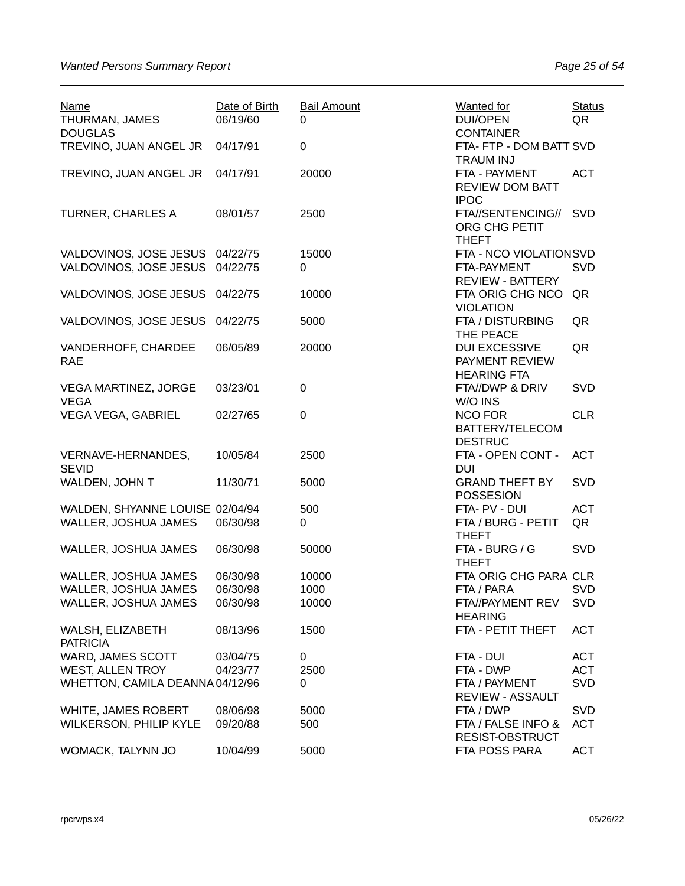| <b>Name</b><br>THURMAN, JAMES<br><b>DOUGLAS</b> | Date of Birth<br>06/19/60 | <b>Bail Amount</b><br>0 | <b>Wanted for</b><br><b>DUI/OPEN</b><br><b>CONTAINER</b>     | <b>Status</b><br>QR |
|-------------------------------------------------|---------------------------|-------------------------|--------------------------------------------------------------|---------------------|
| TREVINO, JUAN ANGEL JR                          | 04/17/91                  | $\pmb{0}$               | FTA- FTP - DOM BATT SVD<br><b>TRAUM INJ</b>                  |                     |
| TREVINO, JUAN ANGEL JR                          | 04/17/91                  | 20000                   | FTA - PAYMENT<br><b>REVIEW DOM BATT</b><br><b>IPOC</b>       | <b>ACT</b>          |
| <b>TURNER, CHARLES A</b>                        | 08/01/57                  | 2500                    | FTA//SENTENCING//<br>ORG CHG PETIT<br><b>THEFT</b>           | SVD                 |
| VALDOVINOS, JOSE JESUS 04/22/75                 |                           | 15000                   | FTA - NCO VIOLATIONSVD                                       |                     |
| VALDOVINOS, JOSE JESUS                          | 04/22/75                  | $\Omega$                | FTA-PAYMENT<br><b>REVIEW - BATTERY</b>                       | SVD                 |
| VALDOVINOS, JOSE JESUS                          | 04/22/75                  | 10000                   | FTA ORIG CHG NCO<br><b>VIOLATION</b>                         | QR                  |
| VALDOVINOS, JOSE JESUS                          | 04/22/75                  | 5000                    | FTA / DISTURBING<br>THE PEACE                                | QR                  |
| VANDERHOFF, CHARDEE<br><b>RAE</b>               | 06/05/89                  | 20000                   | <b>DUI EXCESSIVE</b><br>PAYMENT REVIEW<br><b>HEARING FTA</b> | QR                  |
| <b>VEGA MARTINEZ, JORGE</b>                     | 03/23/01                  | $\pmb{0}$               | FTA//DWP & DRIV                                              | <b>SVD</b>          |
| <b>VEGA</b>                                     |                           |                         | W/O INS                                                      |                     |
|                                                 |                           |                         |                                                              |                     |
| VEGA VEGA, GABRIEL                              | 02/27/65                  | 0                       | <b>NCO FOR</b><br>BATTERY/TELECOM<br><b>DESTRUC</b>          | <b>CLR</b>          |
| VERNAVE-HERNANDES,<br><b>SEVID</b>              | 10/05/84                  | 2500                    | FTA - OPEN CONT -<br><b>DUI</b>                              | <b>ACT</b>          |
| WALDEN, JOHN T                                  | 11/30/71                  | 5000                    | <b>GRAND THEFT BY</b><br><b>POSSESION</b>                    | SVD                 |
| WALDEN, SHYANNE LOUISE 02/04/94                 |                           | 500                     | FTA- PV - DUI                                                | <b>ACT</b>          |
| WALLER, JOSHUA JAMES                            | 06/30/98                  | 0                       | FTA / BURG - PETIT<br><b>THEFT</b>                           | QR                  |
| WALLER, JOSHUA JAMES                            | 06/30/98                  | 50000                   | FTA - BURG / G<br><b>THEFT</b>                               | SVD                 |
| WALLER, JOSHUA JAMES                            | 06/30/98                  | 10000                   | FTA ORIG CHG PARA CLR                                        |                     |
| WALLER, JOSHUA JAMES                            | 06/30/98                  | 1000                    | FTA / PARA                                                   | <b>SVD</b>          |
| WALLER, JOSHUA JAMES                            | 06/30/98                  | 10000                   | FTA//PAYMENT REV<br><b>HEARING</b>                           | <b>SVD</b>          |
| WALSH, ELIZABETH<br><b>PATRICIA</b>             | 08/13/96                  | 1500                    | FTA - PETIT THEFT                                            | <b>ACT</b>          |
| WARD, JAMES SCOTT                               | 03/04/75                  | 0                       | FTA - DUI                                                    | <b>ACT</b>          |
| <b>WEST, ALLEN TROY</b>                         | 04/23/77                  | 2500                    | FTA - DWP                                                    | <b>ACT</b>          |
| WHETTON, CAMILA DEANNA 04/12/96                 |                           | 0                       | FTA / PAYMENT<br><b>REVIEW - ASSAULT</b>                     | SVD                 |
| WHITE, JAMES ROBERT                             | 08/06/98                  | 5000                    | FTA / DWP                                                    | <b>SVD</b>          |
| <b>WILKERSON, PHILIP KYLE</b>                   | 09/20/88                  | 500                     | FTA / FALSE INFO &<br>RESIST-OBSTRUCT                        | <b>ACT</b>          |
| WOMACK, TALYNN JO                               | 10/04/99                  | 5000                    | FTA POSS PARA                                                | <b>ACT</b>          |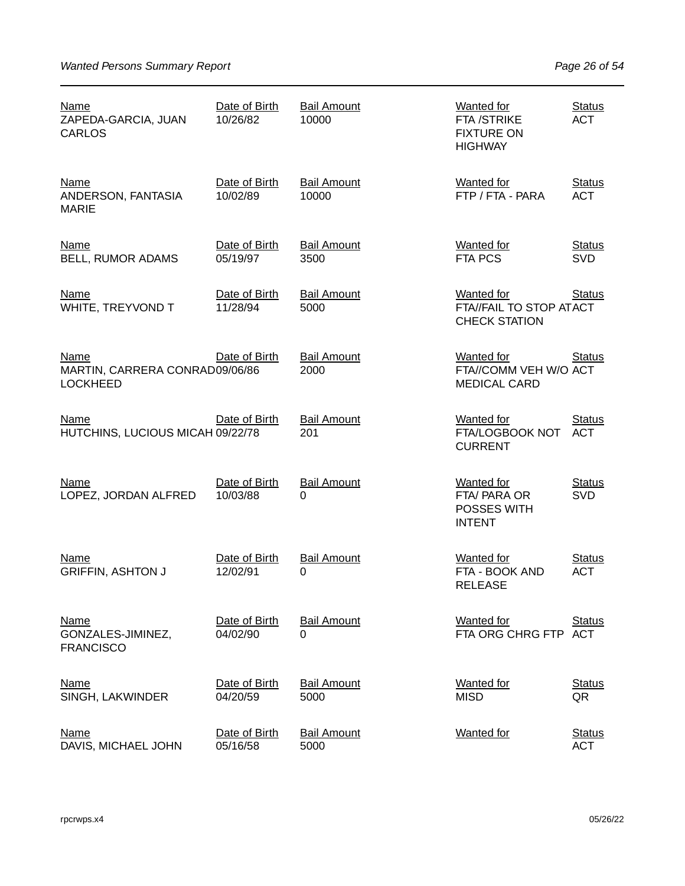| Name<br>ZAPEDA-GARCIA, JUAN<br><b>CARLOS</b>                     | Date of Birth<br>10/26/82 | <b>Bail Amount</b><br>10000 | <b>Wanted for</b><br>FTA /STRIKE<br><b>FIXTURE ON</b><br><b>HIGHWAY</b> | <b>Status</b><br><b>ACT</b> |
|------------------------------------------------------------------|---------------------------|-----------------------------|-------------------------------------------------------------------------|-----------------------------|
| <b>Name</b><br>ANDERSON, FANTASIA<br><b>MARIE</b>                | Date of Birth<br>10/02/89 | <b>Bail Amount</b><br>10000 | <b>Wanted for</b><br>FTP / FTA - PARA                                   | <b>Status</b><br><b>ACT</b> |
| <b>Name</b><br><b>BELL, RUMOR ADAMS</b>                          | Date of Birth<br>05/19/97 | <b>Bail Amount</b><br>3500  | <b>Wanted for</b><br><b>FTA PCS</b>                                     | <b>Status</b><br><b>SVD</b> |
| <b>Name</b><br>WHITE, TREYVOND T                                 | Date of Birth<br>11/28/94 | <b>Bail Amount</b><br>5000  | <b>Wanted for</b><br>FTA//FAIL TO STOP ATACT<br><b>CHECK STATION</b>    | <b>Status</b>               |
| <b>Name</b><br>MARTIN, CARRERA CONRAD09/06/86<br><b>LOCKHEED</b> | Date of Birth             | <b>Bail Amount</b><br>2000  | <b>Wanted for</b><br>FTA//COMM VEH W/O ACT<br><b>MEDICAL CARD</b>       | <b>Status</b>               |
| Name<br>HUTCHINS, LUCIOUS MICAH 09/22/78                         | Date of Birth             | <b>Bail Amount</b><br>201   | <b>Wanted for</b><br>FTA/LOGBOOK NOT<br><b>CURRENT</b>                  | <b>Status</b><br><b>ACT</b> |
| <b>Name</b><br>LOPEZ, JORDAN ALFRED                              | Date of Birth<br>10/03/88 | <b>Bail Amount</b><br>0     | <b>Wanted for</b><br>FTA/ PARA OR<br>POSSES WITH<br><b>INTENT</b>       | <b>Status</b><br><b>SVD</b> |
| Name<br><b>GRIFFIN, ASHTON J</b>                                 | Date of Birth<br>12/02/91 | <b>Bail Amount</b><br>0     | <b>Wanted for</b><br>FTA - BOOK AND<br><b>RELEASE</b>                   | <b>Status</b><br><b>ACT</b> |
| Name<br>GONZALES-JIMINEZ,<br><b>FRANCISCO</b>                    | Date of Birth<br>04/02/90 | <b>Bail Amount</b><br>0     | <b>Wanted for</b><br>FTA ORG CHRG FTP ACT                               | <b>Status</b>               |
| <b>Name</b><br>SINGH, LAKWINDER                                  | Date of Birth<br>04/20/59 | <b>Bail Amount</b><br>5000  | <b>Wanted for</b><br><b>MISD</b>                                        | <b>Status</b><br>QR         |
| <u>Name</u><br>DAVIS, MICHAEL JOHN                               | Date of Birth<br>05/16/58 | <b>Bail Amount</b><br>5000  | <b>Wanted</b> for                                                       | <b>Status</b><br><b>ACT</b> |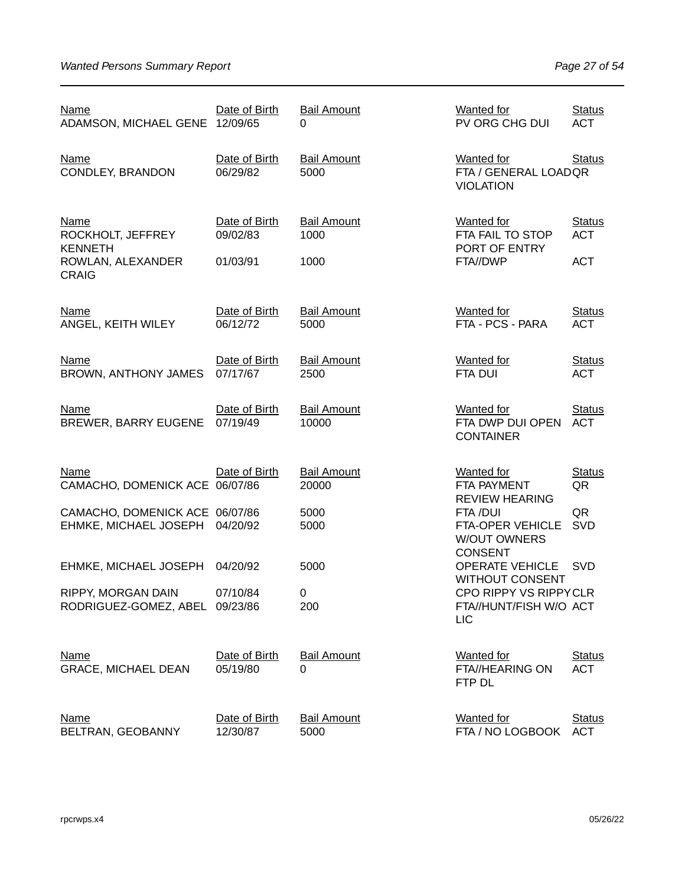| <u>Name</u><br>ADAMSON, MICHAEL GENE 12/09/65                                    | Date of Birth                         | <b>Bail Amount</b><br>0            | Wanted for<br>PV ORG CHG DUI                                                                   | <b>Status</b><br><b>ACT</b>               |
|----------------------------------------------------------------------------------|---------------------------------------|------------------------------------|------------------------------------------------------------------------------------------------|-------------------------------------------|
| <b>Name</b><br>CONDLEY, BRANDON                                                  | Date of Birth<br>06/29/82             | <b>Bail Amount</b><br>5000         | Wanted for<br>FTA / GENERAL LOADQR<br><b>VIOLATION</b>                                         | <b>Status</b>                             |
| Name<br>ROCKHOLT, JEFFREY<br><b>KENNETH</b><br>ROWLAN, ALEXANDER<br><b>CRAIG</b> | Date of Birth<br>09/02/83<br>01/03/91 | <b>Bail Amount</b><br>1000<br>1000 | <b>Wanted</b> for<br>FTA FAIL TO STOP<br>PORT OF ENTRY<br>FTA//DWP                             | <b>Status</b><br><b>ACT</b><br><b>ACT</b> |
| <b>Name</b><br>ANGEL, KEITH WILEY                                                | Date of Birth<br>06/12/72             | <b>Bail Amount</b><br>5000         | <b>Wanted for</b><br>FTA - PCS - PARA                                                          | <b>Status</b><br><b>ACT</b>               |
| <b>Name</b><br><b>BROWN, ANTHONY JAMES</b>                                       | Date of Birth<br>07/17/67             | <b>Bail Amount</b><br>2500         | <b>Wanted for</b><br><b>FTA DUI</b>                                                            | <b>Status</b><br><b>ACT</b>               |
| <b>Name</b><br><b>BREWER, BARRY EUGENE</b>                                       | Date of Birth<br>07/19/49             | <b>Bail Amount</b><br>10000        | <b>Wanted for</b><br>FTA DWP DUI OPEN<br><b>CONTAINER</b>                                      | <b>Status</b><br><b>ACT</b>               |
| <b>Name</b><br>CAMACHO, DOMENICK ACE 06/07/86                                    | Date of Birth                         | <b>Bail Amount</b><br>20000        | <b>Wanted</b> for<br>FTA PAYMENT                                                               | <b>Status</b><br>QR                       |
| CAMACHO, DOMENICK ACE 06/07/86<br>EHMKE, MICHAEL JOSEPH                          | 04/20/92                              | 5000<br>5000                       | <b>REVIEW HEARING</b><br>FTA /DUI<br>FTA-OPER VEHICLE<br><b>W/OUT OWNERS</b><br><b>CONSENT</b> | QR<br><b>SVD</b>                          |
| EHMKE, MICHAEL JOSEPH                                                            | 04/20/92                              | 5000                               | <b>OPERATE VEHICLE</b><br><b>WITHOUT CONSENT</b>                                               | <b>SVD</b>                                |
| RIPPY, MORGAN DAIN<br>RODRIGUEZ-GOMEZ, ABEL 09/23/86                             | 07/10/84                              | $\pmb{0}$<br>200                   | CPO RIPPY VS RIPPYCLR<br>FTA//HUNT/FISH W/O ACT<br><b>LIC</b>                                  |                                           |
| <b>Name</b><br><b>GRACE, MICHAEL DEAN</b>                                        | Date of Birth<br>05/19/80             | <b>Bail Amount</b><br>$\Omega$     | <b>Wanted for</b><br>FTA//HEARING ON<br>FTP DL                                                 | <b>Status</b><br><b>ACT</b>               |
| <b>Name</b><br>BELTRAN, GEOBANNY                                                 | Date of Birth<br>12/30/87             | <b>Bail Amount</b><br>5000         | <b>Wanted</b> for<br>FTA / NO LOGBOOK                                                          | <b>Status</b><br><b>ACT</b>               |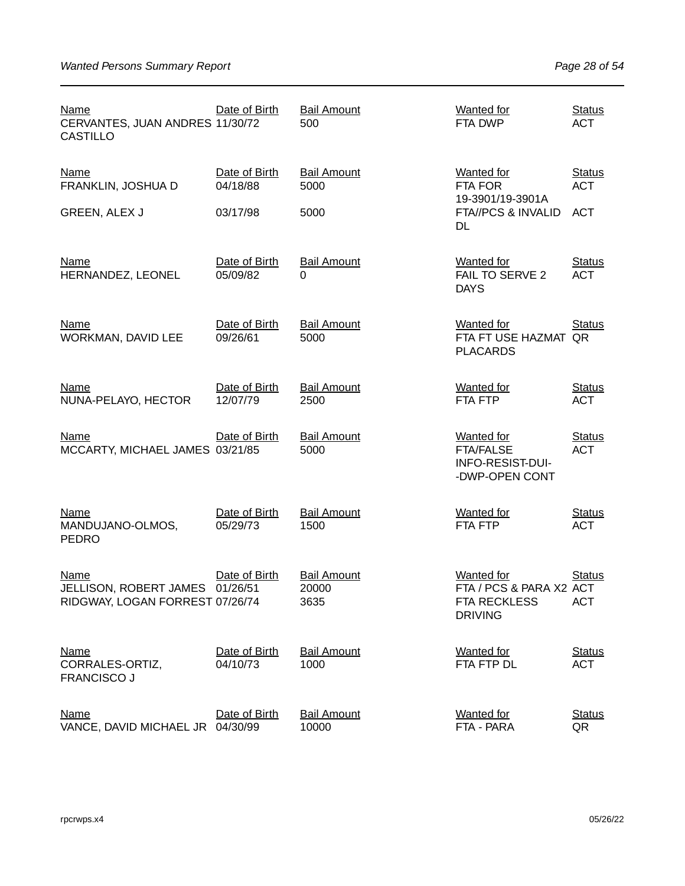| <b>Name</b><br>CERVANTES, JUAN ANDRES 11/30/72<br><b>CASTILLO</b>        | Date of Birth             | <b>Bail Amount</b><br>500           | <b>Wanted for</b><br>FTA DWP                                                          | <b>Status</b><br><b>ACT</b> |
|--------------------------------------------------------------------------|---------------------------|-------------------------------------|---------------------------------------------------------------------------------------|-----------------------------|
| <b>Name</b><br>FRANKLIN, JOSHUA D                                        | Date of Birth<br>04/18/88 | <b>Bail Amount</b><br>5000          | <b>Wanted for</b><br><b>FTA FOR</b>                                                   | <b>Status</b><br><b>ACT</b> |
| GREEN, ALEX J                                                            | 03/17/98                  | 5000                                | 19-3901/19-3901A<br>FTA//PCS & INVALID<br>DL                                          | <b>ACT</b>                  |
| <b>Name</b><br>HERNANDEZ, LEONEL                                         | Date of Birth<br>05/09/82 | <b>Bail Amount</b><br>0             | <b>Wanted</b> for<br>FAIL TO SERVE 2<br><b>DAYS</b>                                   | <b>Status</b><br><b>ACT</b> |
| <b>Name</b><br>WORKMAN, DAVID LEE                                        | Date of Birth<br>09/26/61 | <b>Bail Amount</b><br>5000          | Wanted for<br>FTA FT USE HAZMAT QR<br><b>PLACARDS</b>                                 | <b>Status</b>               |
| <b>Name</b><br>NUNA-PELAYO, HECTOR                                       | Date of Birth<br>12/07/79 | <b>Bail Amount</b><br>2500          | <b>Wanted for</b><br><b>FTA FTP</b>                                                   | <b>Status</b><br><b>ACT</b> |
| Name<br>MCCARTY, MICHAEL JAMES 03/21/85                                  | Date of Birth             | <b>Bail Amount</b><br>5000          | <b>Wanted</b> for<br><b>FTA/FALSE</b><br>INFO-RESIST-DUI-<br>-DWP-OPEN CONT           | <b>Status</b><br><b>ACT</b> |
| <b>Name</b><br>MANDUJANO-OLMOS,<br><b>PEDRO</b>                          | Date of Birth<br>05/29/73 | <b>Bail Amount</b><br>1500          | <b>Wanted for</b><br>FTA FTP                                                          | <b>Status</b><br><b>ACT</b> |
| <b>Name</b><br>JELLISON, ROBERT JAMES<br>RIDGWAY, LOGAN FORREST 07/26/74 | Date of Birth<br>01/26/51 | <b>Bail Amount</b><br>20000<br>3635 | <b>Wanted for</b><br>FTA / PCS & PARA X2 ACT<br><b>FTA RECKLESS</b><br><b>DRIVING</b> | <b>Status</b><br><b>ACT</b> |
| <b>Name</b><br>CORRALES-ORTIZ,<br><b>FRANCISCO J</b>                     | Date of Birth<br>04/10/73 | <b>Bail Amount</b><br>1000          | <b>Wanted</b> for<br>FTA FTP DL                                                       | <b>Status</b><br><b>ACT</b> |
| <b>Name</b><br>VANCE, DAVID MICHAEL JR 04/30/99                          | Date of Birth             | <b>Bail Amount</b><br>10000         | <b>Wanted</b> for<br>FTA - PARA                                                       | <b>Status</b><br>QR         |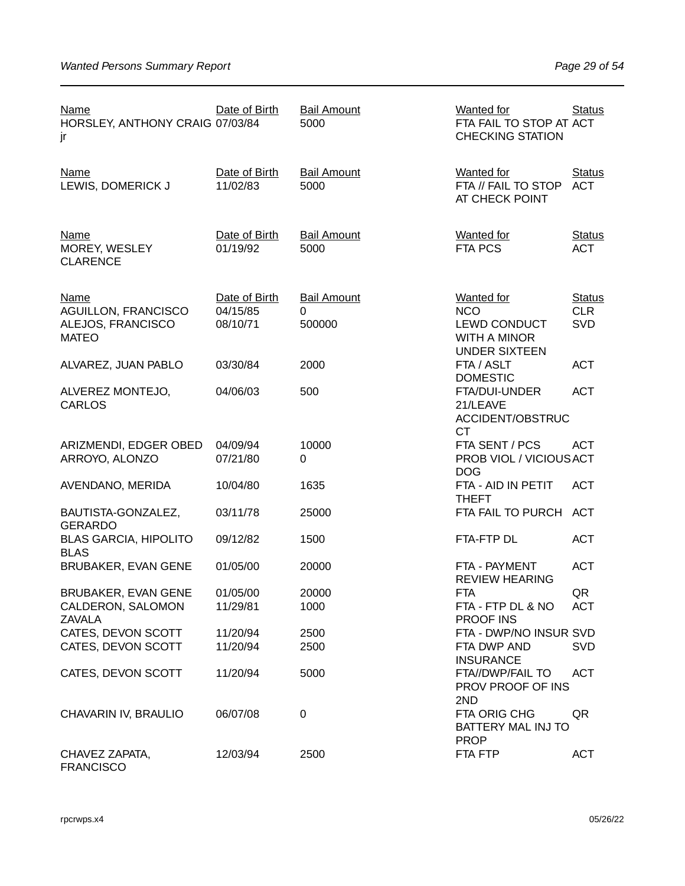| <b>Name</b><br>HORSLEY, ANTHONY CRAIG 07/03/84<br>jr                           | Date of Birth                         | <b>Bail Amount</b><br>5000        | Wanted for<br>FTA FAIL TO STOP AT ACT<br><b>CHECKING STATION</b>                                      | <b>Status</b>                      |
|--------------------------------------------------------------------------------|---------------------------------------|-----------------------------------|-------------------------------------------------------------------------------------------------------|------------------------------------|
| <b>Name</b><br>LEWIS, DOMERICK J                                               | Date of Birth<br>11/02/83             | <b>Bail Amount</b><br>5000        | Wanted for<br>FTA // FAIL TO STOP<br>AT CHECK POINT                                                   | <b>Status</b><br><b>ACT</b>        |
| <b>Name</b><br>MOREY, WESLEY<br><b>CLARENCE</b>                                | Date of Birth<br>01/19/92             | <b>Bail Amount</b><br>5000        | <b>Wanted for</b><br><b>FTA PCS</b>                                                                   | <b>Status</b><br><b>ACT</b>        |
| <b>Name</b><br><b>AGUILLON, FRANCISCO</b><br>ALEJOS, FRANCISCO<br><b>MATEO</b> | Date of Birth<br>04/15/85<br>08/10/71 | <b>Bail Amount</b><br>0<br>500000 | <b>Wanted for</b><br><b>NCO</b><br><b>LEWD CONDUCT</b><br><b>WITH A MINOR</b><br><b>UNDER SIXTEEN</b> | <b>Status</b><br><b>CLR</b><br>SVD |
| ALVAREZ, JUAN PABLO                                                            | 03/30/84                              | 2000                              | FTA / ASLT                                                                                            | <b>ACT</b>                         |
| ALVEREZ MONTEJO,<br><b>CARLOS</b>                                              | 04/06/03                              | 500                               | <b>DOMESTIC</b><br>FTA/DUI-UNDER<br>21/LEAVE<br>ACCIDENT/OBSTRUC<br><b>CT</b>                         | <b>ACT</b>                         |
| ARIZMENDI, EDGER OBED<br>ARROYO, ALONZO                                        | 04/09/94<br>07/21/80                  | 10000<br>$\Omega$                 | FTA SENT / PCS<br>PROB VIOL / VICIOUS ACT<br><b>DOG</b>                                               | <b>ACT</b>                         |
| AVENDANO, MERIDA                                                               | 10/04/80                              | 1635                              | FTA - AID IN PETIT<br><b>THEFT</b>                                                                    | <b>ACT</b>                         |
| BAUTISTA-GONZALEZ,<br><b>GERARDO</b>                                           | 03/11/78                              | 25000                             | FTA FAIL TO PURCH                                                                                     | <b>ACT</b>                         |
| <b>BLAS GARCIA, HIPOLITO</b><br><b>BLAS</b>                                    | 09/12/82                              | 1500                              | FTA-FTP DL                                                                                            | <b>ACT</b>                         |
| <b>BRUBAKER, EVAN GENE</b>                                                     | 01/05/00                              | 20000                             | FTA - PAYMENT<br><b>REVIEW HEARING</b>                                                                | <b>ACT</b>                         |
| <b>BRUBAKER, EVAN GENE</b><br>CALDERON, SALOMON<br><b>ZAVALA</b>               | 01/05/00<br>11/29/81                  | 20000<br>1000                     | <b>FTA</b><br>FTA - FTP DL & NO<br><b>PROOF INS</b>                                                   | QR<br><b>ACT</b>                   |
| CATES, DEVON SCOTT<br>CATES, DEVON SCOTT                                       | 11/20/94<br>11/20/94                  | 2500<br>2500                      | FTA - DWP/NO INSUR SVD<br>FTA DWP AND                                                                 | <b>SVD</b>                         |
| CATES, DEVON SCOTT                                                             | 11/20/94                              | 5000                              | <b>INSURANCE</b><br>FTA//DWP/FAIL TO<br>PROV PROOF OF INS<br>2ND                                      | <b>ACT</b>                         |
| CHAVARIN IV, BRAULIO                                                           | 06/07/08                              | 0                                 | FTA ORIG CHG<br>BATTERY MAL INJ TO<br><b>PROP</b>                                                     | QR                                 |
| CHAVEZ ZAPATA,<br><b>FRANCISCO</b>                                             | 12/03/94                              | 2500                              | FTA FTP                                                                                               | <b>ACT</b>                         |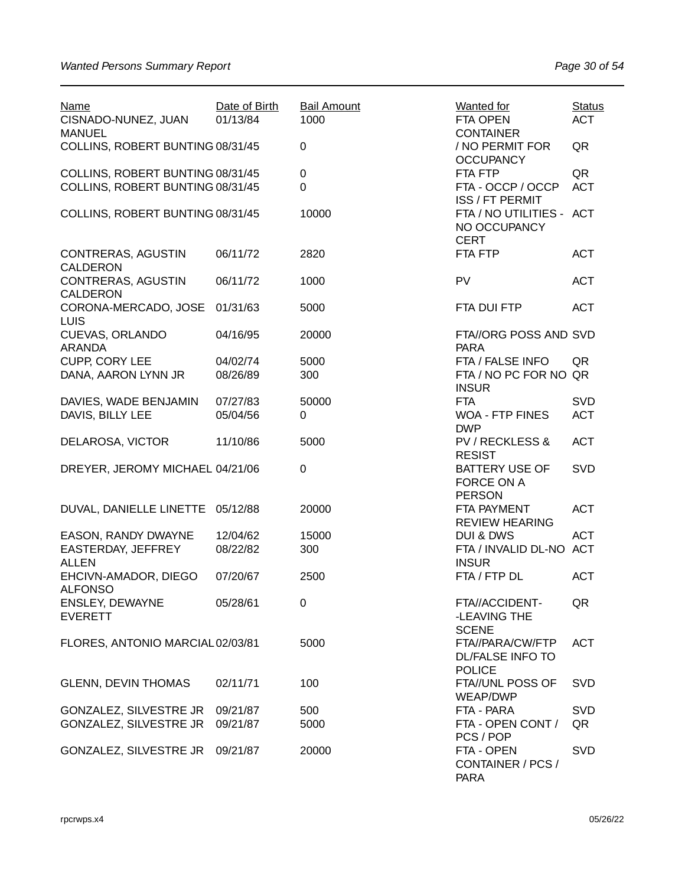| <b>Name</b><br>CISNADO-NUNEZ, JUAN                | Date of Birth<br>01/13/84 | <b>Bail Amount</b><br>1000 | <b>Wanted for</b><br>FTA OPEN                                | <b>Status</b><br><b>ACT</b> |
|---------------------------------------------------|---------------------------|----------------------------|--------------------------------------------------------------|-----------------------------|
| <b>MANUEL</b><br>COLLINS, ROBERT BUNTING 08/31/45 |                           | 0                          | <b>CONTAINER</b><br>/ NO PERMIT FOR                          | QR                          |
| COLLINS, ROBERT BUNTING 08/31/45                  |                           | $\pmb{0}$                  | <b>OCCUPANCY</b><br>FTA FTP                                  | QR                          |
| COLLINS, ROBERT BUNTING 08/31/45                  |                           | 0                          | FTA - OCCP / OCCP<br>ISS / FT PERMIT                         | <b>ACT</b>                  |
| COLLINS, ROBERT BUNTING 08/31/45                  |                           | 10000                      | FTA / NO UTILITIES - ACT<br>NO OCCUPANCY<br><b>CERT</b>      |                             |
| CONTRERAS, AGUSTIN<br>CALDERON                    | 06/11/72                  | 2820                       | FTA FTP                                                      | <b>ACT</b>                  |
| CONTRERAS, AGUSTIN<br><b>CALDERON</b>             | 06/11/72                  | 1000                       | PV                                                           | <b>ACT</b>                  |
| CORONA-MERCADO, JOSE<br><b>LUIS</b>               | 01/31/63                  | 5000                       | FTA DUI FTP                                                  | <b>ACT</b>                  |
| <b>CUEVAS, ORLANDO</b><br><b>ARANDA</b>           | 04/16/95                  | 20000                      | FTA//ORG POSS AND SVD<br><b>PARA</b>                         |                             |
| <b>CUPP, CORY LEE</b>                             | 04/02/74                  | 5000                       | FTA / FALSE INFO                                             | QR                          |
| DANA, AARON LYNN JR                               | 08/26/89                  | 300                        | FTA / NO PC FOR NO QR<br><b>INSUR</b>                        |                             |
| DAVIES, WADE BENJAMIN                             | 07/27/83                  | 50000                      | <b>FTA</b>                                                   | SVD                         |
| DAVIS, BILLY LEE                                  | 05/04/56                  | 0                          | <b>WOA - FTP FINES</b><br><b>DWP</b>                         | <b>ACT</b>                  |
| DELAROSA, VICTOR                                  | 11/10/86                  | 5000                       | <b>PV / RECKLESS &amp;</b><br><b>RESIST</b>                  | <b>ACT</b>                  |
| DREYER, JEROMY MICHAEL 04/21/06                   |                           | $\pmb{0}$                  | <b>BATTERY USE OF</b><br>FORCE ON A<br><b>PERSON</b>         | SVD                         |
| DUVAL, DANIELLE LINETTE                           | 05/12/88                  | 20000                      | FTA PAYMENT<br><b>REVIEW HEARING</b>                         | <b>ACT</b>                  |
| EASON, RANDY DWAYNE                               | 12/04/62                  | 15000                      | <b>DUI &amp; DWS</b>                                         | <b>ACT</b>                  |
| EASTERDAY, JEFFREY<br><b>ALLEN</b>                | 08/22/82                  | 300                        | FTA / INVALID DL-NO ACT<br><b>INSUR</b>                      |                             |
| EHCIVN-AMADOR, DIEGO<br><b>ALFONSO</b>            | 07/20/67                  | 2500                       | FTA / FTP DL                                                 | <b>ACT</b>                  |
| ENSLEY, DEWAYNE<br><b>EVERETT</b>                 | 05/28/61                  | 0                          | FTA//ACCIDENT-<br>-LEAVING THE<br><b>SCENE</b>               | QR                          |
| FLORES, ANTONIO MARCIAL02/03/81                   |                           | 5000                       | FTA//PARA/CW/FTP<br><b>DL/FALSE INFO TO</b><br><b>POLICE</b> | <b>ACT</b>                  |
| <b>GLENN, DEVIN THOMAS</b>                        | 02/11/71                  | 100                        | FTA//UNL POSS OF<br><b>WEAP/DWP</b>                          | <b>SVD</b>                  |
| GONZALEZ, SILVESTRE JR                            | 09/21/87                  | 500                        | FTA - PARA                                                   | <b>SVD</b>                  |
| GONZALEZ, SILVESTRE JR                            | 09/21/87                  | 5000                       | FTA - OPEN CONT /<br>PCS / POP                               | QR                          |
| GONZALEZ, SILVESTRE JR                            | 09/21/87                  | 20000                      | FTA - OPEN<br>CONTAINER / PCS /<br><b>PARA</b>               | <b>SVD</b>                  |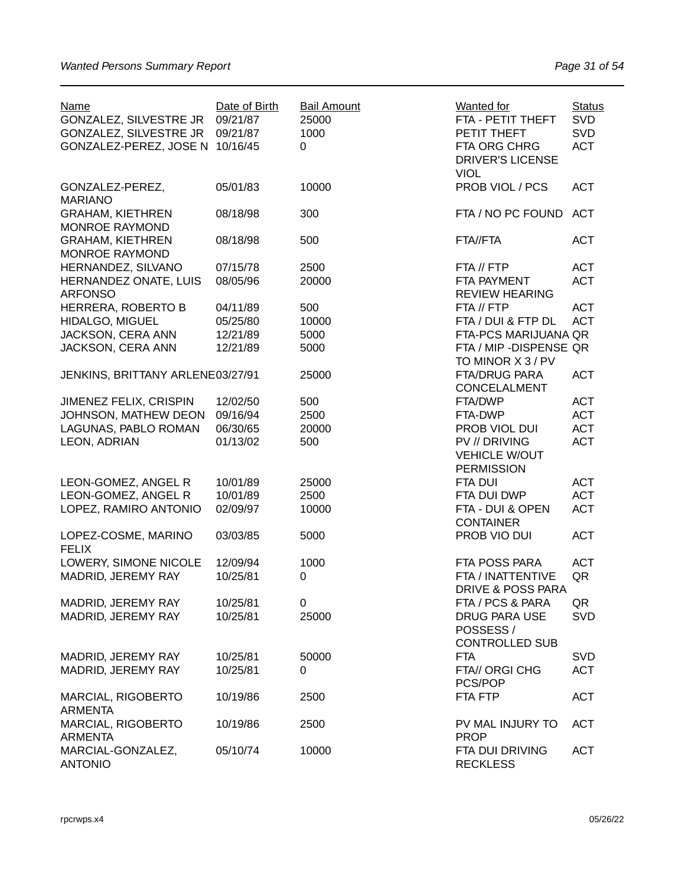| <b>Name</b><br>GONZALEZ, SILVESTRE JR            | Date of Birth<br>09/21/87 | <b>Bail Amount</b><br>25000 | <b>Wanted for</b><br>FTA - PETIT THEFT       | <b>Status</b><br><b>SVD</b> |
|--------------------------------------------------|---------------------------|-----------------------------|----------------------------------------------|-----------------------------|
| GONZALEZ, SILVESTRE JR                           | 09/21/87                  | 1000                        | PETIT THEFT                                  | <b>SVD</b>                  |
| GONZALEZ-PEREZ, JOSE N 10/16/45                  |                           | 0                           | FTA ORG CHRG                                 | <b>ACT</b>                  |
|                                                  |                           |                             | <b>DRIVER'S LICENSE</b>                      |                             |
|                                                  |                           |                             | <b>VIOL</b>                                  |                             |
| GONZALEZ-PEREZ,<br><b>MARIANO</b>                | 05/01/83                  | 10000                       | PROB VIOL / PCS                              | <b>ACT</b>                  |
| <b>GRAHAM, KIETHREN</b><br><b>MONROE RAYMOND</b> | 08/18/98                  | 300                         | FTA / NO PC FOUND                            | <b>ACT</b>                  |
| <b>GRAHAM, KIETHREN</b>                          | 08/18/98                  | 500                         | FTA//FTA                                     | <b>ACT</b>                  |
| MONROE RAYMOND                                   |                           |                             |                                              |                             |
| HERNANDEZ, SILVANO                               | 07/15/78                  | 2500                        | FTA // FTP                                   | <b>ACT</b>                  |
| HERNANDEZ ONATE, LUIS<br><b>ARFONSO</b>          | 08/05/96                  | 20000                       | FTA PAYMENT<br><b>REVIEW HEARING</b>         | <b>ACT</b>                  |
| HERRERA, ROBERTO B                               | 04/11/89                  | 500                         | FTA // FTP                                   | <b>ACT</b>                  |
| HIDALGO, MIGUEL                                  | 05/25/80                  | 10000                       | FTA / DUI & FTP DL                           | <b>ACT</b>                  |
| JACKSON, CERA ANN                                | 12/21/89                  | 5000                        | FTA-PCS MARIJUANA QR                         |                             |
| JACKSON, CERA ANN                                | 12/21/89                  | 5000                        | FTA / MIP - DISPENSE QR<br>TO MINOR X 3 / PV |                             |
| JENKINS, BRITTANY ARLENE03/27/91                 |                           | 25000                       | <b>FTA/DRUG PARA</b>                         | <b>ACT</b>                  |
|                                                  |                           |                             | <b>CONCELALMENT</b>                          |                             |
| JIMENEZ FELIX, CRISPIN                           | 12/02/50                  | 500                         | FTA/DWP                                      | <b>ACT</b>                  |
| JOHNSON, MATHEW DEON                             | 09/16/94                  | 2500                        | FTA-DWP                                      | <b>ACT</b>                  |
| LAGUNAS, PABLO ROMAN                             | 06/30/65                  | 20000                       | PROB VIOL DUI                                | <b>ACT</b>                  |
| LEON, ADRIAN                                     | 01/13/02                  | 500                         | <b>PV // DRIVING</b>                         | <b>ACT</b>                  |
|                                                  |                           |                             | <b>VEHICLE W/OUT</b>                         |                             |
|                                                  |                           |                             | <b>PERMISSION</b>                            |                             |
| LEON-GOMEZ, ANGEL R                              | 10/01/89                  | 25000                       | <b>FTA DUI</b>                               | <b>ACT</b>                  |
| LEON-GOMEZ, ANGEL R                              | 10/01/89                  | 2500                        | FTA DUI DWP                                  | <b>ACT</b>                  |
| LOPEZ, RAMIRO ANTONIO                            | 02/09/97                  | 10000                       | FTA - DUI & OPEN                             | <b>ACT</b>                  |
|                                                  |                           |                             | <b>CONTAINER</b>                             |                             |
| LOPEZ-COSME, MARINO                              | 03/03/85                  | 5000                        | PROB VIO DUI                                 | <b>ACT</b>                  |
| <b>FELIX</b>                                     |                           |                             |                                              |                             |
| LOWERY, SIMONE NICOLE                            | 12/09/94                  | 1000                        | FTA POSS PARA                                | <b>ACT</b>                  |
| MADRID, JEREMY RAY                               | 10/25/81                  | 0                           | FTA / INATTENTIVE                            | QR                          |
|                                                  |                           |                             | DRIVE & POSS PARA                            |                             |
| MADRID, JEREMY RAY                               | 10/25/81                  | 0                           | FTA / PCS & PARA                             | QR                          |
| MADRID, JEREMY RAY                               | 10/25/81                  | 25000                       | <b>DRUG PARA USE</b>                         | <b>SVD</b>                  |
|                                                  |                           |                             | POSSESS/                                     |                             |
|                                                  |                           |                             | <b>CONTROLLED SUB</b>                        |                             |
| MADRID, JEREMY RAY                               | 10/25/81                  | 50000                       | <b>FTA</b>                                   | <b>SVD</b>                  |
| MADRID, JEREMY RAY                               | 10/25/81                  | 0                           | FTA// ORGI CHG                               | <b>ACT</b>                  |
|                                                  |                           |                             | PCS/POP                                      |                             |
| MARCIAL, RIGOBERTO                               | 10/19/86                  | 2500                        | FTA FTP                                      | <b>ACT</b>                  |
| <b>ARMENTA</b>                                   |                           |                             |                                              |                             |
| MARCIAL, RIGOBERTO                               | 10/19/86                  | 2500                        | PV MAL INJURY TO                             | <b>ACT</b>                  |
| <b>ARMENTA</b>                                   |                           |                             | <b>PROP</b>                                  |                             |
| MARCIAL-GONZALEZ,                                | 05/10/74                  | 10000                       | FTA DUI DRIVING                              | <b>ACT</b>                  |
| <b>ANTONIO</b>                                   |                           |                             | <b>RECKLESS</b>                              |                             |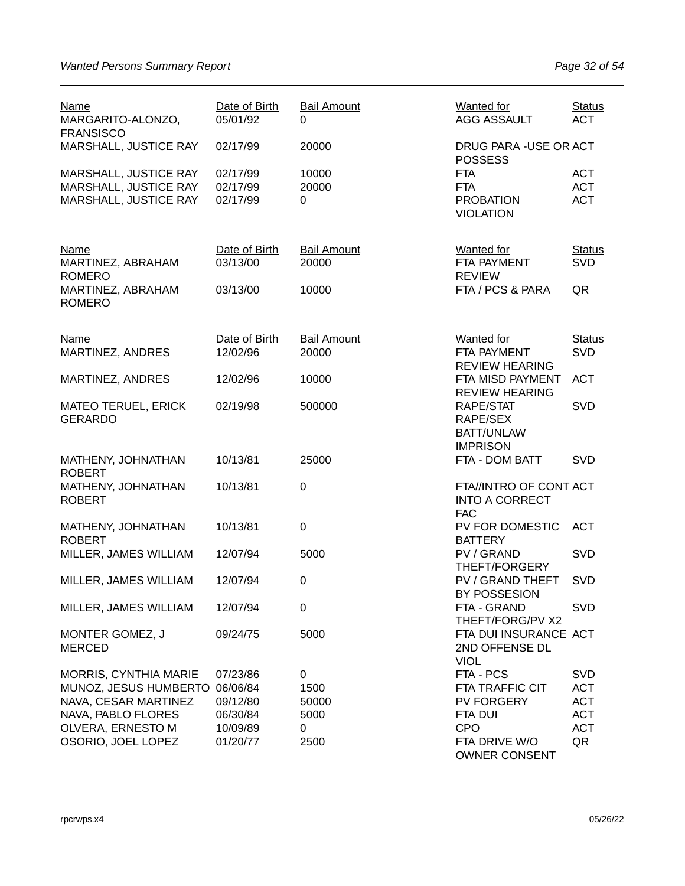| <b>Name</b><br>MARGARITO-ALONZO,<br><b>FRANSISCO</b>                    | Date of Birth<br>05/01/92        | <b>Bail Amount</b><br>0     | <b>Wanted for</b><br><b>AGG ASSAULT</b>                          | <b>Status</b><br><b>ACT</b>            |
|-------------------------------------------------------------------------|----------------------------------|-----------------------------|------------------------------------------------------------------|----------------------------------------|
| MARSHALL, JUSTICE RAY                                                   | 02/17/99                         | 20000                       | DRUG PARA - USE OR ACT<br><b>POSSESS</b>                         |                                        |
| MARSHALL, JUSTICE RAY<br>MARSHALL, JUSTICE RAY<br>MARSHALL, JUSTICE RAY | 02/17/99<br>02/17/99<br>02/17/99 | 10000<br>20000<br>0         | <b>FTA</b><br><b>FTA</b><br><b>PROBATION</b><br><b>VIOLATION</b> | <b>ACT</b><br><b>ACT</b><br><b>ACT</b> |
| <b>Name</b><br>MARTINEZ, ABRAHAM                                        | Date of Birth<br>03/13/00        | <b>Bail Amount</b><br>20000 | <b>Wanted</b> for<br>FTA PAYMENT                                 | <b>Status</b><br>SVD                   |
| <b>ROMERO</b><br>MARTINEZ, ABRAHAM<br><b>ROMERO</b>                     | 03/13/00                         | 10000                       | <b>REVIEW</b><br>FTA / PCS & PARA                                | QR                                     |
| <b>Name</b>                                                             | Date of Birth                    | <b>Bail Amount</b>          | <b>Wanted for</b>                                                | <b>Status</b><br><b>SVD</b>            |
| MARTINEZ, ANDRES                                                        | 12/02/96                         | 20000                       | FTA PAYMENT<br><b>REVIEW HEARING</b>                             |                                        |
| MARTINEZ, ANDRES                                                        | 12/02/96                         | 10000                       | FTA MISD PAYMENT<br><b>REVIEW HEARING</b>                        | <b>ACT</b>                             |
| <b>MATEO TERUEL, ERICK</b><br><b>GERARDO</b>                            | 02/19/98                         | 500000                      | RAPE/STAT<br>RAPE/SEX<br><b>BATT/UNLAW</b>                       | <b>SVD</b>                             |
| MATHENY, JOHNATHAN<br><b>ROBERT</b>                                     | 10/13/81                         | 25000                       | <b>IMPRISON</b><br>FTA - DOM BATT                                | <b>SVD</b>                             |
| MATHENY, JOHNATHAN<br><b>ROBERT</b>                                     | 10/13/81                         | $\mathbf 0$                 | FTA//INTRO OF CONT ACT<br><b>INTO A CORRECT</b><br><b>FAC</b>    |                                        |
| MATHENY, JOHNATHAN<br><b>ROBERT</b>                                     | 10/13/81                         | $\boldsymbol{0}$            | PV FOR DOMESTIC<br><b>BATTERY</b>                                | <b>ACT</b>                             |
| MILLER, JAMES WILLIAM                                                   | 12/07/94                         | 5000                        | PV / GRAND                                                       | <b>SVD</b>                             |
| MILLER, JAMES WILLIAM                                                   | 12/07/94                         | $\mathbf 0$                 | THEFT/FORGERY<br>PV / GRAND THEFT<br>BY POSSESION                | <b>SVD</b>                             |
| MILLER, JAMES WILLIAM                                                   | 12/07/94                         | $\pmb{0}$                   | FTA - GRAND<br>THEFT/FORG/PV X2                                  | <b>SVD</b>                             |
| MONTER GOMEZ, J<br><b>MERCED</b>                                        | 09/24/75                         | 5000                        | FTA DUI INSURANCE ACT<br>2ND OFFENSE DL<br><b>VIOL</b>           |                                        |
| <b>MORRIS, CYNTHIA MARIE</b>                                            | 07/23/86                         | 0                           | FTA - PCS                                                        | <b>SVD</b>                             |
| MUNOZ, JESUS HUMBERTO                                                   | 06/06/84                         | 1500                        | <b>FTA TRAFFIC CIT</b>                                           | <b>ACT</b>                             |
| NAVA, CESAR MARTINEZ                                                    | 09/12/80                         | 50000                       | <b>PV FORGERY</b>                                                | <b>ACT</b>                             |
| NAVA, PABLO FLORES                                                      | 06/30/84                         | 5000                        | <b>FTA DUI</b>                                                   | <b>ACT</b>                             |
| OLVERA, ERNESTO M                                                       | 10/09/89                         | 0                           | <b>CPO</b>                                                       | <b>ACT</b>                             |
| OSORIO, JOEL LOPEZ                                                      | 01/20/77                         | 2500                        | FTA DRIVE W/O<br><b>OWNER CONSENT</b>                            | QR                                     |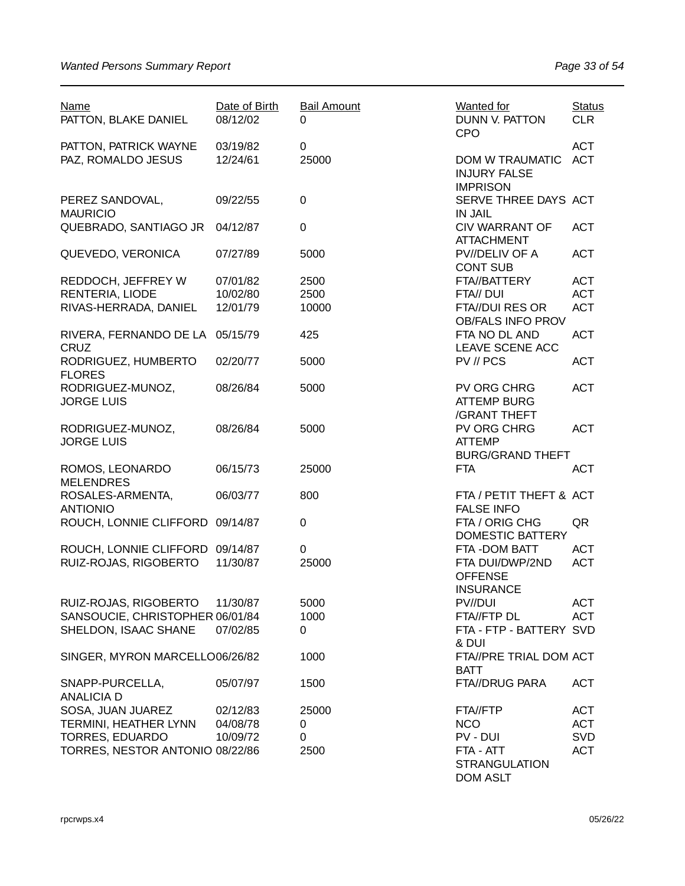| <b>Name</b><br>PATTON, BLAKE DANIEL         | Date of Birth<br>08/12/02 | <b>Bail Amount</b><br>0 | <b>Wanted for</b><br>DUNN V. PATTON<br><b>CPO</b>              | <b>Status</b><br><b>CLR</b> |
|---------------------------------------------|---------------------------|-------------------------|----------------------------------------------------------------|-----------------------------|
| PATTON, PATRICK WAYNE<br>PAZ, ROMALDO JESUS | 03/19/82<br>12/24/61      | 0<br>25000              | <b>DOM W TRAUMATIC</b><br><b>INJURY FALSE</b>                  | <b>ACT</b><br><b>ACT</b>    |
| PEREZ SANDOVAL,<br><b>MAURICIO</b>          | 09/22/55                  | $\pmb{0}$               | <b>IMPRISON</b><br>SERVE THREE DAYS ACT<br><b>IN JAIL</b>      |                             |
| QUEBRADO, SANTIAGO JR                       | 04/12/87                  | 0                       | <b>CIV WARRANT OF</b><br><b>ATTACHMENT</b>                     | <b>ACT</b>                  |
| QUEVEDO, VERONICA                           | 07/27/89                  | 5000                    | PV//DELIV OF A<br><b>CONT SUB</b>                              | <b>ACT</b>                  |
| REDDOCH, JEFFREY W                          | 07/01/82                  | 2500                    | FTA//BATTERY                                                   | <b>ACT</b>                  |
| RENTERIA, LIODE                             | 10/02/80                  | 2500                    | FTA// DUI                                                      | <b>ACT</b>                  |
| RIVAS-HERRADA, DANIEL                       | 12/01/79                  | 10000                   | FTA//DUI RES OR<br><b>OB/FALS INFO PROV</b>                    | <b>ACT</b>                  |
| RIVERA, FERNANDO DE LA<br><b>CRUZ</b>       | 05/15/79                  | 425                     | FTA NO DL AND<br>LEAVE SCENE ACC                               | <b>ACT</b>                  |
| RODRIGUEZ, HUMBERTO<br><b>FLORES</b>        | 02/20/77                  | 5000                    | PV // PCS                                                      | <b>ACT</b>                  |
| RODRIGUEZ-MUNOZ,<br><b>JORGE LUIS</b>       | 08/26/84                  | 5000                    | PV ORG CHRG<br><b>ATTEMP BURG</b><br>/GRANT THEFT              | <b>ACT</b>                  |
| RODRIGUEZ-MUNOZ,<br><b>JORGE LUIS</b>       | 08/26/84                  | 5000                    | <b>PV ORG CHRG</b><br><b>ATTEMP</b><br><b>BURG/GRAND THEFT</b> | <b>ACT</b>                  |
| ROMOS, LEONARDO<br><b>MELENDRES</b>         | 06/15/73                  | 25000                   | <b>FTA</b>                                                     | <b>ACT</b>                  |
| ROSALES-ARMENTA,<br><b>ANTIONIO</b>         | 06/03/77                  | 800                     | FTA / PETIT THEFT & ACT<br><b>FALSE INFO</b>                   |                             |
| ROUCH, LONNIE CLIFFORD                      | 09/14/87                  | 0                       | FTA / ORIG CHG<br><b>DOMESTIC BATTERY</b>                      | QR                          |
| ROUCH, LONNIE CLIFFORD 09/14/87             |                           | 0                       | FTA - DOM BATT                                                 | <b>ACT</b>                  |
| RUIZ-ROJAS, RIGOBERTO                       | 11/30/87                  | 25000                   | FTA DUI/DWP/2ND<br><b>OFFENSE</b><br><b>INSURANCE</b>          | <b>ACT</b>                  |
| RUIZ-ROJAS, RIGOBERTO                       | 11/30/87                  | 5000                    | PV//DUI                                                        | <b>ACT</b>                  |
| SANSOUCIE, CHRISTOPHER 06/01/84             |                           | 1000                    | FTA//FTP DL                                                    | <b>ACT</b>                  |
| SHELDON, ISAAC SHANE                        | 07/02/85                  | 0                       | FTA - FTP - BATTERY SVD<br>& DUI                               |                             |
| SINGER, MYRON MARCELLO06/26/82              |                           | 1000                    | FTA//PRE TRIAL DOM ACT<br><b>BATT</b>                          |                             |
| SNAPP-PURCELLA,<br><b>ANALICIA D</b>        | 05/07/97                  | 1500                    | FTA//DRUG PARA                                                 | <b>ACT</b>                  |
| SOSA, JUAN JUAREZ                           | 02/12/83                  | 25000                   | FTA//FTP                                                       | <b>ACT</b>                  |
| TERMINI, HEATHER LYNN                       | 04/08/78                  | 0                       | <b>NCO</b>                                                     | <b>ACT</b>                  |
| <b>TORRES, EDUARDO</b>                      | 10/09/72                  | 0                       | PV - DUI                                                       | <b>SVD</b>                  |
| TORRES, NESTOR ANTONIO 08/22/86             |                           | 2500                    | FTA - ATT                                                      | <b>ACT</b>                  |
|                                             |                           |                         | <b>STRANGULATION</b><br><b>DOM ASLT</b>                        |                             |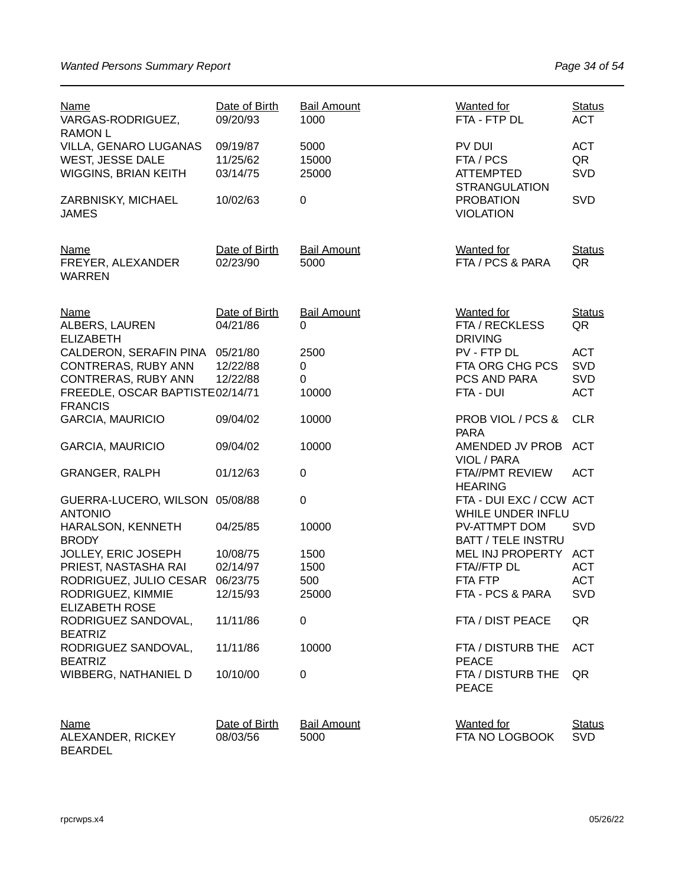| <u>Name</u><br>VARGAS-RODRIGUEZ,<br><b>RAMON L</b>                       | Date of Birth<br>09/20/93        | <b>Bail Amount</b><br>1000 | <b>Wanted for</b><br>FTA - FTP DL                               | <b>Status</b><br><b>ACT</b>    |
|--------------------------------------------------------------------------|----------------------------------|----------------------------|-----------------------------------------------------------------|--------------------------------|
| VILLA, GENARO LUGANAS<br>WEST, JESSE DALE<br><b>WIGGINS, BRIAN KEITH</b> | 09/19/87<br>11/25/62<br>03/14/75 | 5000<br>15000<br>25000     | PV DUI<br>FTA / PCS<br><b>ATTEMPTED</b><br><b>STRANGULATION</b> | <b>ACT</b><br>QR<br><b>SVD</b> |
| ZARBNISKY, MICHAEL<br><b>JAMES</b>                                       | 10/02/63                         | 0                          | <b>PROBATION</b><br><b>VIOLATION</b>                            | <b>SVD</b>                     |
| Name<br>FREYER, ALEXANDER<br><b>WARREN</b>                               | Date of Birth<br>02/23/90        | <b>Bail Amount</b><br>5000 | <b>Wanted for</b><br>FTA / PCS & PARA                           | <b>Status</b><br>QR            |
| <b>Name</b><br>ALBERS, LAUREN<br><b>ELIZABETH</b>                        | Date of Birth<br>04/21/86        | <b>Bail Amount</b><br>0    | <b>Wanted for</b><br>FTA / RECKLESS<br><b>DRIVING</b>           | <b>Status</b><br>QR            |
| CALDERON, SERAFIN PINA 05/21/80                                          |                                  | 2500                       | PV - FTP DL                                                     | <b>ACT</b>                     |
| CONTRERAS, RUBY ANN                                                      | 12/22/88                         | 0                          | FTA ORG CHG PCS                                                 | SVD                            |
| CONTRERAS, RUBY ANN                                                      | 12/22/88                         | $\Omega$                   | PCS AND PARA                                                    | <b>SVD</b>                     |
| FREEDLE, OSCAR BAPTISTE02/14/71<br><b>FRANCIS</b>                        |                                  | 10000                      | FTA - DUI                                                       | <b>ACT</b>                     |
| <b>GARCIA, MAURICIO</b>                                                  | 09/04/02                         | 10000                      | PROB VIOL / PCS &<br><b>PARA</b>                                | <b>CLR</b>                     |
| <b>GARCIA, MAURICIO</b>                                                  | 09/04/02                         | 10000                      | AMENDED JV PROB<br>VIOL / PARA                                  | <b>ACT</b>                     |
| <b>GRANGER, RALPH</b>                                                    | 01/12/63                         | $\pmb{0}$                  | FTA//PMT REVIEW<br><b>HEARING</b>                               | <b>ACT</b>                     |
| GUERRA-LUCERO, WILSON 05/08/88<br><b>ANTONIO</b>                         |                                  | 0                          | FTA - DUI EXC / CCW ACT<br>WHILE UNDER INFLU                    |                                |
| HARALSON, KENNETH<br><b>BRODY</b>                                        | 04/25/85                         | 10000                      | PV-ATTMPT DOM<br><b>BATT / TELE INSTRU</b>                      | <b>SVD</b>                     |
| JOLLEY, ERIC JOSEPH                                                      | 10/08/75                         | 1500                       | MEL INJ PROPERTY                                                | <b>ACT</b>                     |
| PRIEST, NASTASHA RAI                                                     | 02/14/97                         | 1500                       | FTA//FTP DL                                                     | <b>ACT</b>                     |
| RODRIGUEZ, JULIO CESAR                                                   | 06/23/75                         | 500                        | FTA FTP                                                         | <b>ACT</b>                     |
| RODRIGUEZ, KIMMIE<br><b>ELIZABETH ROSE</b>                               | 12/15/93                         | 25000                      | FTA - PCS & PARA                                                | <b>SVD</b>                     |
| RODRIGUEZ SANDOVAL,<br><b>BEATRIZ</b>                                    | 11/11/86                         | 0                          | FTA / DIST PEACE                                                | QR                             |
| RODRIGUEZ SANDOVAL,<br><b>BEATRIZ</b>                                    | 11/11/86                         | 10000                      | FTA / DISTURB THE<br><b>PEACE</b>                               | <b>ACT</b>                     |
| WIBBERG, NATHANIEL D                                                     | 10/10/00                         | 0                          | FTA / DISTURB THE<br><b>PEACE</b>                               | QR                             |
| <b>Name</b><br>ALEXANDER, RICKEY<br><b>BEARDEL</b>                       | Date of Birth<br>08/03/56        | <b>Bail Amount</b><br>5000 | <b>Wanted for</b><br>FTA NO LOGBOOK                             | <b>Status</b><br><b>SVD</b>    |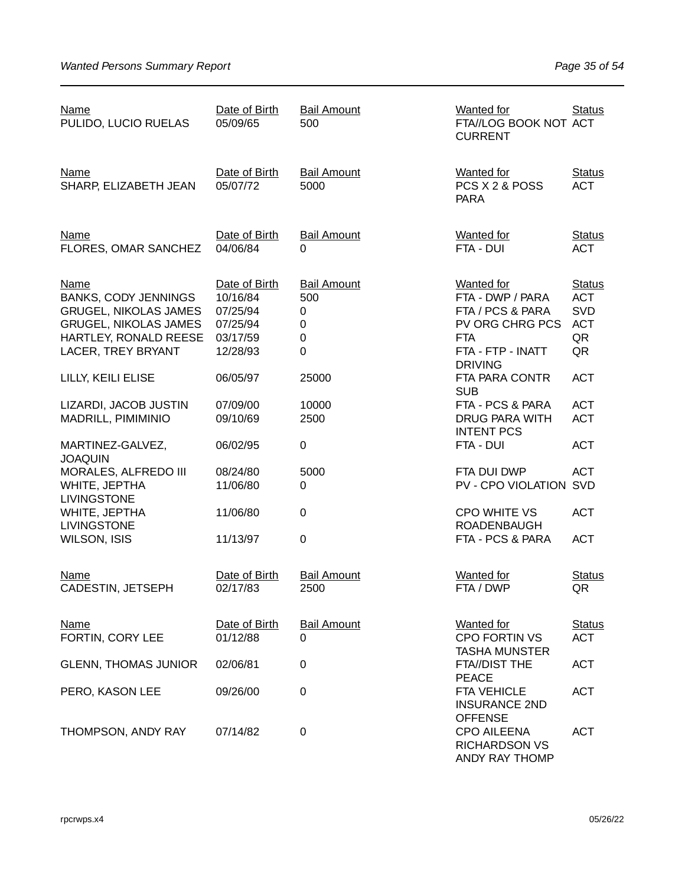| Name<br>PULIDO, LUCIO RUELAS                                                                                                                              | Date of Birth<br>05/09/65                                                 | <b>Bail Amount</b><br>500                                         | <b>Wanted for</b><br>FTA//LOG BOOK NOT ACT<br><b>CURRENT</b>                                                    | <b>Status</b>                                                |
|-----------------------------------------------------------------------------------------------------------------------------------------------------------|---------------------------------------------------------------------------|-------------------------------------------------------------------|-----------------------------------------------------------------------------------------------------------------|--------------------------------------------------------------|
| <b>Name</b><br>SHARP, ELIZABETH JEAN                                                                                                                      | Date of Birth<br>05/07/72                                                 | <b>Bail Amount</b><br>5000                                        | <b>Wanted</b> for<br>PCS X 2 & POSS<br><b>PARA</b>                                                              | <b>Status</b><br><b>ACT</b>                                  |
| <b>Name</b><br>FLORES, OMAR SANCHEZ                                                                                                                       | Date of Birth<br>04/06/84                                                 | <b>Bail Amount</b><br>0                                           | <b>Wanted for</b><br>FTA - DUI                                                                                  | <b>Status</b><br><b>ACT</b>                                  |
| <b>Name</b><br><b>BANKS, CODY JENNINGS</b><br><b>GRUGEL, NIKOLAS JAMES</b><br><b>GRUGEL, NIKOLAS JAMES</b><br>HARTLEY, RONALD REESE<br>LACER, TREY BRYANT | Date of Birth<br>10/16/84<br>07/25/94<br>07/25/94<br>03/17/59<br>12/28/93 | <b>Bail Amount</b><br>500<br>0<br>0<br>$\mathbf 0$<br>$\mathbf 0$ | <b>Wanted for</b><br>FTA - DWP / PARA<br>FTA / PCS & PARA<br>PV ORG CHRG PCS<br><b>FTA</b><br>FTA - FTP - INATT | <b>Status</b><br><b>ACT</b><br>SVD<br><b>ACT</b><br>QR<br>QR |
| LILLY, KEILI ELISE                                                                                                                                        | 06/05/97                                                                  | 25000                                                             | <b>DRIVING</b><br>FTA PARA CONTR<br><b>SUB</b>                                                                  | <b>ACT</b>                                                   |
| LIZARDI, JACOB JUSTIN<br>MADRILL, PIMIMINIO                                                                                                               | 07/09/00<br>09/10/69                                                      | 10000<br>2500                                                     | FTA - PCS & PARA<br>DRUG PARA WITH<br><b>INTENT PCS</b>                                                         | <b>ACT</b><br><b>ACT</b>                                     |
| MARTINEZ-GALVEZ,<br><b>JOAQUIN</b>                                                                                                                        | 06/02/95                                                                  | $\boldsymbol{0}$                                                  | FTA - DUI                                                                                                       | <b>ACT</b>                                                   |
| MORALES, ALFREDO III<br>WHITE, JEPTHA<br><b>LIVINGSTONE</b>                                                                                               | 08/24/80<br>11/06/80                                                      | 5000<br>0                                                         | FTA DUI DWP<br>PV - CPO VIOLATION                                                                               | <b>ACT</b><br><b>SVD</b>                                     |
| WHITE, JEPTHA<br><b>LIVINGSTONE</b>                                                                                                                       | 11/06/80                                                                  | $\mathbf 0$                                                       | <b>CPO WHITE VS</b><br><b>ROADENBAUGH</b>                                                                       | <b>ACT</b>                                                   |
| <b>WILSON, ISIS</b>                                                                                                                                       | 11/13/97                                                                  | $\mathbf 0$                                                       | FTA - PCS & PARA                                                                                                | <b>ACT</b>                                                   |
| Name<br>CADESTIN, JETSEPH                                                                                                                                 | Date of Birth<br>02/17/83                                                 | <b>Bail Amount</b><br>2500                                        | <b>Wanted for</b><br>FTA / DWP                                                                                  | <b>Status</b><br>QR                                          |
| Name<br>FORTIN, CORY LEE                                                                                                                                  | Date of Birth<br>01/12/88                                                 | <b>Bail Amount</b><br>0                                           | <b>Wanted for</b><br><b>CPO FORTIN VS</b>                                                                       | <b>Status</b><br><b>ACT</b>                                  |
| <b>GLENN, THOMAS JUNIOR</b>                                                                                                                               | 02/06/81                                                                  | 0                                                                 | <b>TASHA MUNSTER</b><br>FTA//DIST THE<br><b>PEACE</b>                                                           | <b>ACT</b>                                                   |
| PERO, KASON LEE                                                                                                                                           | 09/26/00                                                                  | 0                                                                 | <b>FTA VEHICLE</b><br><b>INSURANCE 2ND</b><br><b>OFFENSE</b>                                                    | <b>ACT</b>                                                   |
| THOMPSON, ANDY RAY                                                                                                                                        | 07/14/82                                                                  | 0                                                                 | <b>CPO AILEENA</b><br><b>RICHARDSON VS</b><br>ANDY RAY THOMP                                                    | <b>ACT</b>                                                   |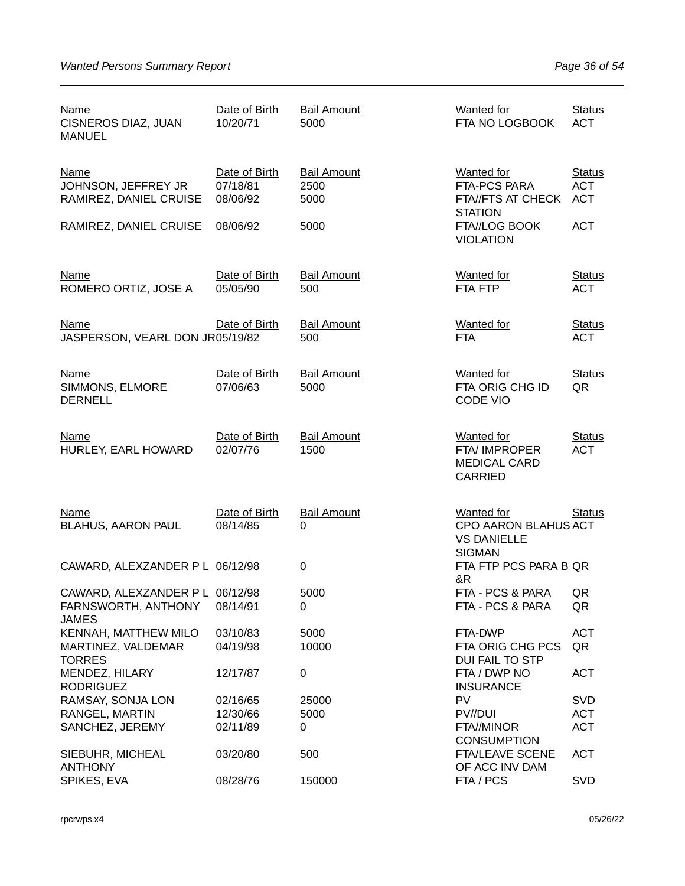| <b>Name</b><br>CISNEROS DIAZ, JUAN<br><b>MANUEL</b>                    | Date of Birth<br>10/20/71             | <b>Bail Amount</b><br>5000         | <b>Wanted for</b><br>FTA NO LOGBOOK                                              | <b>Status</b><br><b>ACT</b>               |
|------------------------------------------------------------------------|---------------------------------------|------------------------------------|----------------------------------------------------------------------------------|-------------------------------------------|
| <b>Name</b><br>JOHNSON, JEFFREY JR<br>RAMIREZ, DANIEL CRUISE           | Date of Birth<br>07/18/81<br>08/06/92 | <b>Bail Amount</b><br>2500<br>5000 | <b>Wanted for</b><br><b>FTA-PCS PARA</b><br>FTA//FTS AT CHECK<br><b>STATION</b>  | <b>Status</b><br><b>ACT</b><br><b>ACT</b> |
| RAMIREZ, DANIEL CRUISE                                                 | 08/06/92                              | 5000                               | FTA//LOG BOOK<br><b>VIOLATION</b>                                                | <b>ACT</b>                                |
| <b>Name</b><br>ROMERO ORTIZ, JOSE A                                    | Date of Birth<br>05/05/90             | <b>Bail Amount</b><br>500          | <b>Wanted for</b><br>FTA FTP                                                     | <b>Status</b><br><b>ACT</b>               |
| <b>Name</b><br>JASPERSON, VEARL DON JR05/19/82                         | Date of Birth                         | <b>Bail Amount</b><br>500          | <b>Wanted for</b><br><b>FTA</b>                                                  | <b>Status</b><br><b>ACT</b>               |
| <b>Name</b><br>SIMMONS, ELMORE<br><b>DERNELL</b>                       | Date of Birth<br>07/06/63             | <b>Bail Amount</b><br>5000         | <b>Wanted for</b><br>FTA ORIG CHG ID<br>CODE VIO                                 | <b>Status</b><br>QR                       |
| <b>Name</b><br>HURLEY, EARL HOWARD                                     | Date of Birth<br>02/07/76             | <b>Bail Amount</b><br>1500         | <b>Wanted for</b><br>FTA/ IMPROPER<br><b>MEDICAL CARD</b><br>CARRIED             | <b>Status</b><br><b>ACT</b>               |
| <b>Name</b><br><b>BLAHUS, AARON PAUL</b>                               | Date of Birth<br>08/14/85             | <b>Bail Amount</b><br>0            | <b>Wanted for</b><br>CPO AARON BLAHUS ACT<br><b>VS DANIELLE</b><br><b>SIGMAN</b> | <b>Status</b>                             |
| CAWARD, ALEXZANDER P L 06/12/98                                        |                                       | $\mathbf 0$                        | FTA FTP PCS PARA B QR<br>&R                                                      |                                           |
| CAWARD, ALEXZANDER P L 06/12/98<br>FARNSWORTH, ANTHONY<br><b>JAMES</b> | 08/14/91                              | 5000<br>0                          | FTA - PCS & PARA<br>FTA - PCS & PARA                                             | QR<br>QR                                  |
| KENNAH, MATTHEW MILO                                                   | 03/10/83                              | 5000                               | FTA-DWP                                                                          | <b>ACT</b>                                |
| MARTINEZ, VALDEMAR<br><b>TORRES</b>                                    | 04/19/98                              | 10000                              | FTA ORIG CHG PCS<br>DUI FAIL TO STP                                              | QR                                        |
| MENDEZ, HILARY<br><b>RODRIGUEZ</b>                                     | 12/17/87                              | 0                                  | FTA / DWP NO<br><b>INSURANCE</b>                                                 | <b>ACT</b>                                |
| RAMSAY, SONJA LON                                                      | 02/16/65                              | 25000                              | <b>PV</b>                                                                        | <b>SVD</b>                                |
| RANGEL, MARTIN                                                         | 12/30/66                              | 5000                               | PV//DUI                                                                          | <b>ACT</b>                                |
| SANCHEZ, JEREMY                                                        | 02/11/89                              | 0                                  | FTA//MINOR<br><b>CONSUMPTION</b>                                                 | <b>ACT</b>                                |
| SIEBUHR, MICHEAL<br><b>ANTHONY</b>                                     | 03/20/80                              | 500                                | <b>FTA/LEAVE SCENE</b><br>OF ACC INV DAM                                         | <b>ACT</b>                                |
| SPIKES, EVA                                                            | 08/28/76                              | 150000                             | FTA / PCS                                                                        | <b>SVD</b>                                |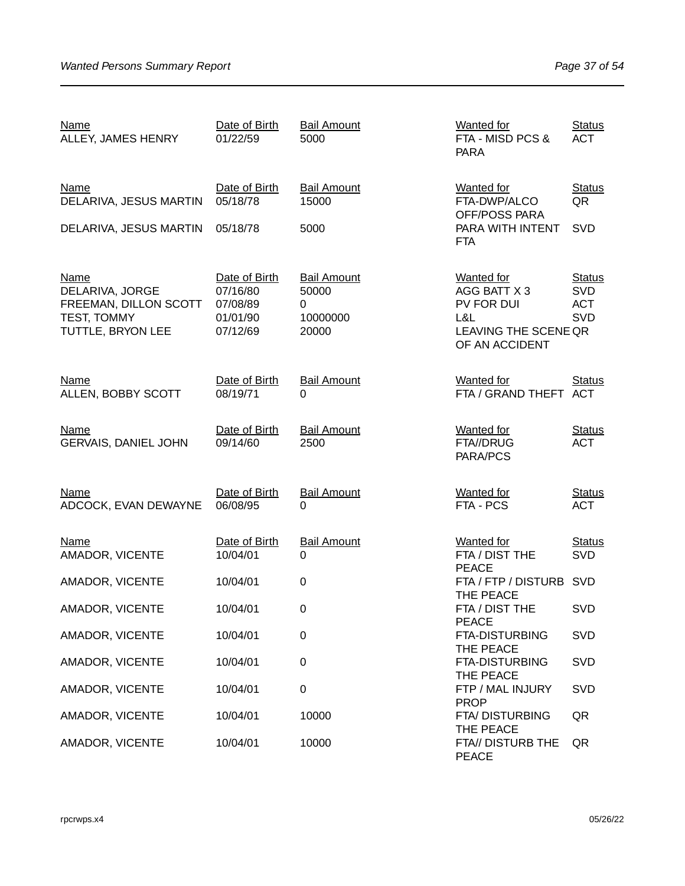| <b>Name</b><br>ALLEY, JAMES HENRY                                                           | Date of Birth<br>01/22/59                                     | <b>Bail Amount</b><br>5000                            | <b>Wanted for</b><br>FTA - MISD PCS &<br><b>PARA</b>                                             | <b>Status</b><br><b>ACT</b>                      |
|---------------------------------------------------------------------------------------------|---------------------------------------------------------------|-------------------------------------------------------|--------------------------------------------------------------------------------------------------|--------------------------------------------------|
| <b>Name</b><br>DELARIVA, JESUS MARTIN                                                       | Date of Birth<br>05/18/78                                     | <b>Bail Amount</b><br>15000                           | <b>Wanted for</b><br>FTA-DWP/ALCO<br>OFF/POSS PARA                                               | <b>Status</b><br>QR                              |
| DELARIVA, JESUS MARTIN                                                                      | 05/18/78                                                      | 5000                                                  | PARA WITH INTENT<br><b>FTA</b>                                                                   | SVD                                              |
| <b>Name</b><br>DELARIVA, JORGE<br>FREEMAN, DILLON SCOTT<br>TEST, TOMMY<br>TUTTLE, BRYON LEE | Date of Birth<br>07/16/80<br>07/08/89<br>01/01/90<br>07/12/69 | <b>Bail Amount</b><br>50000<br>0<br>10000000<br>20000 | <b>Wanted for</b><br>AGG BATT X 3<br>PV FOR DUI<br>L&L<br>LEAVING THE SCENE QR<br>OF AN ACCIDENT | <b>Status</b><br><b>SVD</b><br><b>ACT</b><br>SVD |
| <b>Name</b><br>ALLEN, BOBBY SCOTT                                                           | Date of Birth<br>08/19/71                                     | <b>Bail Amount</b><br>$\Omega$                        | <b>Wanted for</b><br>FTA / GRAND THEFT ACT                                                       | <b>Status</b>                                    |
| <b>Name</b><br><b>GERVAIS, DANIEL JOHN</b>                                                  | Date of Birth<br>09/14/60                                     | <b>Bail Amount</b><br>2500                            | <b>Wanted for</b><br>FTA//DRUG<br>PARA/PCS                                                       | <b>Status</b><br><b>ACT</b>                      |
| <b>Name</b><br>ADCOCK, EVAN DEWAYNE                                                         | Date of Birth<br>06/08/95                                     | <b>Bail Amount</b><br>0                               | <b>Wanted for</b><br>FTA - PCS                                                                   | <b>Status</b><br><b>ACT</b>                      |
| <b>Name</b><br>AMADOR, VICENTE                                                              | Date of Birth<br>10/04/01                                     | <b>Bail Amount</b><br>$\Omega$                        | <b>Wanted</b> for<br>FTA / DIST THE<br><b>PEACE</b>                                              | <b>Status</b><br><b>SVD</b>                      |
| AMADOR, VICENTE                                                                             | 10/04/01                                                      | $\boldsymbol{0}$                                      | FTA / FTP / DISTURB<br>THE PEACE                                                                 | <b>SVD</b>                                       |
| AMADOR, VICENTE                                                                             | 10/04/01                                                      | 0                                                     | FTA / DIST THE<br><b>PEACE</b>                                                                   | <b>SVD</b>                                       |
| AMADOR, VICENTE                                                                             | 10/04/01                                                      | $\mathbf 0$                                           | <b>FTA-DISTURBING</b><br>THE PEACE                                                               | <b>SVD</b>                                       |
| AMADOR, VICENTE                                                                             | 10/04/01                                                      | $\boldsymbol{0}$                                      | <b>FTA-DISTURBING</b><br>THE PEACE                                                               | <b>SVD</b>                                       |
| AMADOR, VICENTE                                                                             | 10/04/01                                                      | $\boldsymbol{0}$                                      | FTP / MAL INJURY<br><b>PROP</b>                                                                  | <b>SVD</b>                                       |
| AMADOR, VICENTE                                                                             | 10/04/01                                                      | 10000                                                 | FTA/DISTURBING<br>THE PEACE                                                                      | QR                                               |
| AMADOR, VICENTE                                                                             | 10/04/01                                                      | 10000                                                 | FTA// DISTURB THE<br><b>PEACE</b>                                                                | QR                                               |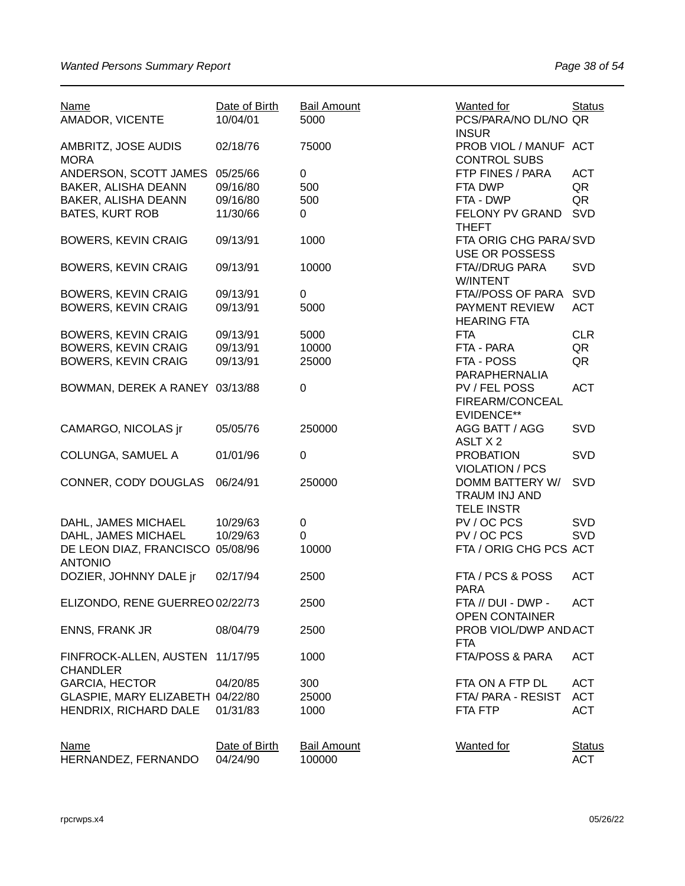| <b>Name</b><br>AMADOR, VICENTE                     | Date of Birth<br>10/04/01 | <b>Bail Amount</b><br>5000   | <b>Wanted for</b><br>PCS/PARA/NO DL/NO QR<br><b>INSUR</b>    | <b>Status</b>               |
|----------------------------------------------------|---------------------------|------------------------------|--------------------------------------------------------------|-----------------------------|
| AMBRITZ, JOSE AUDIS<br><b>MORA</b>                 | 02/18/76                  | 75000                        | PROB VIOL / MANUF ACT<br><b>CONTROL SUBS</b>                 |                             |
| ANDERSON, SCOTT JAMES                              | 05/25/66                  | 0                            | FTP FINES / PARA                                             | <b>ACT</b>                  |
| BAKER, ALISHA DEANN                                | 09/16/80                  | 500                          | FTA DWP                                                      | QR                          |
| BAKER, ALISHA DEANN                                | 09/16/80                  | 500                          | FTA - DWP                                                    | QR                          |
| <b>BATES, KURT ROB</b>                             | 11/30/66                  | 0                            | FELONY PV GRAND                                              | <b>SVD</b>                  |
|                                                    |                           |                              | <b>THEFT</b>                                                 |                             |
| <b>BOWERS, KEVIN CRAIG</b>                         | 09/13/91                  | 1000                         | FTA ORIG CHG PARA/SVD<br><b>USE OR POSSESS</b>               |                             |
| <b>BOWERS, KEVIN CRAIG</b>                         | 09/13/91                  | 10000                        | FTA//DRUG PARA<br>W/INTENT                                   | SVD                         |
| <b>BOWERS, KEVIN CRAIG</b>                         | 09/13/91                  | 0                            | FTA//POSS OF PARA                                            | <b>SVD</b>                  |
| <b>BOWERS, KEVIN CRAIG</b>                         | 09/13/91                  | 5000                         | PAYMENT REVIEW<br><b>HEARING FTA</b>                         | <b>ACT</b>                  |
| <b>BOWERS, KEVIN CRAIG</b>                         | 09/13/91                  | 5000                         | <b>FTA</b>                                                   | <b>CLR</b>                  |
| <b>BOWERS, KEVIN CRAIG</b>                         | 09/13/91                  | 10000                        | FTA - PARA                                                   | QR                          |
|                                                    |                           |                              |                                                              |                             |
| <b>BOWERS, KEVIN CRAIG</b>                         | 09/13/91                  | 25000                        | FTA - POSS<br>PARAPHERNALIA                                  | QR                          |
| BOWMAN, DEREK A RANEY 03/13/88                     |                           | 0                            | PV / FEL POSS<br>FIREARM/CONCEAL<br><b>EVIDENCE**</b>        | <b>ACT</b>                  |
| CAMARGO, NICOLAS jr                                | 05/05/76                  | 250000                       | AGG BATT / AGG<br>ASLT X 2                                   | <b>SVD</b>                  |
| COLUNGA, SAMUEL A                                  | 01/01/96                  | 0                            | <b>PROBATION</b><br><b>VIOLATION / PCS</b>                   | SVD                         |
| CONNER, CODY DOUGLAS                               | 06/24/91                  | 250000                       | <b>DOMM BATTERY W/</b><br>TRAUM INJ AND<br><b>TELE INSTR</b> | <b>SVD</b>                  |
| DAHL, JAMES MICHAEL                                | 10/29/63                  | 0                            | PV / OC PCS                                                  | SVD                         |
| DAHL, JAMES MICHAEL                                | 10/29/63                  | 0                            | PV / OC PCS                                                  | <b>SVD</b>                  |
| DE LEON DIAZ, FRANCISCO 05/08/96                   |                           | 10000                        | FTA / ORIG CHG PCS ACT                                       |                             |
| <b>ANTONIO</b>                                     |                           |                              |                                                              |                             |
| DOZIER, JOHNNY DALE ir                             | 02/17/94                  | 2500                         | FTA / PCS & POSS<br><b>PARA</b>                              | <b>ACT</b>                  |
| ELIZONDO, RENE GUERREO 02/22/73                    |                           | 2500                         | FTA // DUI - DWP -                                           | <b>ACT</b>                  |
| <b>ENNS, FRANK JR</b>                              | 08/04/79                  | 2500                         | <b>OPEN CONTAINER</b><br>PROB VIOL/DWP AND ACT<br><b>FTA</b> |                             |
| FINFROCK-ALLEN, AUSTEN 11/17/95<br><b>CHANDLER</b> |                           | 1000                         | FTA/POSS & PARA                                              | <b>ACT</b>                  |
| <b>GARCIA, HECTOR</b>                              | 04/20/85                  | 300                          | FTA ON A FTP DL                                              | <b>ACT</b>                  |
| GLASPIE, MARY ELIZABETH 04/22/80                   |                           | 25000                        | FTA/PARA - RESIST                                            | <b>ACT</b>                  |
| HENDRIX, RICHARD DALE                              | 01/31/83                  | 1000                         | FTA FTP                                                      | <b>ACT</b>                  |
| <b>Name</b><br>HERNANDEZ, FERNANDO                 | Date of Birth<br>04/24/90 | <b>Bail Amount</b><br>100000 | <b>Wanted</b> for                                            | <b>Status</b><br><b>ACT</b> |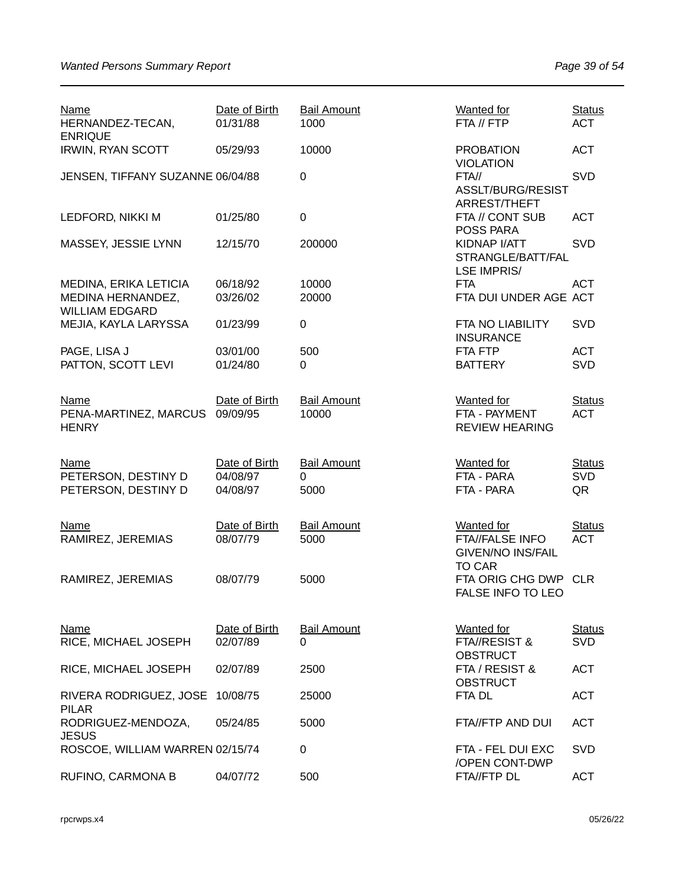| <b>Name</b><br>HERNANDEZ-TECAN,<br><b>ENRIQUE</b>                   | Date of Birth<br>01/31/88             | <b>Bail Amount</b><br>1000      | <b>Wanted for</b><br>FTA // FTP                                         | <b>Status</b><br><b>ACT</b>       |
|---------------------------------------------------------------------|---------------------------------------|---------------------------------|-------------------------------------------------------------------------|-----------------------------------|
| <b>IRWIN, RYAN SCOTT</b>                                            | 05/29/93                              | 10000                           | <b>PROBATION</b><br><b>VIOLATION</b>                                    | <b>ACT</b>                        |
| JENSEN, TIFFANY SUZANNE 06/04/88                                    |                                       | $\mathbf 0$                     | FTA//<br>ASSLT/BURG/RESIST<br>ARREST/THEFT                              | <b>SVD</b>                        |
| LEDFORD, NIKKI M                                                    | 01/25/80                              | $\mathbf 0$                     | FTA // CONT SUB<br>POSS PARA                                            | <b>ACT</b>                        |
| MASSEY, JESSIE LYNN                                                 | 12/15/70                              | 200000                          | KIDNAP I/ATT<br>STRANGLE/BATT/FAL<br><b>LSE IMPRIS/</b>                 | <b>SVD</b>                        |
| MEDINA, ERIKA LETICIA<br>MEDINA HERNANDEZ,<br><b>WILLIAM EDGARD</b> | 06/18/92<br>03/26/02                  | 10000<br>20000                  | <b>FTA</b><br>FTA DUI UNDER AGE ACT                                     | <b>ACT</b>                        |
| MEJIA, KAYLA LARYSSA                                                | 01/23/99                              | $\boldsymbol{0}$                | FTA NO LIABILITY<br><b>INSURANCE</b>                                    | SVD                               |
| PAGE, LISA J<br>PATTON, SCOTT LEVI                                  | 03/01/00<br>01/24/80                  | 500<br>0                        | FTA FTP<br><b>BATTERY</b>                                               | <b>ACT</b><br><b>SVD</b>          |
|                                                                     |                                       |                                 |                                                                         |                                   |
| <b>Name</b><br>PENA-MARTINEZ, MARCUS<br><b>HENRY</b>                | Date of Birth<br>09/09/95             | <b>Bail Amount</b><br>10000     | <b>Wanted</b> for<br>FTA - PAYMENT<br><b>REVIEW HEARING</b>             | <b>Status</b><br><b>ACT</b>       |
| Name<br>PETERSON, DESTINY D<br>PETERSON, DESTINY D                  | Date of Birth<br>04/08/97<br>04/08/97 | <b>Bail Amount</b><br>0<br>5000 | <b>Wanted for</b><br>FTA - PARA<br>FTA - PARA                           | <b>Status</b><br><b>SVD</b><br>QR |
| <b>Name</b><br>RAMIREZ, JEREMIAS                                    | Date of Birth<br>08/07/79             | <b>Bail Amount</b><br>5000      | <b>Wanted for</b><br><b>FTA//FALSE INFO</b><br><b>GIVEN/NO INS/FAIL</b> | <b>Status</b><br><b>ACT</b>       |
| RAMIREZ, JEREMIAS                                                   | 08/07/79                              | 5000                            | <b>TO CAR</b><br>FTA ORIG CHG DWP CLR<br>FALSE INFO TO LEO              |                                   |
| <b>Name</b><br>RICE, MICHAEL JOSEPH                                 | Date of Birth<br>02/07/89             | <b>Bail Amount</b><br>0         | <b>Wanted</b> for<br>FTA//RESIST &<br><b>OBSTRUCT</b>                   | <b>Status</b><br><b>SVD</b>       |
| RICE, MICHAEL JOSEPH                                                | 02/07/89                              | 2500                            | FTA / RESIST &<br><b>OBSTRUCT</b>                                       | <b>ACT</b>                        |
| RIVERA RODRIGUEZ, JOSE<br><b>PILAR</b>                              | 10/08/75                              | 25000                           | FTA DL                                                                  | <b>ACT</b>                        |
| RODRIGUEZ-MENDOZA,<br><b>JESUS</b>                                  | 05/24/85                              | 5000                            | FTA//FTP AND DUI                                                        | <b>ACT</b>                        |
| ROSCOE, WILLIAM WARREN 02/15/74                                     |                                       | $\pmb{0}$                       | FTA - FEL DUI EXC<br>/OPEN CONT-DWP                                     | <b>SVD</b>                        |
| RUFINO, CARMONA B                                                   | 04/07/72                              | 500                             | FTA//FTP DL                                                             | <b>ACT</b>                        |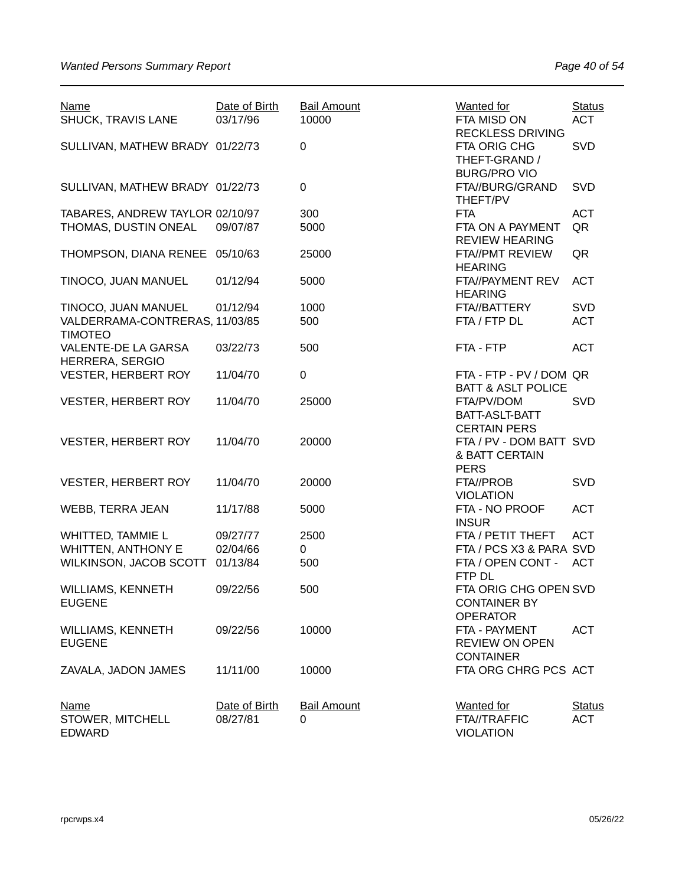| SVD<br>SULLIVAN, MATHEW BRADY 01/22/73<br>$\mathbf 0$<br>FTA ORIG CHG<br>THEFT-GRAND /<br><b>BURG/PRO VIO</b><br>$\mathbf 0$<br>SULLIVAN, MATHEW BRADY 01/22/73<br>FTA//BURG/GRAND<br><b>SVD</b><br>THEFT/PV<br>TABARES, ANDREW TAYLOR 02/10/97<br>300<br><b>ACT</b><br><b>FTA</b><br>THOMAS, DUSTIN ONEAL<br>5000<br>QR<br>09/07/87<br>FTA ON A PAYMENT<br><b>REVIEW HEARING</b><br>THOMPSON, DIANA RENEE 05/10/63<br>25000<br><b>FTA//PMT REVIEW</b><br>QR<br><b>HEARING</b><br>TINOCO, JUAN MANUEL<br>01/12/94<br>5000<br><b>ACT</b><br>FTA//PAYMENT REV<br><b>HEARING</b><br>TINOCO, JUAN MANUEL<br>1000<br><b>SVD</b><br>01/12/94<br>FTA//BATTERY<br>VALDERRAMA-CONTRERAS, 11/03/85<br>500<br>FTA / FTP DL<br><b>ACT</b><br><b>TIMOTEO</b><br>VALENTE-DE LA GARSA<br>03/22/73<br>500<br><b>ACT</b><br>FTA - FTP<br>HERRERA, SERGIO<br><b>VESTER, HERBERT ROY</b><br>11/04/70<br>$\pmb{0}$<br>FTA - FTP - PV / DOM QR<br><b>BATT &amp; ASLT POLICE</b><br>25000<br><b>SVD</b><br><b>VESTER, HERBERT ROY</b><br>11/04/70<br>FTA/PV/DOM<br>BATT-ASLT-BATT<br><b>CERTAIN PERS</b><br>11/04/70<br>20000<br>FTA / PV - DOM BATT SVD<br><b>VESTER, HERBERT ROY</b><br>& BATT CERTAIN<br><b>PERS</b><br>SVD<br>11/04/70<br>20000<br><b>VESTER, HERBERT ROY</b><br>FTA//PROB<br><b>VIOLATION</b><br>5000<br>FTA - NO PROOF<br><b>ACT</b><br>WEBB, TERRA JEAN<br>11/17/88<br><b>INSUR</b><br>WHITTED, TAMMIE L<br>2500<br>FTA / PETIT THEFT<br><b>ACT</b><br>09/27/77<br><b>WHITTEN, ANTHONY E</b><br>FTA / PCS X3 & PARA SVD<br>02/04/66<br>0<br>WILKINSON, JACOB SCOTT<br>500<br>FTA / OPEN CONT -<br><b>ACT</b><br>01/13/84<br>FTP DL<br>WILLIAMS, KENNETH<br>09/22/56<br>500<br>FTA ORIG CHG OPEN SVD<br><b>EUGENE</b><br><b>CONTAINER BY</b><br><b>OPERATOR</b><br>10000<br><b>ACT</b><br><b>WILLIAMS, KENNETH</b><br>09/22/56<br>FTA - PAYMENT<br><b>EUGENE</b><br><b>REVIEW ON OPEN</b><br><b>CONTAINER</b><br>FTA ORG CHRG PCS ACT<br>11/11/00<br>10000<br>ZAVALA, JADON JAMES<br>Date of Birth<br><b>Bail Amount</b><br><b>Wanted for</b><br><b>Status</b><br><u>Name</u><br>STOWER, MITCHELL<br>08/27/81<br><b>FTA//TRAFFIC</b><br><b>ACT</b><br>0 | <b>Name</b><br>SHUCK, TRAVIS LANE | Date of Birth<br>03/17/96 | <b>Bail Amount</b><br>10000 | Wanted for<br>FTA MISD ON<br><b>RECKLESS DRIVING</b> | <b>Status</b><br><b>ACT</b> |
|---------------------------------------------------------------------------------------------------------------------------------------------------------------------------------------------------------------------------------------------------------------------------------------------------------------------------------------------------------------------------------------------------------------------------------------------------------------------------------------------------------------------------------------------------------------------------------------------------------------------------------------------------------------------------------------------------------------------------------------------------------------------------------------------------------------------------------------------------------------------------------------------------------------------------------------------------------------------------------------------------------------------------------------------------------------------------------------------------------------------------------------------------------------------------------------------------------------------------------------------------------------------------------------------------------------------------------------------------------------------------------------------------------------------------------------------------------------------------------------------------------------------------------------------------------------------------------------------------------------------------------------------------------------------------------------------------------------------------------------------------------------------------------------------------------------------------------------------------------------------------------------------------------------------------------------------------------------------------------------------------------------------------------------------------------------------------------------------------------------------------------------------------------|-----------------------------------|---------------------------|-----------------------------|------------------------------------------------------|-----------------------------|
|                                                                                                                                                                                                                                                                                                                                                                                                                                                                                                                                                                                                                                                                                                                                                                                                                                                                                                                                                                                                                                                                                                                                                                                                                                                                                                                                                                                                                                                                                                                                                                                                                                                                                                                                                                                                                                                                                                                                                                                                                                                                                                                                                         |                                   |                           |                             |                                                      |                             |
|                                                                                                                                                                                                                                                                                                                                                                                                                                                                                                                                                                                                                                                                                                                                                                                                                                                                                                                                                                                                                                                                                                                                                                                                                                                                                                                                                                                                                                                                                                                                                                                                                                                                                                                                                                                                                                                                                                                                                                                                                                                                                                                                                         |                                   |                           |                             |                                                      |                             |
|                                                                                                                                                                                                                                                                                                                                                                                                                                                                                                                                                                                                                                                                                                                                                                                                                                                                                                                                                                                                                                                                                                                                                                                                                                                                                                                                                                                                                                                                                                                                                                                                                                                                                                                                                                                                                                                                                                                                                                                                                                                                                                                                                         |                                   |                           |                             |                                                      |                             |
|                                                                                                                                                                                                                                                                                                                                                                                                                                                                                                                                                                                                                                                                                                                                                                                                                                                                                                                                                                                                                                                                                                                                                                                                                                                                                                                                                                                                                                                                                                                                                                                                                                                                                                                                                                                                                                                                                                                                                                                                                                                                                                                                                         |                                   |                           |                             |                                                      |                             |
|                                                                                                                                                                                                                                                                                                                                                                                                                                                                                                                                                                                                                                                                                                                                                                                                                                                                                                                                                                                                                                                                                                                                                                                                                                                                                                                                                                                                                                                                                                                                                                                                                                                                                                                                                                                                                                                                                                                                                                                                                                                                                                                                                         |                                   |                           |                             |                                                      |                             |
|                                                                                                                                                                                                                                                                                                                                                                                                                                                                                                                                                                                                                                                                                                                                                                                                                                                                                                                                                                                                                                                                                                                                                                                                                                                                                                                                                                                                                                                                                                                                                                                                                                                                                                                                                                                                                                                                                                                                                                                                                                                                                                                                                         |                                   |                           |                             |                                                      |                             |
|                                                                                                                                                                                                                                                                                                                                                                                                                                                                                                                                                                                                                                                                                                                                                                                                                                                                                                                                                                                                                                                                                                                                                                                                                                                                                                                                                                                                                                                                                                                                                                                                                                                                                                                                                                                                                                                                                                                                                                                                                                                                                                                                                         |                                   |                           |                             |                                                      |                             |
|                                                                                                                                                                                                                                                                                                                                                                                                                                                                                                                                                                                                                                                                                                                                                                                                                                                                                                                                                                                                                                                                                                                                                                                                                                                                                                                                                                                                                                                                                                                                                                                                                                                                                                                                                                                                                                                                                                                                                                                                                                                                                                                                                         |                                   |                           |                             |                                                      |                             |
|                                                                                                                                                                                                                                                                                                                                                                                                                                                                                                                                                                                                                                                                                                                                                                                                                                                                                                                                                                                                                                                                                                                                                                                                                                                                                                                                                                                                                                                                                                                                                                                                                                                                                                                                                                                                                                                                                                                                                                                                                                                                                                                                                         |                                   |                           |                             |                                                      |                             |
|                                                                                                                                                                                                                                                                                                                                                                                                                                                                                                                                                                                                                                                                                                                                                                                                                                                                                                                                                                                                                                                                                                                                                                                                                                                                                                                                                                                                                                                                                                                                                                                                                                                                                                                                                                                                                                                                                                                                                                                                                                                                                                                                                         |                                   |                           |                             |                                                      |                             |
|                                                                                                                                                                                                                                                                                                                                                                                                                                                                                                                                                                                                                                                                                                                                                                                                                                                                                                                                                                                                                                                                                                                                                                                                                                                                                                                                                                                                                                                                                                                                                                                                                                                                                                                                                                                                                                                                                                                                                                                                                                                                                                                                                         |                                   |                           |                             |                                                      |                             |
|                                                                                                                                                                                                                                                                                                                                                                                                                                                                                                                                                                                                                                                                                                                                                                                                                                                                                                                                                                                                                                                                                                                                                                                                                                                                                                                                                                                                                                                                                                                                                                                                                                                                                                                                                                                                                                                                                                                                                                                                                                                                                                                                                         |                                   |                           |                             |                                                      |                             |
|                                                                                                                                                                                                                                                                                                                                                                                                                                                                                                                                                                                                                                                                                                                                                                                                                                                                                                                                                                                                                                                                                                                                                                                                                                                                                                                                                                                                                                                                                                                                                                                                                                                                                                                                                                                                                                                                                                                                                                                                                                                                                                                                                         |                                   |                           |                             |                                                      |                             |
|                                                                                                                                                                                                                                                                                                                                                                                                                                                                                                                                                                                                                                                                                                                                                                                                                                                                                                                                                                                                                                                                                                                                                                                                                                                                                                                                                                                                                                                                                                                                                                                                                                                                                                                                                                                                                                                                                                                                                                                                                                                                                                                                                         |                                   |                           |                             |                                                      |                             |
|                                                                                                                                                                                                                                                                                                                                                                                                                                                                                                                                                                                                                                                                                                                                                                                                                                                                                                                                                                                                                                                                                                                                                                                                                                                                                                                                                                                                                                                                                                                                                                                                                                                                                                                                                                                                                                                                                                                                                                                                                                                                                                                                                         |                                   |                           |                             |                                                      |                             |
|                                                                                                                                                                                                                                                                                                                                                                                                                                                                                                                                                                                                                                                                                                                                                                                                                                                                                                                                                                                                                                                                                                                                                                                                                                                                                                                                                                                                                                                                                                                                                                                                                                                                                                                                                                                                                                                                                                                                                                                                                                                                                                                                                         |                                   |                           |                             |                                                      |                             |
|                                                                                                                                                                                                                                                                                                                                                                                                                                                                                                                                                                                                                                                                                                                                                                                                                                                                                                                                                                                                                                                                                                                                                                                                                                                                                                                                                                                                                                                                                                                                                                                                                                                                                                                                                                                                                                                                                                                                                                                                                                                                                                                                                         |                                   |                           |                             |                                                      |                             |
|                                                                                                                                                                                                                                                                                                                                                                                                                                                                                                                                                                                                                                                                                                                                                                                                                                                                                                                                                                                                                                                                                                                                                                                                                                                                                                                                                                                                                                                                                                                                                                                                                                                                                                                                                                                                                                                                                                                                                                                                                                                                                                                                                         |                                   |                           |                             |                                                      |                             |
|                                                                                                                                                                                                                                                                                                                                                                                                                                                                                                                                                                                                                                                                                                                                                                                                                                                                                                                                                                                                                                                                                                                                                                                                                                                                                                                                                                                                                                                                                                                                                                                                                                                                                                                                                                                                                                                                                                                                                                                                                                                                                                                                                         |                                   |                           |                             |                                                      |                             |
|                                                                                                                                                                                                                                                                                                                                                                                                                                                                                                                                                                                                                                                                                                                                                                                                                                                                                                                                                                                                                                                                                                                                                                                                                                                                                                                                                                                                                                                                                                                                                                                                                                                                                                                                                                                                                                                                                                                                                                                                                                                                                                                                                         |                                   |                           |                             |                                                      |                             |
|                                                                                                                                                                                                                                                                                                                                                                                                                                                                                                                                                                                                                                                                                                                                                                                                                                                                                                                                                                                                                                                                                                                                                                                                                                                                                                                                                                                                                                                                                                                                                                                                                                                                                                                                                                                                                                                                                                                                                                                                                                                                                                                                                         |                                   |                           |                             |                                                      |                             |
|                                                                                                                                                                                                                                                                                                                                                                                                                                                                                                                                                                                                                                                                                                                                                                                                                                                                                                                                                                                                                                                                                                                                                                                                                                                                                                                                                                                                                                                                                                                                                                                                                                                                                                                                                                                                                                                                                                                                                                                                                                                                                                                                                         |                                   |                           |                             |                                                      |                             |
|                                                                                                                                                                                                                                                                                                                                                                                                                                                                                                                                                                                                                                                                                                                                                                                                                                                                                                                                                                                                                                                                                                                                                                                                                                                                                                                                                                                                                                                                                                                                                                                                                                                                                                                                                                                                                                                                                                                                                                                                                                                                                                                                                         |                                   |                           |                             |                                                      |                             |
|                                                                                                                                                                                                                                                                                                                                                                                                                                                                                                                                                                                                                                                                                                                                                                                                                                                                                                                                                                                                                                                                                                                                                                                                                                                                                                                                                                                                                                                                                                                                                                                                                                                                                                                                                                                                                                                                                                                                                                                                                                                                                                                                                         |                                   |                           |                             |                                                      |                             |
|                                                                                                                                                                                                                                                                                                                                                                                                                                                                                                                                                                                                                                                                                                                                                                                                                                                                                                                                                                                                                                                                                                                                                                                                                                                                                                                                                                                                                                                                                                                                                                                                                                                                                                                                                                                                                                                                                                                                                                                                                                                                                                                                                         |                                   |                           |                             |                                                      |                             |
|                                                                                                                                                                                                                                                                                                                                                                                                                                                                                                                                                                                                                                                                                                                                                                                                                                                                                                                                                                                                                                                                                                                                                                                                                                                                                                                                                                                                                                                                                                                                                                                                                                                                                                                                                                                                                                                                                                                                                                                                                                                                                                                                                         |                                   |                           |                             |                                                      |                             |
|                                                                                                                                                                                                                                                                                                                                                                                                                                                                                                                                                                                                                                                                                                                                                                                                                                                                                                                                                                                                                                                                                                                                                                                                                                                                                                                                                                                                                                                                                                                                                                                                                                                                                                                                                                                                                                                                                                                                                                                                                                                                                                                                                         |                                   |                           |                             |                                                      |                             |
|                                                                                                                                                                                                                                                                                                                                                                                                                                                                                                                                                                                                                                                                                                                                                                                                                                                                                                                                                                                                                                                                                                                                                                                                                                                                                                                                                                                                                                                                                                                                                                                                                                                                                                                                                                                                                                                                                                                                                                                                                                                                                                                                                         |                                   |                           |                             |                                                      |                             |
|                                                                                                                                                                                                                                                                                                                                                                                                                                                                                                                                                                                                                                                                                                                                                                                                                                                                                                                                                                                                                                                                                                                                                                                                                                                                                                                                                                                                                                                                                                                                                                                                                                                                                                                                                                                                                                                                                                                                                                                                                                                                                                                                                         |                                   |                           |                             |                                                      |                             |
|                                                                                                                                                                                                                                                                                                                                                                                                                                                                                                                                                                                                                                                                                                                                                                                                                                                                                                                                                                                                                                                                                                                                                                                                                                                                                                                                                                                                                                                                                                                                                                                                                                                                                                                                                                                                                                                                                                                                                                                                                                                                                                                                                         |                                   |                           |                             |                                                      |                             |
|                                                                                                                                                                                                                                                                                                                                                                                                                                                                                                                                                                                                                                                                                                                                                                                                                                                                                                                                                                                                                                                                                                                                                                                                                                                                                                                                                                                                                                                                                                                                                                                                                                                                                                                                                                                                                                                                                                                                                                                                                                                                                                                                                         |                                   |                           |                             |                                                      |                             |
|                                                                                                                                                                                                                                                                                                                                                                                                                                                                                                                                                                                                                                                                                                                                                                                                                                                                                                                                                                                                                                                                                                                                                                                                                                                                                                                                                                                                                                                                                                                                                                                                                                                                                                                                                                                                                                                                                                                                                                                                                                                                                                                                                         |                                   |                           |                             |                                                      |                             |
|                                                                                                                                                                                                                                                                                                                                                                                                                                                                                                                                                                                                                                                                                                                                                                                                                                                                                                                                                                                                                                                                                                                                                                                                                                                                                                                                                                                                                                                                                                                                                                                                                                                                                                                                                                                                                                                                                                                                                                                                                                                                                                                                                         |                                   |                           |                             |                                                      |                             |
|                                                                                                                                                                                                                                                                                                                                                                                                                                                                                                                                                                                                                                                                                                                                                                                                                                                                                                                                                                                                                                                                                                                                                                                                                                                                                                                                                                                                                                                                                                                                                                                                                                                                                                                                                                                                                                                                                                                                                                                                                                                                                                                                                         |                                   |                           |                             |                                                      |                             |
|                                                                                                                                                                                                                                                                                                                                                                                                                                                                                                                                                                                                                                                                                                                                                                                                                                                                                                                                                                                                                                                                                                                                                                                                                                                                                                                                                                                                                                                                                                                                                                                                                                                                                                                                                                                                                                                                                                                                                                                                                                                                                                                                                         |                                   |                           |                             |                                                      |                             |
|                                                                                                                                                                                                                                                                                                                                                                                                                                                                                                                                                                                                                                                                                                                                                                                                                                                                                                                                                                                                                                                                                                                                                                                                                                                                                                                                                                                                                                                                                                                                                                                                                                                                                                                                                                                                                                                                                                                                                                                                                                                                                                                                                         |                                   |                           |                             |                                                      |                             |
|                                                                                                                                                                                                                                                                                                                                                                                                                                                                                                                                                                                                                                                                                                                                                                                                                                                                                                                                                                                                                                                                                                                                                                                                                                                                                                                                                                                                                                                                                                                                                                                                                                                                                                                                                                                                                                                                                                                                                                                                                                                                                                                                                         |                                   |                           |                             |                                                      |                             |
|                                                                                                                                                                                                                                                                                                                                                                                                                                                                                                                                                                                                                                                                                                                                                                                                                                                                                                                                                                                                                                                                                                                                                                                                                                                                                                                                                                                                                                                                                                                                                                                                                                                                                                                                                                                                                                                                                                                                                                                                                                                                                                                                                         |                                   |                           |                             |                                                      |                             |
|                                                                                                                                                                                                                                                                                                                                                                                                                                                                                                                                                                                                                                                                                                                                                                                                                                                                                                                                                                                                                                                                                                                                                                                                                                                                                                                                                                                                                                                                                                                                                                                                                                                                                                                                                                                                                                                                                                                                                                                                                                                                                                                                                         |                                   |                           |                             |                                                      |                             |
|                                                                                                                                                                                                                                                                                                                                                                                                                                                                                                                                                                                                                                                                                                                                                                                                                                                                                                                                                                                                                                                                                                                                                                                                                                                                                                                                                                                                                                                                                                                                                                                                                                                                                                                                                                                                                                                                                                                                                                                                                                                                                                                                                         |                                   |                           |                             |                                                      |                             |
|                                                                                                                                                                                                                                                                                                                                                                                                                                                                                                                                                                                                                                                                                                                                                                                                                                                                                                                                                                                                                                                                                                                                                                                                                                                                                                                                                                                                                                                                                                                                                                                                                                                                                                                                                                                                                                                                                                                                                                                                                                                                                                                                                         | <b>EDWARD</b>                     |                           |                             | <b>VIOLATION</b>                                     |                             |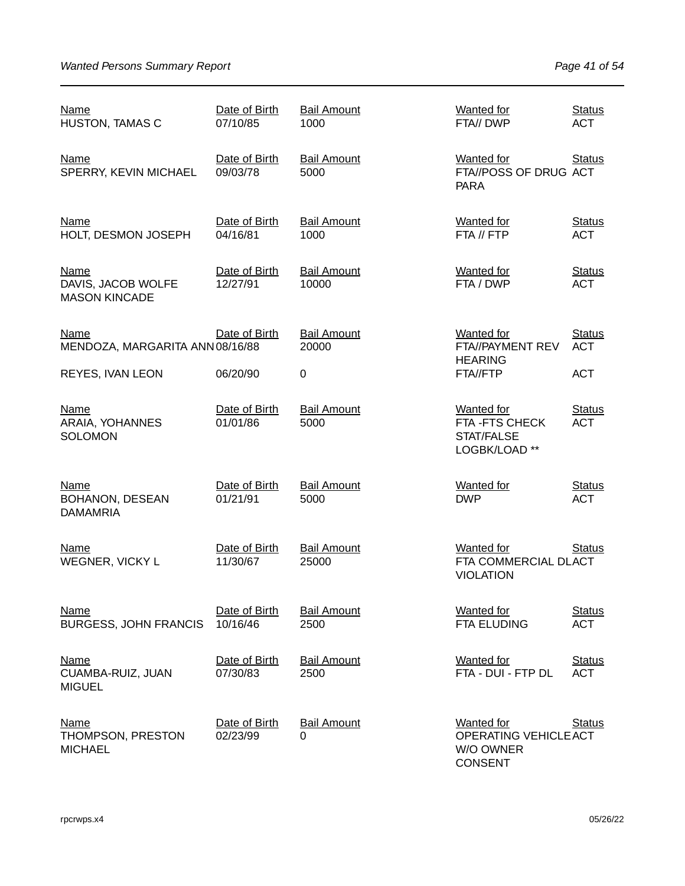| Name<br><b>HUSTON, TAMAS C</b>                            | Date of Birth<br>07/10/85 | <b>Bail Amount</b><br>1000     | <b>Wanted for</b><br>FTA// DWP                                            | <b>Status</b><br><b>ACT</b> |
|-----------------------------------------------------------|---------------------------|--------------------------------|---------------------------------------------------------------------------|-----------------------------|
| Name<br>SPERRY, KEVIN MICHAEL                             | Date of Birth<br>09/03/78 | <b>Bail Amount</b><br>5000     | Wanted for<br>FTA//POSS OF DRUG ACT<br><b>PARA</b>                        | <b>Status</b>               |
| <b>Name</b><br>HOLT, DESMON JOSEPH                        | Date of Birth<br>04/16/81 | <b>Bail Amount</b><br>1000     | <b>Wanted for</b><br>FTA // FTP                                           | <b>Status</b><br><b>ACT</b> |
| <b>Name</b><br>DAVIS, JACOB WOLFE<br><b>MASON KINCADE</b> | Date of Birth<br>12/27/91 | <b>Bail Amount</b><br>10000    | <b>Wanted for</b><br>FTA / DWP                                            | <b>Status</b><br><b>ACT</b> |
| Name<br>MENDOZA, MARGARITA ANN 08/16/88                   | Date of Birth             | <b>Bail Amount</b><br>20000    | <b>Wanted for</b><br>FTA//PAYMENT REV<br><b>HEARING</b>                   | <b>Status</b><br><b>ACT</b> |
| <b>REYES, IVAN LEON</b>                                   | 06/20/90                  | 0                              | FTA//FTP                                                                  | <b>ACT</b>                  |
| <b>Name</b><br>ARAIA, YOHANNES<br><b>SOLOMON</b>          | Date of Birth<br>01/01/86 | <b>Bail Amount</b><br>5000     | <b>Wanted for</b><br>FTA-FTS CHECK<br>STAT/FALSE<br>LOGBK/LOAD **         | <b>Status</b><br><b>ACT</b> |
| <b>Name</b><br><b>BOHANON, DESEAN</b><br><b>DAMAMRIA</b>  | Date of Birth<br>01/21/91 | <b>Bail Amount</b><br>5000     | <b>Wanted for</b><br><b>DWP</b>                                           | <b>Status</b><br><b>ACT</b> |
| Name<br>WEGNER, VICKY L                                   | Date of Birth<br>11/30/67 | <b>Bail Amount</b><br>25000    | <b>Wanted for</b><br>FTA COMMERCIAL DLACT<br><b>VIOLATION</b>             | <b>Status</b>               |
| <u>Name</u><br><b>BURGESS, JOHN FRANCIS</b>               | Date of Birth<br>10/16/46 | <b>Bail Amount</b><br>2500     | <b>Wanted for</b><br><b>FTA ELUDING</b>                                   | <b>Status</b><br><b>ACT</b> |
| <b>Name</b><br>CUAMBA-RUIZ, JUAN<br><b>MIGUEL</b>         | Date of Birth<br>07/30/83 | <b>Bail Amount</b><br>2500     | Wanted for<br>FTA - DUI - FTP DL                                          | <b>Status</b><br><b>ACT</b> |
| <b>Name</b><br>THOMPSON, PRESTON<br><b>MICHAEL</b>        | Date of Birth<br>02/23/99 | <b>Bail Amount</b><br>$\Omega$ | <b>Wanted for</b><br>OPERATING VEHICLE ACT<br>W/O OWNER<br><b>CONSENT</b> | <b>Status</b>               |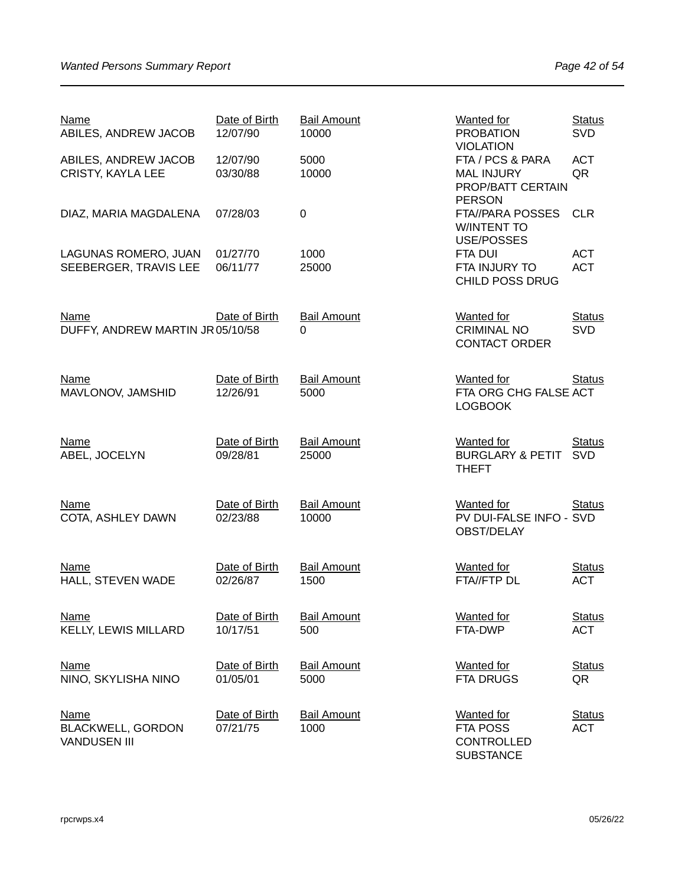| <b>Name</b><br>ABILES, ANDREW JACOB                            | Date of Birth<br>12/07/90 | <b>Bail Amount</b><br>10000 | <b>Wanted for</b><br><b>PROBATION</b><br><b>VIOLATION</b>                   | <b>Status</b><br>SVD        |
|----------------------------------------------------------------|---------------------------|-----------------------------|-----------------------------------------------------------------------------|-----------------------------|
| ABILES, ANDREW JACOB<br><b>CRISTY, KAYLA LEE</b>               | 12/07/90<br>03/30/88      | 5000<br>10000               | FTA / PCS & PARA<br><b>MAL INJURY</b><br>PROP/BATT CERTAIN<br><b>PERSON</b> | <b>ACT</b><br>QR            |
| DIAZ, MARIA MAGDALENA                                          | 07/28/03                  | $\mathbf 0$                 | <b>FTA//PARA POSSES</b><br><b>W/INTENT TO</b><br>USE/POSSES                 | <b>CLR</b>                  |
| LAGUNAS ROMERO, JUAN<br>SEEBERGER, TRAVIS LEE                  | 01/27/70<br>06/11/77      | 1000<br>25000               | <b>FTA DUI</b><br>FTA INJURY TO<br><b>CHILD POSS DRUG</b>                   | <b>ACT</b><br><b>ACT</b>    |
| <b>Name</b><br>DUFFY, ANDREW MARTIN JR 05/10/58                | Date of Birth             | <b>Bail Amount</b><br>0     | <b>Wanted</b> for<br><b>CRIMINAL NO</b><br><b>CONTACT ORDER</b>             | <b>Status</b><br><b>SVD</b> |
| <b>Name</b><br>MAVLONOV, JAMSHID                               | Date of Birth<br>12/26/91 | <b>Bail Amount</b><br>5000  | <b>Wanted for</b><br>FTA ORG CHG FALSE ACT<br><b>LOGBOOK</b>                | <b>Status</b>               |
| <b>Name</b><br>ABEL, JOCELYN                                   | Date of Birth<br>09/28/81 | <b>Bail Amount</b><br>25000 | <b>Wanted for</b><br><b>BURGLARY &amp; PETIT</b><br><b>THEFT</b>            | <b>Status</b><br>SVD        |
| <b>Name</b><br>COTA, ASHLEY DAWN                               | Date of Birth<br>02/23/88 | <b>Bail Amount</b><br>10000 | <b>Wanted for</b><br>PV DUI-FALSE INFO - SVD<br>OBST/DELAY                  | <b>Status</b>               |
| <b>Name</b><br>HALL, STEVEN WADE                               | Date of Birth<br>02/26/87 | <b>Bail Amount</b><br>1500  | <b>Wanted for</b><br>FTA//FTP DL                                            | <b>Status</b><br><b>ACT</b> |
| <u>Name</u><br><b>KELLY, LEWIS MILLARD</b>                     | Date of Birth<br>10/17/51 | <b>Bail Amount</b><br>500   | <b>Wanted for</b><br>FTA-DWP                                                | <b>Status</b><br><b>ACT</b> |
| <b>Name</b><br>NINO, SKYLISHA NINO                             | Date of Birth<br>01/05/01 | <b>Bail Amount</b><br>5000  | <b>Wanted</b> for<br>FTA DRUGS                                              | <b>Status</b><br>QR         |
| <b>Name</b><br><b>BLACKWELL, GORDON</b><br><b>VANDUSEN III</b> | Date of Birth<br>07/21/75 | <b>Bail Amount</b><br>1000  | <b>Wanted</b> for<br>FTA POSS<br>CONTROLLED<br><b>SUBSTANCE</b>             | <b>Status</b><br><b>ACT</b> |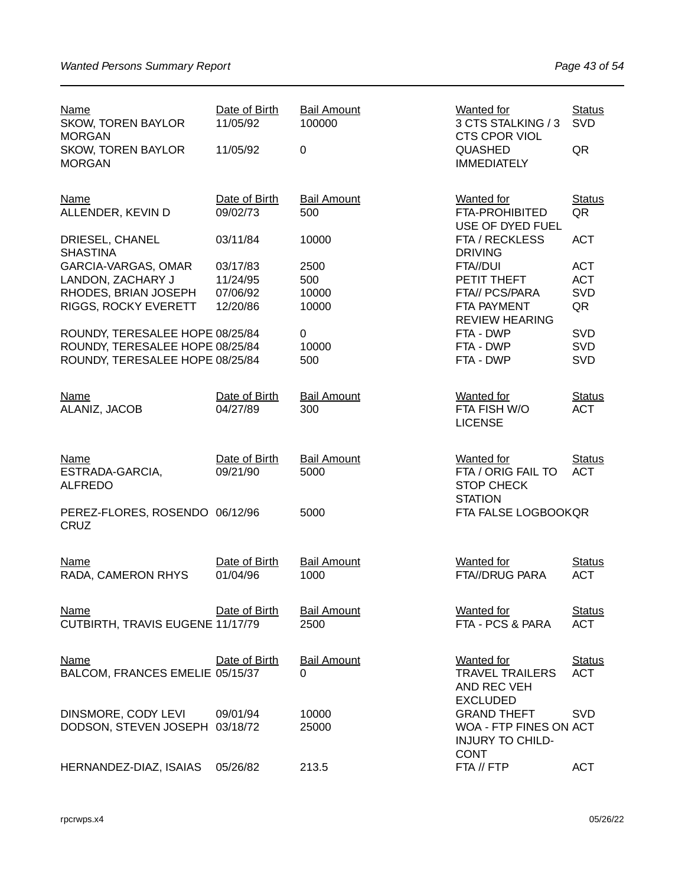| <b>Name</b><br><b>SKOW, TOREN BAYLOR</b><br><b>MORGAN</b><br><b>SKOW, TOREN BAYLOR</b><br><b>MORGAN</b> | Date of Birth<br>11/05/92<br>11/05/92        | <b>Bail Amount</b><br>100000<br>$\mathbf 0$ | <b>Wanted for</b><br>3 CTS STALKING / 3<br><b>CTS CPOR VIOL</b><br>QUASHED<br><b>IMMEDIATELY</b> | <b>Status</b><br><b>SVD</b><br>QR     |
|---------------------------------------------------------------------------------------------------------|----------------------------------------------|---------------------------------------------|--------------------------------------------------------------------------------------------------|---------------------------------------|
| <b>Name</b><br>ALLENDER, KEVIN D                                                                        | Date of Birth<br>09/02/73                    | <b>Bail Amount</b><br>500                   | <b>Wanted for</b><br><b>FTA-PROHIBITED</b>                                                       | <b>Status</b><br>QR                   |
| DRIESEL, CHANEL<br><b>SHASTINA</b>                                                                      | 03/11/84                                     | 10000                                       | USE OF DYED FUEL<br>FTA / RECKLESS<br><b>DRIVING</b>                                             | <b>ACT</b>                            |
| GARCIA-VARGAS, OMAR<br>LANDON, ZACHARY J<br>RHODES, BRIAN JOSEPH<br>RIGGS, ROCKY EVERETT                | 03/17/83<br>11/24/95<br>07/06/92<br>12/20/86 | 2500<br>500<br>10000<br>10000               | FTA//DUI<br>PETIT THEFT<br>FTA// PCS/PARA<br>FTA PAYMENT<br><b>REVIEW HEARING</b>                | <b>ACT</b><br><b>ACT</b><br>SVD<br>QR |
| ROUNDY, TERESALEE HOPE 08/25/84<br>ROUNDY, TERESALEE HOPE 08/25/84<br>ROUNDY, TERESALEE HOPE 08/25/84   |                                              | 0<br>10000<br>500                           | FTA - DWP<br>FTA - DWP<br>FTA - DWP                                                              | <b>SVD</b><br>SVD<br><b>SVD</b>       |
| <b>Name</b><br>ALANIZ, JACOB                                                                            | Date of Birth<br>04/27/89                    | <b>Bail Amount</b><br>300                   | <b>Wanted</b> for<br>FTA FISH W/O<br><b>LICENSE</b>                                              | <b>Status</b><br><b>ACT</b>           |
| <b>Name</b><br>ESTRADA-GARCIA,<br><b>ALFREDO</b>                                                        | Date of Birth<br>09/21/90                    | <b>Bail Amount</b><br>5000                  | <b>Wanted for</b><br>FTA / ORIG FAIL TO<br><b>STOP CHECK</b><br><b>STATION</b>                   | <b>Status</b><br><b>ACT</b>           |
| PEREZ-FLORES, ROSENDO 06/12/96<br><b>CRUZ</b>                                                           |                                              | 5000                                        | FTA FALSE LOGBOOKQR                                                                              |                                       |
| <b>Name</b><br>RADA, CAMERON RHYS                                                                       | Date of Birth<br>01/04/96                    | <b>Bail Amount</b><br>1000                  | <b>Wanted for</b><br>FTA//DRUG PARA                                                              | <b>Status</b><br><b>ACT</b>           |
| <b>Name</b><br>CUTBIRTH, TRAVIS EUGENE 11/17/79                                                         | Date of Birth                                | <b>Bail Amount</b><br>2500                  | <b>Wanted</b> for<br>FTA - PCS & PARA                                                            | <b>Status</b><br><b>ACT</b>           |
| <b>Name</b><br>BALCOM, FRANCES EMELIE 05/15/37                                                          | Date of Birth                                | <b>Bail Amount</b><br>$\Omega$              | Wanted for<br><b>TRAVEL TRAILERS</b><br>AND REC VEH<br><b>EXCLUDED</b>                           | <b>Status</b><br><b>ACT</b>           |
| DINSMORE, CODY LEVI<br>DODSON, STEVEN JOSEPH 03/18/72                                                   | 09/01/94                                     | 10000<br>25000                              | <b>GRAND THEFT</b><br>WOA - FTP FINES ON ACT<br><b>INJURY TO CHILD-</b><br><b>CONT</b>           | <b>SVD</b>                            |
| HERNANDEZ-DIAZ, ISAIAS                                                                                  | 05/26/82                                     | 213.5                                       | FTA // FTP                                                                                       | <b>ACT</b>                            |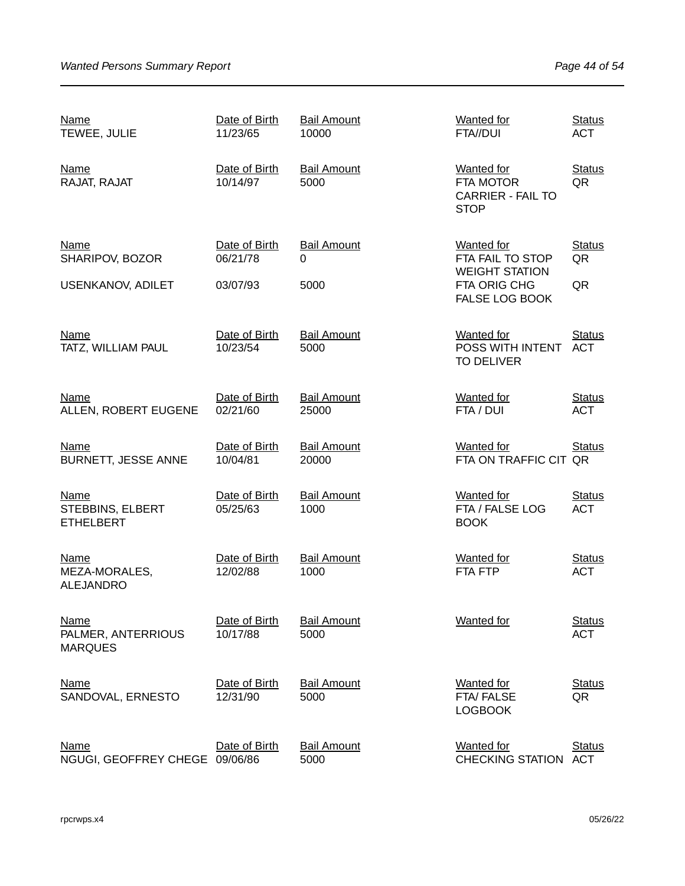| <b>Name</b><br>TEWEE, JULIE                         | Date of Birth<br>11/23/65 | <b>Bail Amount</b><br>10000 | <b>Wanted for</b><br>FTA//DUI                                                    | <b>Status</b><br><b>ACT</b> |
|-----------------------------------------------------|---------------------------|-----------------------------|----------------------------------------------------------------------------------|-----------------------------|
| <b>Name</b><br>RAJAT, RAJAT                         | Date of Birth<br>10/14/97 | <b>Bail Amount</b><br>5000  | <b>Wanted for</b><br><b>FTA MOTOR</b><br><b>CARRIER - FAIL TO</b><br><b>STOP</b> | <b>Status</b><br>QR         |
| Name<br>SHARIPOV, BOZOR                             | Date of Birth<br>06/21/78 | <b>Bail Amount</b><br>0     | Wanted for<br>FTA FAIL TO STOP<br><b>WEIGHT STATION</b>                          | <b>Status</b><br>QR         |
| <b>USENKANOV, ADILET</b>                            | 03/07/93                  | 5000                        | FTA ORIG CHG<br><b>FALSE LOG BOOK</b>                                            | QR                          |
| <b>Name</b><br>TATZ, WILLIAM PAUL                   | Date of Birth<br>10/23/54 | <b>Bail Amount</b><br>5000  | <b>Wanted for</b><br>POSS WITH INTENT<br><b>TO DELIVER</b>                       | <b>Status</b><br><b>ACT</b> |
| <b>Name</b><br>ALLEN, ROBERT EUGENE                 | Date of Birth<br>02/21/60 | <b>Bail Amount</b><br>25000 | <b>Wanted</b> for<br>FTA / DUI                                                   | <b>Status</b><br><b>ACT</b> |
| <b>Name</b><br><b>BURNETT, JESSE ANNE</b>           | Date of Birth<br>10/04/81 | <b>Bail Amount</b><br>20000 | <b>Wanted for</b><br>FTA ON TRAFFIC CIT QR                                       | <b>Status</b>               |
| <b>Name</b><br>STEBBINS, ELBERT<br><b>ETHELBERT</b> | Date of Birth<br>05/25/63 | <b>Bail Amount</b><br>1000  | <b>Wanted for</b><br>FTA / FALSE LOG<br><b>BOOK</b>                              | <b>Status</b><br><b>ACT</b> |
| <u>Name</u><br>MEZA-MORALES,<br><b>ALEJANDRO</b>    | Date of Birth<br>12/02/88 | <b>Bail Amount</b><br>1000  | <b>Wanted</b> for<br>FTA FTP                                                     | <b>Status</b><br><b>ACT</b> |
| <b>Name</b><br>PALMER, ANTERRIOUS<br><b>MARQUES</b> | Date of Birth<br>10/17/88 | <b>Bail Amount</b><br>5000  | Wanted for                                                                       | <b>Status</b><br><b>ACT</b> |
| <b>Name</b><br>SANDOVAL, ERNESTO                    | Date of Birth<br>12/31/90 | <b>Bail Amount</b><br>5000  | <b>Wanted for</b><br>FTA/FALSE<br><b>LOGBOOK</b>                                 | <b>Status</b><br>QR         |
| <u>Name</u><br>NGUGI, GEOFFREY CHEGE                | Date of Birth<br>09/06/86 | <b>Bail Amount</b><br>5000  | <b>Wanted</b> for<br><b>CHECKING STATION</b>                                     | <b>Status</b><br><b>ACT</b> |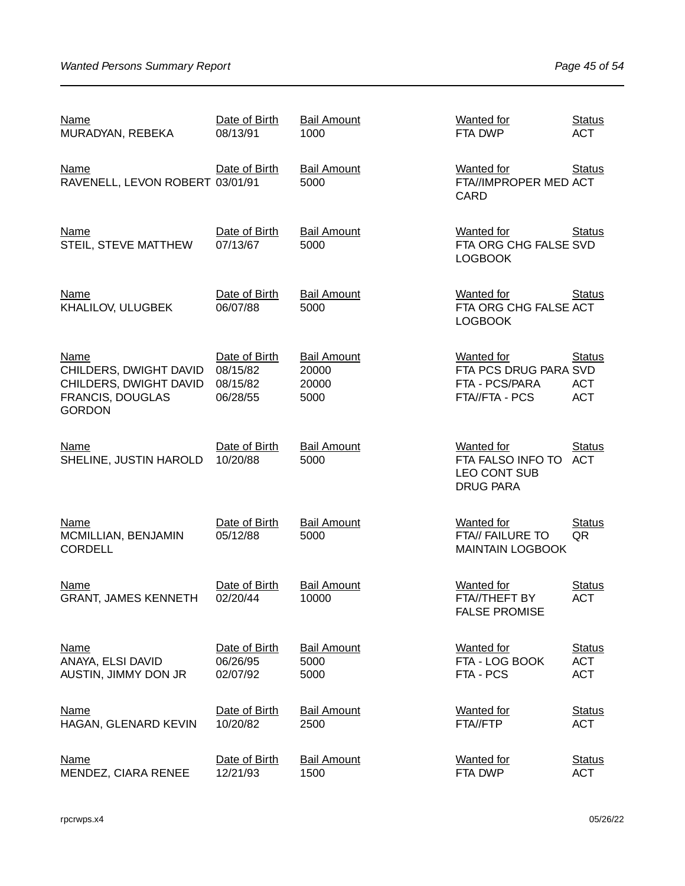| <u>Name</u><br>MURADYAN, REBEKA                                                                             | Date of Birth<br>08/13/91                         | <b>Bail Amount</b><br>1000                   | <b>Wanted for</b><br>FTA DWP                                                      | <b>Status</b><br><b>ACT</b>               |
|-------------------------------------------------------------------------------------------------------------|---------------------------------------------------|----------------------------------------------|-----------------------------------------------------------------------------------|-------------------------------------------|
| <b>Name</b><br>RAVENELL, LEVON ROBERT 03/01/91                                                              | Date of Birth                                     | <b>Bail Amount</b><br>5000                   | <b>Wanted for</b><br>FTA//IMPROPER MED ACT<br>CARD                                | <b>Status</b>                             |
| <b>Name</b><br>STEIL, STEVE MATTHEW                                                                         | Date of Birth<br>07/13/67                         | <b>Bail Amount</b><br>5000                   | <b>Wanted for</b><br>FTA ORG CHG FALSE SVD<br><b>LOGBOOK</b>                      | <b>Status</b>                             |
| <b>Name</b><br>KHALILOV, ULUGBEK                                                                            | Date of Birth<br>06/07/88                         | <b>Bail Amount</b><br>5000                   | <b>Wanted for</b><br>FTA ORG CHG FALSE ACT<br><b>LOGBOOK</b>                      | <b>Status</b>                             |
| <b>Name</b><br>CHILDERS, DWIGHT DAVID<br>CHILDERS, DWIGHT DAVID<br><b>FRANCIS, DOUGLAS</b><br><b>GORDON</b> | Date of Birth<br>08/15/82<br>08/15/82<br>06/28/55 | <b>Bail Amount</b><br>20000<br>20000<br>5000 | <b>Wanted for</b><br>FTA PCS DRUG PARA SVD<br>FTA - PCS/PARA<br>FTA//FTA - PCS    | <b>Status</b><br><b>ACT</b><br><b>ACT</b> |
| <b>Name</b><br>SHELINE, JUSTIN HAROLD                                                                       | Date of Birth<br>10/20/88                         | <b>Bail Amount</b><br>5000                   | <b>Wanted for</b><br>FTA FALSO INFO TO<br><b>LEO CONT SUB</b><br><b>DRUG PARA</b> | <b>Status</b><br><b>ACT</b>               |
| <b>Name</b><br>MCMILLIAN, BENJAMIN<br><b>CORDELL</b>                                                        | Date of Birth<br>05/12/88                         | <b>Bail Amount</b><br>5000                   | <b>Wanted for</b><br>FTA// FAILURE TO<br><b>MAINTAIN LOGBOOK</b>                  | <b>Status</b><br>QR                       |
| <b>Name</b><br><b>GRANT, JAMES KENNETH</b>                                                                  | Date of Birth<br>02/20/44                         | <b>Bail Amount</b><br>10000                  | <b>Wanted</b> for<br><b>FTA//THEFT BY</b><br><b>FALSE PROMISE</b>                 | <b>Status</b><br><b>ACT</b>               |
| <b>Name</b><br>ANAYA, ELSI DAVID<br>AUSTIN, JIMMY DON JR                                                    | Date of Birth<br>06/26/95<br>02/07/92             | <b>Bail Amount</b><br>5000<br>5000           | <b>Wanted for</b><br>FTA - LOG BOOK<br>FTA - PCS                                  | <b>Status</b><br><b>ACT</b><br><b>ACT</b> |
| <b>Name</b><br>HAGAN, GLENARD KEVIN                                                                         | Date of Birth<br>10/20/82                         | <b>Bail Amount</b><br>2500                   | <b>Wanted for</b><br>FTA//FTP                                                     | <b>Status</b><br><b>ACT</b>               |
| <b>Name</b><br>MENDEZ, CIARA RENEE                                                                          | Date of Birth<br>12/21/93                         | <b>Bail Amount</b><br>1500                   | <b>Wanted</b> for<br>FTA DWP                                                      | <b>Status</b><br><b>ACT</b>               |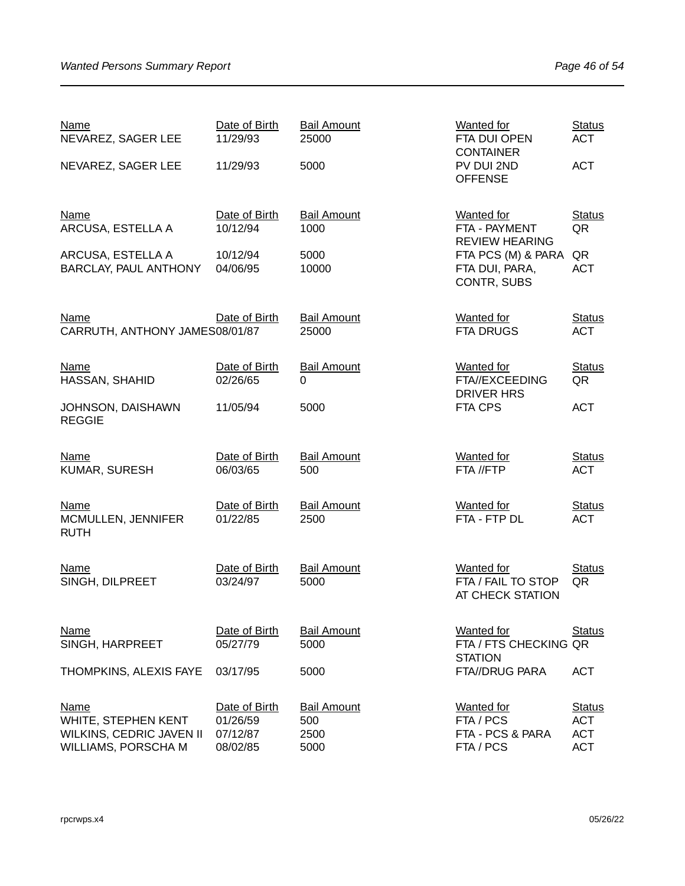| <b>Name</b><br>NEVAREZ, SAGER LEE                                                            | Date of Birth<br>11/29/93                         | <b>Bail Amount</b><br>25000               | Wanted for<br>FTA DUI OPEN<br><b>CONTAINER</b>                  | <b>Status</b><br><b>ACT</b>                             |
|----------------------------------------------------------------------------------------------|---------------------------------------------------|-------------------------------------------|-----------------------------------------------------------------|---------------------------------------------------------|
| NEVAREZ, SAGER LEE                                                                           | 11/29/93                                          | 5000                                      | PV DUI 2ND<br><b>OFFENSE</b>                                    | <b>ACT</b>                                              |
| <b>Name</b><br>ARCUSA, ESTELLA A                                                             | Date of Birth<br>10/12/94                         | <b>Bail Amount</b><br>1000                | <b>Wanted for</b><br>FTA - PAYMENT<br><b>REVIEW HEARING</b>     | <b>Status</b><br>QR                                     |
| ARCUSA, ESTELLA A<br>BARCLAY, PAUL ANTHONY                                                   | 10/12/94<br>04/06/95                              | 5000<br>10000                             | FTA PCS (M) & PARA<br>FTA DUI, PARA,<br>CONTR, SUBS             | QR<br><b>ACT</b>                                        |
| <b>Name</b><br>CARRUTH, ANTHONY JAMES08/01/87                                                | Date of Birth                                     | <b>Bail Amount</b><br>25000               | <b>Wanted for</b><br><b>FTA DRUGS</b>                           | <b>Status</b><br><b>ACT</b>                             |
| <b>Name</b><br>HASSAN, SHAHID                                                                | Date of Birth<br>02/26/65                         | <b>Bail Amount</b><br>0                   | <b>Wanted</b> for<br>FTA//EXCEEDING<br><b>DRIVER HRS</b>        | <b>Status</b><br>QR                                     |
| JOHNSON, DAISHAWN<br><b>REGGIE</b>                                                           | 11/05/94                                          | 5000                                      | FTA CPS                                                         | <b>ACT</b>                                              |
| <b>Name</b><br>KUMAR, SURESH                                                                 | Date of Birth<br>06/03/65                         | <b>Bail Amount</b><br>500                 | <b>Wanted</b> for<br>FTA //FTP                                  | <b>Status</b><br><b>ACT</b>                             |
| <b>Name</b><br>MCMULLEN, JENNIFER<br><b>RUTH</b>                                             | Date of Birth<br>01/22/85                         | <b>Bail Amount</b><br>2500                | <b>Wanted for</b><br>FTA - FTP DL                               | <b>Status</b><br><b>ACT</b>                             |
| Name<br>SINGH, DILPREET                                                                      | Date of Birth<br>03/24/97                         | <b>Bail Amount</b><br>5000                | <b>Wanted</b> for<br>FTA / FAIL TO STOP<br>AT CHECK STATION     | <b>Status</b><br>QR                                     |
| Name<br>SINGH, HARPREET                                                                      | Date of Birth<br>05/27/79                         | <b>Bail Amount</b><br>5000                | <b>Wanted for</b><br>FTA / FTS CHECKING QR<br><b>STATION</b>    | <b>Status</b>                                           |
| THOMPKINS, ALEXIS FAYE                                                                       | 03/17/95                                          | 5000                                      | <b>FTA//DRUG PARA</b>                                           | <b>ACT</b>                                              |
| <b>Name</b><br>WHITE, STEPHEN KENT<br>WILKINS, CEDRIC JAVEN II<br><b>WILLIAMS, PORSCHA M</b> | Date of Birth<br>01/26/59<br>07/12/87<br>08/02/85 | <b>Bail Amount</b><br>500<br>2500<br>5000 | <b>Wanted</b> for<br>FTA / PCS<br>FTA - PCS & PARA<br>FTA / PCS | <b>Status</b><br><b>ACT</b><br><b>ACT</b><br><b>ACT</b> |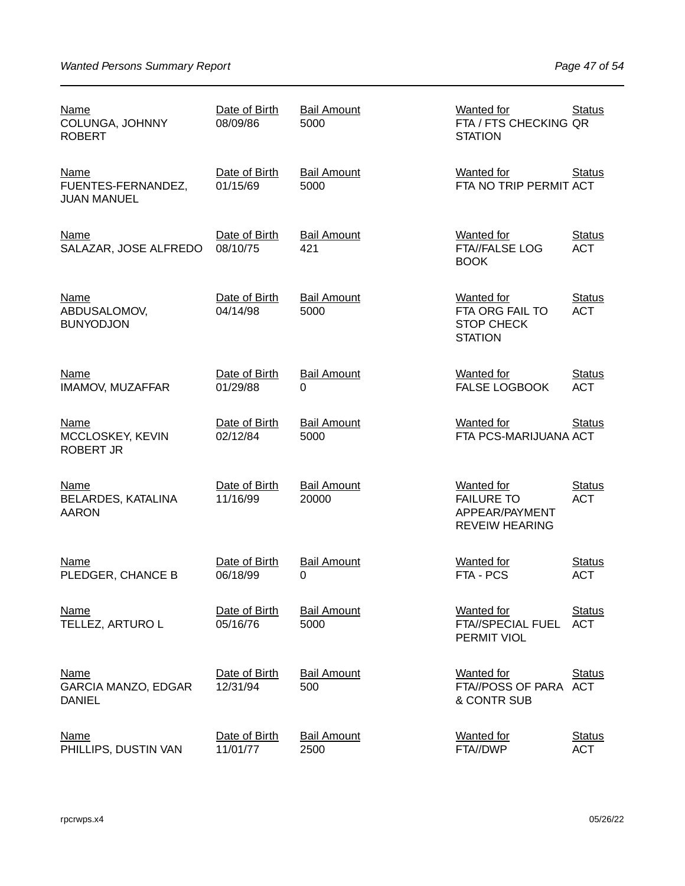| Name<br>COLUNGA, JOHNNY<br><b>ROBERT</b>                   | Date of Birth<br>08/09/86 | <b>Bail Amount</b><br>5000     | <b>Wanted for</b><br>FTA / FTS CHECKING QR<br><b>STATION</b>                      | <b>Status</b>               |
|------------------------------------------------------------|---------------------------|--------------------------------|-----------------------------------------------------------------------------------|-----------------------------|
| <b>Name</b><br>FUENTES-FERNANDEZ,<br><b>JUAN MANUEL</b>    | Date of Birth<br>01/15/69 | <b>Bail Amount</b><br>5000     | <b>Wanted for</b><br>FTA NO TRIP PERMIT ACT                                       | <b>Status</b>               |
| <b>Name</b><br>SALAZAR, JOSE ALFREDO                       | Date of Birth<br>08/10/75 | <b>Bail Amount</b><br>421      | <b>Wanted</b> for<br><b>FTA//FALSE LOG</b><br><b>BOOK</b>                         | <b>Status</b><br><b>ACT</b> |
| <b>Name</b><br>ABDUSALOMOV,<br><b>BUNYODJON</b>            | Date of Birth<br>04/14/98 | <b>Bail Amount</b><br>5000     | <b>Wanted for</b><br>FTA ORG FAIL TO<br><b>STOP CHECK</b><br><b>STATION</b>       | <b>Status</b><br><b>ACT</b> |
| <b>Name</b><br><b>IMAMOV, MUZAFFAR</b>                     | Date of Birth<br>01/29/88 | <b>Bail Amount</b><br>0        | <b>Wanted</b> for<br><b>FALSE LOGBOOK</b>                                         | <b>Status</b><br><b>ACT</b> |
| <b>Name</b><br>MCCLOSKEY, KEVIN<br><b>ROBERT JR</b>        | Date of Birth<br>02/12/84 | <b>Bail Amount</b><br>5000     | <b>Wanted for</b><br>FTA PCS-MARIJUANA ACT                                        | <b>Status</b>               |
| <b>Name</b><br>BELARDES, KATALINA<br><b>AARON</b>          | Date of Birth<br>11/16/99 | <b>Bail Amount</b><br>20000    | <b>Wanted for</b><br><b>FAILURE TO</b><br>APPEAR/PAYMENT<br><b>REVEIW HEARING</b> | <b>Status</b><br><b>ACT</b> |
| <b>Name</b><br>PLEDGER, CHANCE B                           | Date of Birth<br>06/18/99 | <b>Bail Amount</b><br>$\Omega$ | <b>Wanted for</b><br>FTA - PCS                                                    | <b>Status</b><br><b>ACT</b> |
| <b>Name</b><br>TELLEZ, ARTURO L                            | Date of Birth<br>05/16/76 | <b>Bail Amount</b><br>5000     | <b>Wanted</b> for<br>FTA//SPECIAL FUEL<br>PERMIT VIOL                             | <b>Status</b><br><b>ACT</b> |
| <b>Name</b><br><b>GARCIA MANZO, EDGAR</b><br><b>DANIEL</b> | Date of Birth<br>12/31/94 | <b>Bail Amount</b><br>500      | <b>Wanted for</b><br>FTA//POSS OF PARA ACT<br>& CONTR SUB                         | <b>Status</b>               |
| Name<br>PHILLIPS, DUSTIN VAN                               | Date of Birth<br>11/01/77 | <b>Bail Amount</b><br>2500     | <b>Wanted</b> for<br>FTA//DWP                                                     | <b>Status</b><br><b>ACT</b> |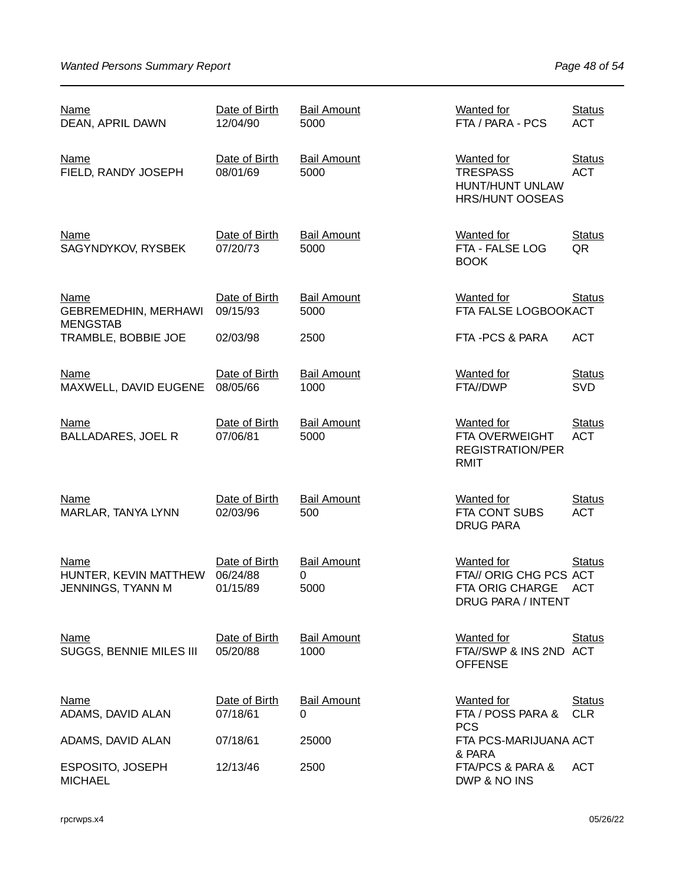| <b>Name</b><br>DEAN, APRIL DAWN                               | Date of Birth<br>12/04/90             | <b>Bail Amount</b><br>5000      | <b>Wanted for</b><br>FTA / PARA - PCS                                                              | <b>Status</b><br><b>ACT</b> |
|---------------------------------------------------------------|---------------------------------------|---------------------------------|----------------------------------------------------------------------------------------------------|-----------------------------|
| <b>Name</b><br>FIELD, RANDY JOSEPH                            | Date of Birth<br>08/01/69             | <b>Bail Amount</b><br>5000      | <b>Wanted for</b><br><b>TRESPASS</b><br>HUNT/HUNT UNLAW<br><b>HRS/HUNT OOSEAS</b>                  | <b>Status</b><br><b>ACT</b> |
| <b>Name</b><br>SAGYNDYKOV, RYSBEK                             | Date of Birth<br>07/20/73             | <b>Bail Amount</b><br>5000      | <b>Wanted</b> for<br>FTA - FALSE LOG<br><b>BOOK</b>                                                | <b>Status</b><br>QR         |
| <b>Name</b><br><b>GEBREMEDHIN, MERHAWI</b><br><b>MENGSTAB</b> | Date of Birth<br>09/15/93             | <b>Bail Amount</b><br>5000      | <b>Wanted for</b><br>FTA FALSE LOGBOOKACT                                                          | <b>Status</b>               |
| TRAMBLE, BOBBIE JOE                                           | 02/03/98                              | 2500                            | FTA-PCS & PARA                                                                                     | <b>ACT</b>                  |
| <u>Name</u><br>MAXWELL, DAVID EUGENE                          | Date of Birth<br>08/05/66             | <b>Bail Amount</b><br>1000      | <b>Wanted</b> for<br>FTA//DWP                                                                      | <b>Status</b><br><b>SVD</b> |
| <b>Name</b><br><b>BALLADARES, JOEL R</b>                      | Date of Birth<br>07/06/81             | <b>Bail Amount</b><br>5000      | Wanted for<br>FTA OVERWEIGHT<br><b>REGISTRATION/PER</b><br>RMIT                                    | <b>Status</b><br><b>ACT</b> |
| <b>Name</b><br>MARLAR, TANYA LYNN                             | Date of Birth<br>02/03/96             | <b>Bail Amount</b><br>500       | <b>Wanted for</b><br>FTA CONT SUBS<br><b>DRUG PARA</b>                                             | <b>Status</b><br><b>ACT</b> |
| Name<br>HUNTER, KEVIN MATTHEW<br>JENNINGS, TYANN M            | Date of Birth<br>06/24/88<br>01/15/89 | <b>Bail Amount</b><br>0<br>5000 | <b>Wanted for</b><br>FTA// ORIG CHG PCS ACT<br><b>FTA ORIG CHARGE</b><br><b>DRUG PARA / INTENT</b> | <b>Status</b><br><b>ACT</b> |
| <b>Name</b><br>SUGGS, BENNIE MILES III                        | Date of Birth<br>05/20/88             | <b>Bail Amount</b><br>1000      | <b>Wanted for</b><br>FTA//SWP & INS 2ND ACT<br><b>OFFENSE</b>                                      | <b>Status</b>               |
| <b>Name</b><br>ADAMS, DAVID ALAN                              | Date of Birth<br>07/18/61             | <b>Bail Amount</b><br>0         | <b>Wanted for</b><br>FTA / POSS PARA &<br><b>PCS</b>                                               | <b>Status</b><br><b>CLR</b> |
| ADAMS, DAVID ALAN                                             | 07/18/61                              | 25000                           | FTA PCS-MARIJUANA ACT<br>& PARA                                                                    |                             |
| ESPOSITO, JOSEPH<br><b>MICHAEL</b>                            | 12/13/46                              | 2500                            | FTA/PCS & PARA &<br>DWP & NO INS                                                                   | <b>ACT</b>                  |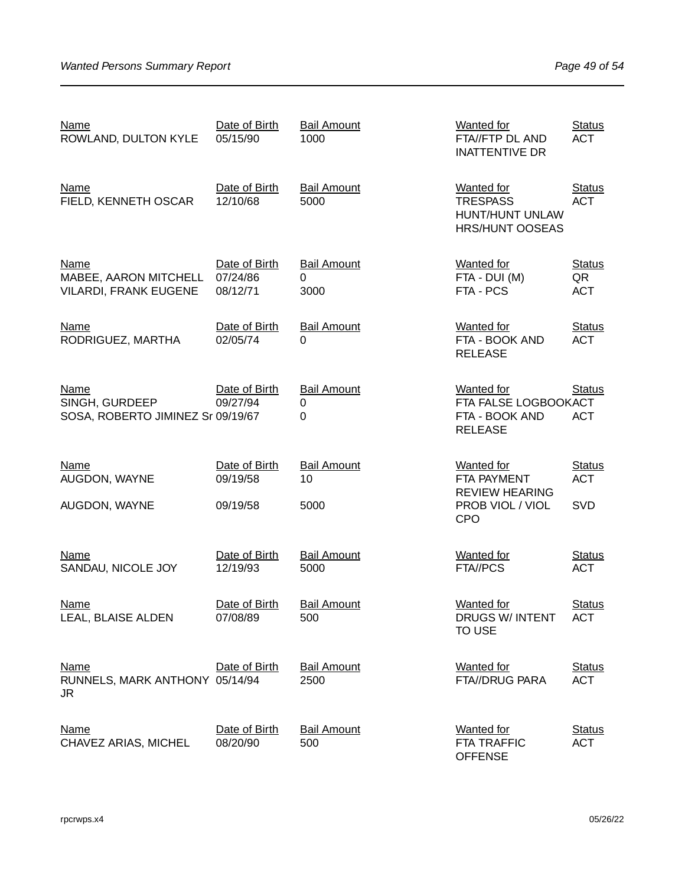| <b>Name</b><br>ROWLAND, DULTON KYLE                           | Date of Birth<br>05/15/90             | <b>Bail Amount</b><br>1000          | <b>Wanted for</b><br>FTA//FTP DL AND<br><b>INATTENTIVE DR</b>                 | <b>Status</b><br><b>ACT</b>       |
|---------------------------------------------------------------|---------------------------------------|-------------------------------------|-------------------------------------------------------------------------------|-----------------------------------|
| <b>Name</b><br>FIELD, KENNETH OSCAR                           | Date of Birth<br>12/10/68             | <b>Bail Amount</b><br>5000          | Wanted for<br><b>TRESPASS</b><br>HUNT/HUNT UNLAW<br><b>HRS/HUNT OOSEAS</b>    | <b>Status</b><br><b>ACT</b>       |
| Name<br>MABEE, AARON MITCHELL<br><b>VILARDI, FRANK EUGENE</b> | Date of Birth<br>07/24/86<br>08/12/71 | <b>Bail Amount</b><br>0<br>3000     | Wanted for<br>FTA - DUI (M)<br>FTA - PCS                                      | <b>Status</b><br>QR<br><b>ACT</b> |
| <b>Name</b><br>RODRIGUEZ, MARTHA                              | Date of Birth<br>02/05/74             | <b>Bail Amount</b><br>0             | <b>Wanted for</b><br>FTA - BOOK AND<br><b>RELEASE</b>                         | <b>Status</b><br><b>ACT</b>       |
| Name<br>SINGH, GURDEEP<br>SOSA, ROBERTO JIMINEZ Sr 09/19/67   | Date of Birth<br>09/27/94             | <b>Bail Amount</b><br>0<br>$\Omega$ | <b>Wanted for</b><br>FTA FALSE LOGBOOKACT<br>FTA - BOOK AND<br><b>RELEASE</b> | <b>Status</b><br><b>ACT</b>       |
| <b>Name</b><br>AUGDON, WAYNE                                  | Date of Birth<br>09/19/58             | <b>Bail Amount</b><br>10            | <b>Wanted for</b><br>FTA PAYMENT<br><b>REVIEW HEARING</b>                     | <b>Status</b><br><b>ACT</b>       |
| AUGDON, WAYNE                                                 | 09/19/58                              | 5000                                | PROB VIOL / VIOL<br><b>CPO</b>                                                | SVD                               |
| <b>Name</b><br>SANDAU, NICOLE JOY                             | Date of Birth<br>12/19/93             | <b>Bail Amount</b><br>5000          | <b>Wanted for</b><br>FTA//PCS                                                 | <b>Status</b><br><b>ACT</b>       |
| Name<br>LEAL, BLAISE ALDEN                                    | Date of Birth<br>07/08/89             | <b>Bail Amount</b><br>500           | <b>Wanted for</b><br>DRUGS W/ INTENT<br><b>TO USE</b>                         | <b>Status</b><br><b>ACT</b>       |
| <b>Name</b><br>RUNNELS, MARK ANTHONY 05/14/94<br>JR.          | Date of Birth                         | <b>Bail Amount</b><br>2500          | <b>Wanted for</b><br>FTA//DRUG PARA                                           | <b>Status</b><br><b>ACT</b>       |
| <b>Name</b><br>CHAVEZ ARIAS, MICHEL                           | Date of Birth<br>08/20/90             | <b>Bail Amount</b><br>500           | <b>Wanted</b> for<br><b>FTA TRAFFIC</b><br><b>OFFENSE</b>                     | <b>Status</b><br><b>ACT</b>       |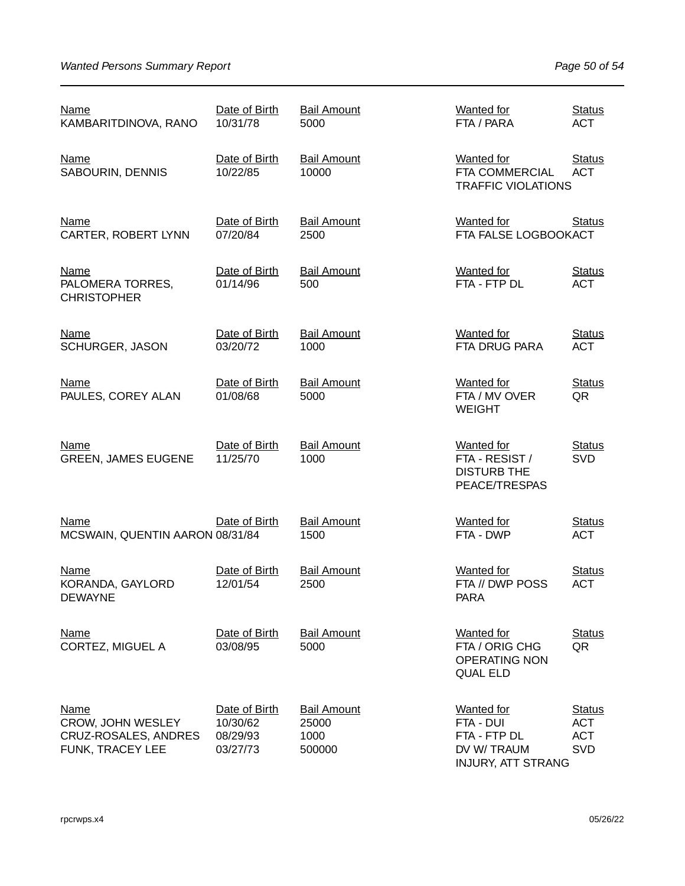| <b>Name</b><br>KAMBARITDINOVA, RANO                                          | Date of Birth<br>10/31/78                         | <b>Bail Amount</b><br>5000                    | <b>Wanted for</b><br>FTA / PARA                                                           | <b>Status</b><br><b>ACT</b>                             |
|------------------------------------------------------------------------------|---------------------------------------------------|-----------------------------------------------|-------------------------------------------------------------------------------------------|---------------------------------------------------------|
| <b>Name</b><br>SABOURIN, DENNIS                                              | Date of Birth<br>10/22/85                         | <b>Bail Amount</b><br>10000                   | <b>Wanted</b> for<br>FTA COMMERCIAL<br><b>TRAFFIC VIOLATIONS</b>                          | <b>Status</b><br><b>ACT</b>                             |
| Name<br>CARTER, ROBERT LYNN                                                  | Date of Birth<br>07/20/84                         | <b>Bail Amount</b><br>2500                    | Wanted for<br>FTA FALSE LOGBOOKACT                                                        | <b>Status</b>                                           |
| <b>Name</b><br>PALOMERA TORRES,<br><b>CHRISTOPHER</b>                        | Date of Birth<br>01/14/96                         | <b>Bail Amount</b><br>500                     | <b>Wanted for</b><br>FTA - FTP DL                                                         | <b>Status</b><br><b>ACT</b>                             |
| <b>Name</b><br>SCHURGER, JASON                                               | Date of Birth<br>03/20/72                         | <b>Bail Amount</b><br>1000                    | <b>Wanted</b> for<br>FTA DRUG PARA                                                        | <b>Status</b><br><b>ACT</b>                             |
| <b>Name</b><br>PAULES, COREY ALAN                                            | Date of Birth<br>01/08/68                         | <b>Bail Amount</b><br>5000                    | <b>Wanted for</b><br>FTA / MV OVER<br><b>WEIGHT</b>                                       | <b>Status</b><br>QR                                     |
| <b>Name</b><br><b>GREEN, JAMES EUGENE</b>                                    | Date of Birth<br>11/25/70                         | <b>Bail Amount</b><br>1000                    | <b>Wanted for</b><br>FTA - RESIST /<br><b>DISTURB THE</b><br>PEACE/TRESPAS                | <b>Status</b><br><b>SVD</b>                             |
| <b>Name</b><br>MCSWAIN, QUENTIN AARON 08/31/84                               | Date of Birth                                     | <b>Bail Amount</b><br>1500                    | <b>Wanted</b> for<br>FTA - DWP                                                            | <b>Status</b><br><b>ACT</b>                             |
| Name<br>KORANDA, GAYLORD<br>DEWAYNE                                          | Date of Birth<br>12/01/54                         | <b>Bail Amount</b><br>2500                    | <b>Wanted</b> for<br>FTA // DWP POSS<br>PARA                                              | <b>Status</b><br><b>ACT</b>                             |
| <b>Name</b><br>CORTEZ, MIGUEL A                                              | Date of Birth<br>03/08/95                         | <b>Bail Amount</b><br>5000                    | <b>Wanted for</b><br>FTA / ORIG CHG<br><b>OPERATING NON</b><br><b>QUAL ELD</b>            | <b>Status</b><br>QR                                     |
| <b>Name</b><br>CROW, JOHN WESLEY<br>CRUZ-ROSALES, ANDRES<br>FUNK, TRACEY LEE | Date of Birth<br>10/30/62<br>08/29/93<br>03/27/73 | <b>Bail Amount</b><br>25000<br>1000<br>500000 | <b>Wanted</b> for<br>FTA - DUI<br>FTA - FTP DL<br>DV W/TRAUM<br><b>INJURY, ATT STRANG</b> | <b>Status</b><br><b>ACT</b><br><b>ACT</b><br><b>SVD</b> |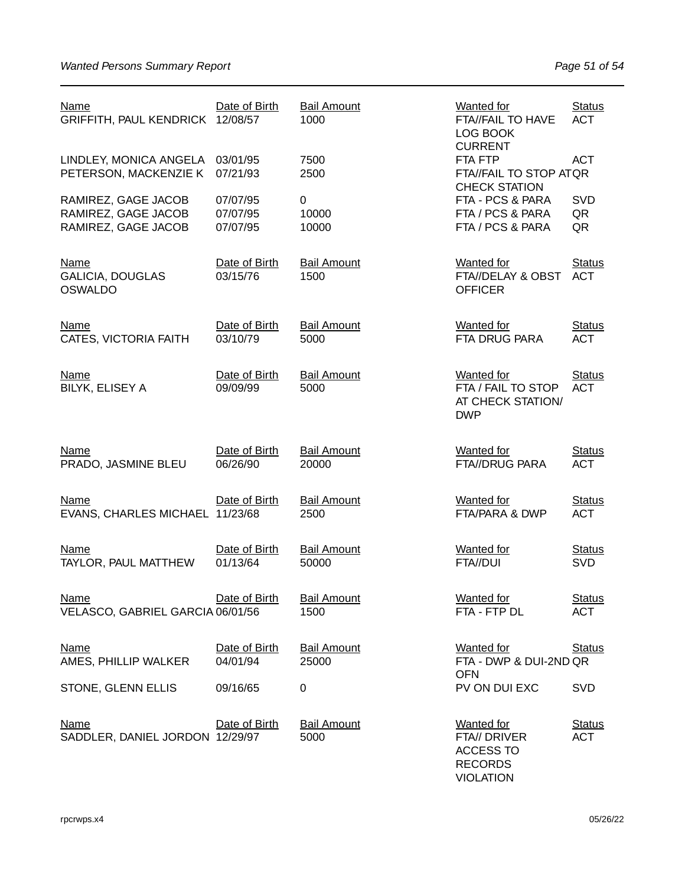| <b>Name</b><br>GRIFFITH, PAUL KENDRICK 12/08/57                   | Date of Birth                    | <b>Bail Amount</b><br>1000  | <b>Wanted for</b><br>FTA//FAIL TO HAVE<br>LOG BOOK<br><b>CURRENT</b>                        | <b>Status</b><br><b>ACT</b> |
|-------------------------------------------------------------------|----------------------------------|-----------------------------|---------------------------------------------------------------------------------------------|-----------------------------|
| LINDLEY, MONICA ANGELA 03/01/95<br>PETERSON, MACKENZIE K          | 07/21/93                         | 7500<br>2500                | FTA FTP<br>FTA//FAIL TO STOP ATQR<br><b>CHECK STATION</b>                                   | <b>ACT</b>                  |
| RAMIREZ, GAGE JACOB<br>RAMIREZ, GAGE JACOB<br>RAMIREZ, GAGE JACOB | 07/07/95<br>07/07/95<br>07/07/95 | 0<br>10000<br>10000         | FTA - PCS & PARA<br>FTA / PCS & PARA<br>FTA / PCS & PARA                                    | <b>SVD</b><br>QR<br>QR      |
| <b>Name</b><br><b>GALICIA, DOUGLAS</b><br><b>OSWALDO</b>          | Date of Birth<br>03/15/76        | <b>Bail Amount</b><br>1500  | <b>Wanted for</b><br>FTA//DELAY & OBST<br><b>OFFICER</b>                                    | <b>Status</b><br><b>ACT</b> |
| <b>Name</b><br>CATES, VICTORIA FAITH                              | Date of Birth<br>03/10/79        | <b>Bail Amount</b><br>5000  | <b>Wanted for</b><br>FTA DRUG PARA                                                          | <b>Status</b><br><b>ACT</b> |
| <b>Name</b><br>BILYK, ELISEY A                                    | Date of Birth<br>09/09/99        | <b>Bail Amount</b><br>5000  | <b>Wanted for</b><br>FTA / FAIL TO STOP<br>AT CHECK STATION/<br><b>DWP</b>                  | <b>Status</b><br><b>ACT</b> |
| <b>Name</b><br>PRADO, JASMINE BLEU                                | Date of Birth<br>06/26/90        | <b>Bail Amount</b><br>20000 | <b>Wanted</b> for<br><b>FTA//DRUG PARA</b>                                                  | <b>Status</b><br><b>ACT</b> |
| <b>Name</b><br>EVANS, CHARLES MICHAEL 11/23/68                    | Date of Birth                    | <b>Bail Amount</b><br>2500  | <b>Wanted</b> for<br>FTA/PARA & DWP                                                         | <b>Status</b><br><b>ACT</b> |
| <b>Name</b><br>TAYLOR, PAUL MATTHEW                               | Date of Birth<br>01/13/64        | <b>Bail Amount</b><br>50000 | <b>Wanted for</b><br>FTA//DUI                                                               | <b>Status</b><br><b>SVD</b> |
| <u>Name</u><br>VELASCO, GABRIEL GARCIA 06/01/56                   | Date of Birth                    | <b>Bail Amount</b><br>1500  | <b>Wanted</b> for<br>FTA - FTP DL                                                           | <b>Status</b><br><b>ACT</b> |
| <b>Name</b><br>AMES, PHILLIP WALKER                               | Date of Birth<br>04/01/94        | <b>Bail Amount</b><br>25000 | <b>Wanted for</b><br>FTA - DWP & DUI-2ND QR<br><b>OFN</b>                                   | <b>Status</b>               |
| STONE, GLENN ELLIS                                                | 09/16/65                         | 0                           | PV ON DUI EXC                                                                               | <b>SVD</b>                  |
| <b>Name</b><br>SADDLER, DANIEL JORDON 12/29/97                    | Date of Birth                    | <b>Bail Amount</b><br>5000  | <b>Wanted for</b><br>FTA// DRIVER<br><b>ACCESS TO</b><br><b>RECORDS</b><br><b>VIOLATION</b> | <b>Status</b><br><b>ACT</b> |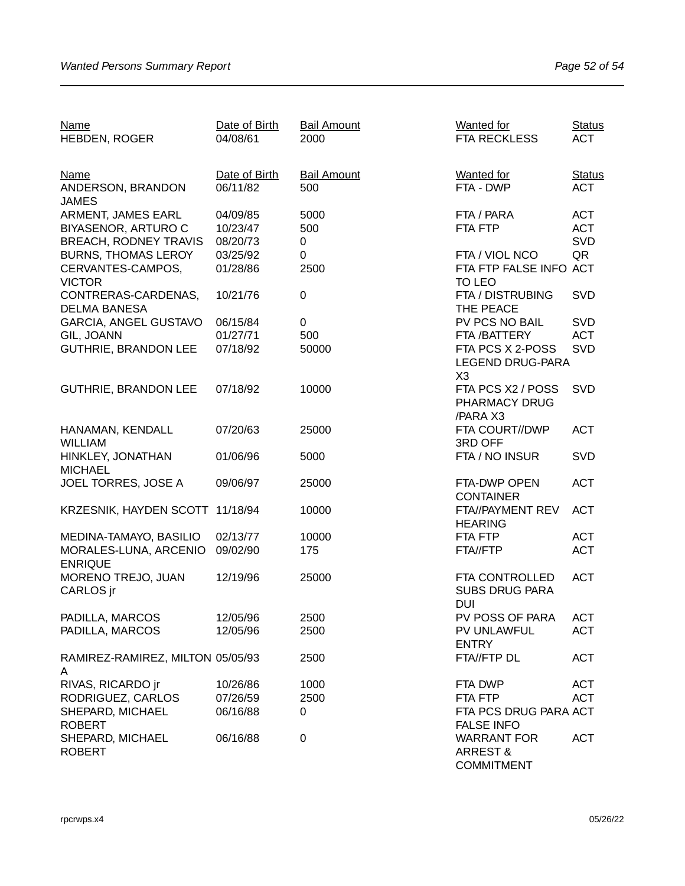| Name                             | Date of Birth | <b>Bail Amount</b> | <b>Wanted</b> for       | <b>Status</b> |
|----------------------------------|---------------|--------------------|-------------------------|---------------|
| HEBDEN, ROGER                    | 04/08/61      | 2000               | <b>FTA RECKLESS</b>     | <b>ACT</b>    |
|                                  |               |                    |                         |               |
| <b>Name</b>                      | Date of Birth | <b>Bail Amount</b> | <b>Wanted for</b>       | <b>Status</b> |
| ANDERSON, BRANDON                | 06/11/82      | 500                | FTA - DWP               | <b>ACT</b>    |
|                                  |               |                    |                         |               |
| <b>JAMES</b>                     |               |                    |                         | <b>ACT</b>    |
| ARMENT, JAMES EARL               | 04/09/85      | 5000               | FTA / PARA              |               |
| <b>BIYASENOR, ARTURO C</b>       | 10/23/47      | 500                | FTA FTP                 | <b>ACT</b>    |
| <b>BREACH, RODNEY TRAVIS</b>     | 08/20/73      | 0                  |                         | <b>SVD</b>    |
| <b>BURNS, THOMAS LEROY</b>       | 03/25/92      | 0                  | FTA / VIOL NCO          | QR            |
| CERVANTES-CAMPOS,                | 01/28/86      | 2500               | FTA FTP FALSE INFO ACT  |               |
| <b>VICTOR</b>                    |               |                    | TO LEO                  |               |
| CONTRERAS-CARDENAS,              | 10/21/76      | $\mathbf 0$        | FTA / DISTRUBING        | SVD           |
| <b>DELMA BANESA</b>              |               |                    | THE PEACE               |               |
| <b>GARCIA, ANGEL GUSTAVO</b>     | 06/15/84      | $\mathbf 0$        | PV PCS NO BAIL          | SVD           |
| GIL, JOANN                       | 01/27/71      | 500                | FTA / BATTERY           | <b>ACT</b>    |
| <b>GUTHRIE, BRANDON LEE</b>      | 07/18/92      | 50000              | FTA PCS X 2-POSS        | SVD           |
|                                  |               |                    | <b>LEGEND DRUG-PARA</b> |               |
|                                  |               |                    | X <sub>3</sub>          |               |
| <b>GUTHRIE, BRANDON LEE</b>      | 07/18/92      | 10000              | FTA PCS X2 / POSS       | SVD           |
|                                  |               |                    | PHARMACY DRUG           |               |
|                                  |               |                    | /PARA X3                |               |
|                                  |               |                    |                         |               |
| HANAMAN, KENDALL                 | 07/20/63      | 25000              | FTA COURT//DWP          | <b>ACT</b>    |
| <b>WILLIAM</b>                   |               |                    | 3RD OFF                 |               |
| HINKLEY, JONATHAN                | 01/06/96      | 5000               | FTA / NO INSUR          | <b>SVD</b>    |
| <b>MICHAEL</b>                   |               |                    |                         |               |
| JOEL TORRES, JOSE A              | 09/06/97      | 25000              | FTA-DWP OPEN            | <b>ACT</b>    |
|                                  |               |                    | <b>CONTAINER</b>        |               |
| KRZESNIK, HAYDEN SCOTT           | 11/18/94      | 10000              | FTA//PAYMENT REV        | <b>ACT</b>    |
|                                  |               |                    | <b>HEARING</b>          |               |
| MEDINA-TAMAYO, BASILIO           | 02/13/77      | 10000              | FTA FTP                 | <b>ACT</b>    |
| MORALES-LUNA, ARCENIO            | 09/02/90      | 175                | FTA//FTP                | <b>ACT</b>    |
| <b>ENRIQUE</b>                   |               |                    |                         |               |
| MORENO TREJO, JUAN               | 12/19/96      | 25000              | FTA CONTROLLED          | <b>ACT</b>    |
| CARLOS jr                        |               |                    | <b>SUBS DRUG PARA</b>   |               |
|                                  |               |                    | <b>DUI</b>              |               |
| PADILLA, MARCOS                  | 12/05/96      | 2500               | PV POSS OF PARA         | ACT           |
| PADILLA, MARCOS                  | 12/05/96      | 2500               | PV UNLAWFUL             | <b>ACT</b>    |
|                                  |               |                    | <b>ENTRY</b>            |               |
| RAMIREZ-RAMIREZ, MILTON 05/05/93 |               | 2500               | FTA//FTP DL             | <b>ACT</b>    |
|                                  |               |                    |                         |               |
| A<br>RIVAS, RICARDO jr           |               | 1000               | FTA DWP                 | <b>ACT</b>    |
|                                  | 10/26/86      |                    |                         |               |
| RODRIGUEZ, CARLOS                | 07/26/59      | 2500               | FTA FTP                 | <b>ACT</b>    |
| SHEPARD, MICHAEL                 | 06/16/88      | 0                  | FTA PCS DRUG PARA ACT   |               |
| <b>ROBERT</b>                    |               |                    | <b>FALSE INFO</b>       |               |
| SHEPARD, MICHAEL                 | 06/16/88      | 0                  | <b>WARRANT FOR</b>      | <b>ACT</b>    |
| <b>ROBERT</b>                    |               |                    | <b>ARREST &amp;</b>     |               |
|                                  |               |                    | <b>COMMITMENT</b>       |               |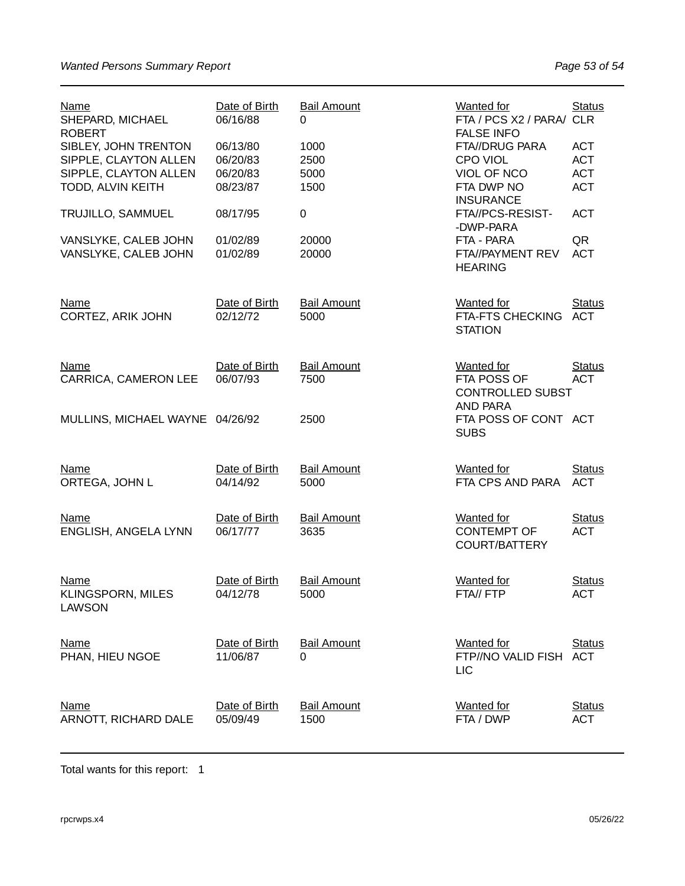| Name<br>SHEPARD, MICHAEL<br><b>ROBERT</b>                                                   | Date of Birth<br>06/16/88                    | <b>Bail Amount</b><br>0      | Wanted for<br>FTA / PCS X2 / PARA/ CLR<br><b>FALSE INFO</b>                 | <b>Status</b>                                        |
|---------------------------------------------------------------------------------------------|----------------------------------------------|------------------------------|-----------------------------------------------------------------------------|------------------------------------------------------|
| SIBLEY, JOHN TRENTON<br>SIPPLE, CLAYTON ALLEN<br>SIPPLE, CLAYTON ALLEN<br>TODD, ALVIN KEITH | 06/13/80<br>06/20/83<br>06/20/83<br>08/23/87 | 1000<br>2500<br>5000<br>1500 | FTA//DRUG PARA<br>CPO VIOL<br>VIOL OF NCO<br>FTA DWP NO<br><b>INSURANCE</b> | <b>ACT</b><br><b>ACT</b><br><b>ACT</b><br><b>ACT</b> |
| TRUJILLO, SAMMUEL                                                                           | 08/17/95                                     | 0                            | FTA//PCS-RESIST-<br>-DWP-PARA                                               | <b>ACT</b>                                           |
| VANSLYKE, CALEB JOHN<br>VANSLYKE, CALEB JOHN                                                | 01/02/89<br>01/02/89                         | 20000<br>20000               | FTA - PARA<br>FTA//PAYMENT REV<br><b>HEARING</b>                            | QR<br><b>ACT</b>                                     |
| <b>Name</b><br>CORTEZ, ARIK JOHN                                                            | Date of Birth<br>02/12/72                    | <b>Bail Amount</b><br>5000   | <b>Wanted for</b><br>FTA-FTS CHECKING ACT<br><b>STATION</b>                 | <b>Status</b>                                        |
| Name<br>CARRICA, CAMERON LEE                                                                | Date of Birth<br>06/07/93                    | <b>Bail Amount</b><br>7500   | <b>Wanted for</b><br>FTA POSS OF<br><b>CONTROLLED SUBST</b><br>AND PARA     | <b>Status</b><br><b>ACT</b>                          |
| MULLINS, MICHAEL WAYNE 04/26/92                                                             |                                              | 2500                         | FTA POSS OF CONT ACT<br><b>SUBS</b>                                         |                                                      |
| <b>Name</b><br>ORTEGA, JOHN L                                                               | Date of Birth<br>04/14/92                    | <b>Bail Amount</b><br>5000   | Wanted for<br>FTA CPS AND PARA                                              | <b>Status</b><br><b>ACT</b>                          |
| <b>Name</b><br>ENGLISH, ANGELA LYNN                                                         | Date of Birth<br>06/17/77                    | <b>Bail Amount</b><br>3635   | <b>Wanted for</b><br><b>CONTEMPT OF</b><br><b>COURT/BATTERY</b>             | <b>Status</b><br><b>ACT</b>                          |
| Name<br>KLINGSPORN, MILES<br><b>LAWSON</b>                                                  | Date of Birth<br>04/12/78                    | <b>Bail Amount</b><br>5000   | Wanted for<br>FTA// FTP                                                     | <b>Status</b><br>ACT                                 |
| <b>Name</b><br>PHAN, HIEU NGOE                                                              | Date of Birth<br>11/06/87                    | <b>Bail Amount</b><br>0      | Wanted for<br>FTP//NO VALID FISH ACT<br><b>LIC</b>                          | <b>Status</b>                                        |
| <b>Name</b><br>ARNOTT, RICHARD DALE                                                         | Date of Birth<br>05/09/49                    | <b>Bail Amount</b><br>1500   | <b>Wanted for</b><br>FTA / DWP                                              | <b>Status</b><br><b>ACT</b>                          |

Total wants for this report: 1